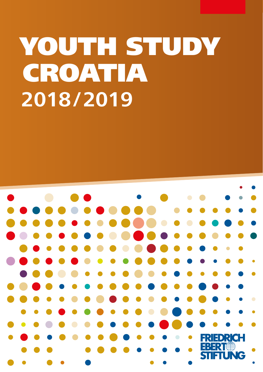# YOUTH STUDY CROATIA **2018/2019**

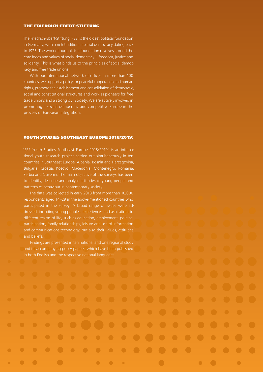#### THE FRIEDRICH-EBERT-STIFTUNG

The Friedrich-Ebert-Stiftung (FES) is the oldest political foundation in Germany, with a rich tradition in social democracy dating back to 1925. The work of our political foundation revolves around the core ideas and values of social democracy – freedom, justice and solidarity. This is what binds us to the principles of social democracy and free trade unions.

With our international network of offices in more than 100 countries, we support a policy for peaceful cooperation and human rights, promote the establishment and consolidation of democratic, social and constitutional structures and work as pioneers for free trade unions and a strong civil society. We are actively involved in promoting a social, democratic and competitive Europe in the process of European integration.

#### YOUTH STUDIES SOUTHEAST EUROPE 2018/2019:

"FES Youth Studies Southeast Europe 2018/2019" is an international youth research project carried out simultaneously in ten countries in Southeast Europe: Albania, Bosnia and Herzegovina, Bulgaria, Croatia, Kosovo, Macedonia, Montenegro, Romania, Serbia and Slovenia. The main objective of the surveys has been to identify, describe and analyse attitudes of young people and patterns of behaviour in contemporary society.

The data was collected in early 2018 from more than 10,000 respondents aged 14–29 in the above-mentioned countries who participated in the survey. A broad range of issues were addressed, including young peoples' experiences and aspirations in different realms of life, such as education, employment, political participation, family relationships, leisure and use of information and communications technology, but also their values, attitudes and beliefs.

Findings are presented in ten national and one regional study and its accompanying policy papers, which have been published in both English and the respective national languages.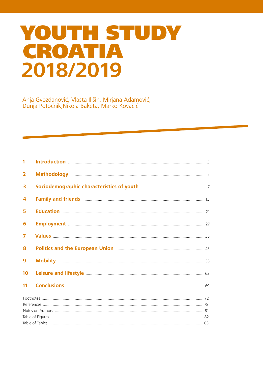### YOUTH STUDY CROATIA 2018/2019

Anja Gvozdanović, Vlasta Ilišin, Mirjana Adamović,<br>Dunja Potočnik, Nikola Baketa, Marko Kovačić

| 1                       |                                                                                                                                                                                                                                      |  |
|-------------------------|--------------------------------------------------------------------------------------------------------------------------------------------------------------------------------------------------------------------------------------|--|
| $\overline{2}$          |                                                                                                                                                                                                                                      |  |
| 3                       |                                                                                                                                                                                                                                      |  |
| $\overline{\mathbf{4}}$ |                                                                                                                                                                                                                                      |  |
| 5                       | <b>Education</b> 21                                                                                                                                                                                                                  |  |
| 6                       | <b>Employment</b> 27                                                                                                                                                                                                                 |  |
| $\overline{\mathbf{z}}$ |                                                                                                                                                                                                                                      |  |
| 8                       |                                                                                                                                                                                                                                      |  |
| $\overline{9}$          |                                                                                                                                                                                                                                      |  |
| 10                      | Leisure and lifestyle <b>Manual Elisabeth Contract Contract Contract Contract Contract Contract Contract Contract Contract Contract Contract Contract Contract Contract Contract Contract Contract Contract Contract Contract Co</b> |  |
| 11                      |                                                                                                                                                                                                                                      |  |
|                         |                                                                                                                                                                                                                                      |  |
|                         |                                                                                                                                                                                                                                      |  |
|                         |                                                                                                                                                                                                                                      |  |
|                         |                                                                                                                                                                                                                                      |  |
|                         |                                                                                                                                                                                                                                      |  |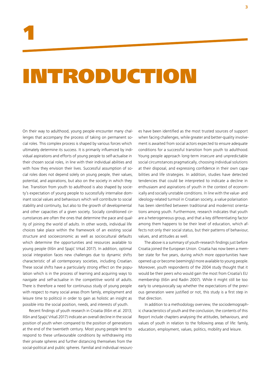### INTRODUCTION

On their way to adulthood, young people encounter many challenges that accompany the process of taking on permanent social roles. This complex process is shaped by various forces which ultimately determine its success. It is primarily influenced by individual aspirations and efforts of young people to self-actualise in their chosen social roles, in line with their individual abilities and with how they envision their lives. Successful assumption of social roles does not depend solely on young people, their values, potential, and aspirations, but also on the society in which they live. Transition from youth to adulthood is also shaped by society's expectation of young people to successfully internalise dominant social values and behaviours which will contribute to social stability and continuity, but also to the growth of developmental and other capacities of a given society. Socially conditioned circumstances are often the ones that determine the pace and quality of joining the world of adults. In other words, individual life choices take place within the framework of an existing social structure and socioeconomic as well as sociocultural defaults which determine the opportunities and resources available to young people (Ilišin and Spajić Vrkaš 2017). In addition, optimal social integration faces new challenges due to dynamic shifts characteristic of all contemporary societies, including Croatian. These social shifts have a particularly strong effect on the population which is in the process of learning and acquiring ways to navigate and self-actualise in the competitive world of adults. There is therefore a need for continuous study of young people with respect to many social areas (from family, employment and leisure time to politics) in order to gain as holistic an insight as possible into the social position, needs, and interests of youth.

Recent findings of youth research in Croatia (Ilišin et al. 2013; Ilišin and Spajić Vrkaš 2017) indicate an overall decline in the social position of youth when compared to the position of generations at the end of the twentieth century. Most young people tend to respond to these unfavourable conditions by withdrawing into their private spheres and further distancing themselves from the social-political and public spheres. Familial and individual resources have been identified as the most trusted sources of support when facing challenges, while greater and better-quality involvement is awaited from social actors expected to ensure adequate conditions for a successful transition from youth to adulthood. Young people approach long-term insecure and unpredictable social circumstances pragmatically, choosing individual solutions at their disposal, and expressing confidence in their own capabilities and life strategies. In addition, studies have detected tendencies that could be interpreted to indicate a decline in enthusiasm and aspirations of youth in the context of economically and socially unstable conditions. In line with the value- and ideology-related turmoil in Croatian society, a value polarisation has been identified between traditional and modernist orientations among youth. Furthermore, research indicates that youth are a heterogeneous group, and that a key differentiating factor among them happens to be their level of education, which affects not only their social status, but their patterns of behaviour, values, and attitudes as well.

The above is a summary of youth-research findings just before Croatia joined the European Union. Croatia has now been a member state for five years, during which more opportunities have opened up or become (seemingly) more available to young people. Moreover, youth respondents of the 2004 study thought that it would be their peers who would gain the most from Croatia's EU membership (Ilišin and Radin 2007). While it might still be too early to unequivocally say whether the expectations of the previous generation were justified or not, this study is a first step in that direction.

In addition to a methodology overview, the sociodemographic characteristics of youth and the conclusion, the contents of this Report include chapters analysing the attitudes, behaviours, and values of youth in relation to the following areas of life: family, education, employment, values, politics, mobility and leisure.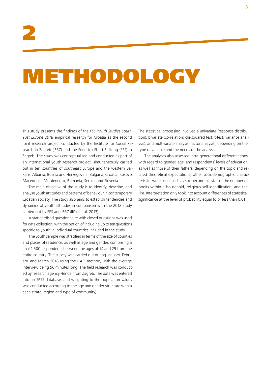## METHODOLOGY

This study presents the findings of the *FES Youth Studies Southeast Europe 2018* empirical research for Croatia as the second joint research project conducted by the Institute for Social Research in Zagreb (ISRZ) and the Friedrich Ebert Stiftung (FES) in Zagreb. The study was conceptualised and conducted as part of an international youth research project, simultaneously carried out in ten countries of southeast Europe and the western Balkans: Albania, Bosnia and Herzegovina, Bulgaria, Croatia, Kosovo, Macedonia, Montenegro, Romania, Serbia, and Slovenia.

The main objective of the study is to identify, describe, and analyse youth attitudes and patterns of behaviour in contemporary Croatian society. The study also aims to establish tendencies and dynamics of youth attitudes in comparison with the 2012 study carried out by FES and ISRZ (Ilišin et al. 2013).

A standardised questionnaire with closed questions was used for data collection, with the option of including up to ten questions specific to youth in individual countries included in the study.

The youth sample was stratified in terms of the size of counties and places of residence, as well as age and gender, comprising a final 1,500 respondents between the ages of 14 and 29 from the entire country. The survey was carried out during January, February, and March 2018 using the CAPI method, with the average interview being 56 minutes long. The field research was conducted by research agency Hendal from Zagreb. The data was entered into an SPSS database, and weighting to the population values was conducted according to the age and gender structure within each strata (region and type of community).

The statistical processing involved a univariate (response distribution), bivariate (correlation; chi-squared test; t-test; variance analysis), and multivariate analysis (factor analysis), depending on the type of variable and the needs of the analysis.

The analyses also assessed intra-generational differentiations with regard to gender, age, and respondents' levels of education as well as those of their fathers; depending on the topic and related theoretical expectations, other sociodemographic characteristics were used, such as socioeconomic status, the number of books within a household, religious self-identification, and the like. Interpretation only took into account differences of statistical significance at the level of probability equal to or less than 0.01.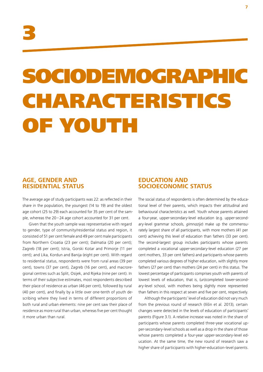## SOCIODEMOGRAPHIC CHARACTERISTICS OF YOUTH

#### **AGE, GENDER AND RESIDENTIAL STATUS**

The average age of study participants was 22: as reflected in their share in the population, the youngest (14 to 19) and the oldest age cohort (25 to 29) each accounted for 35 per cent of the sample, whereas the 20–24 age cohort accounted for 31 per cent.

Given that the youth sample was representative with regard to gender, type of community/residential status and region, it consisted of 51 per cent female and 49 per cent male participants from Northern Croatia (23 per cent); Dalmatia (20 per cent); Zagreb (18 per cent); Istria, Gorski Kotar and Primorje (11 per cent); and Lika, Kordun and Banija (eight per cent). With regard to residential status, respondents were from rural areas (39 per cent), towns (37 per cent), Zagreb (16 per cent), and macroregional centres such as Split, Osijek, and Rijeka (nine per cent). In terms of their subjective estimates, most respondents described their place of residence as urban (46 per cent), followed by rural (40 per cent), and finally by a little over one-tenth of youth describing where they lived in terms of different proportions of both rural and urban elements: nine per cent saw their place of residence as more rural than urban, whereas five per cent thought it more urban than rural.

#### **EDUCATION AND SOCIOECONOMIC STATUS**

The social status of respondents is often determined by the educational level of their parents, which impacts their attitudinal and behavioural characteristics as well. Youth whose parents attained a four-year, upper-secondary-level education (e.g. upper-secondary-level grammar schools, *gimnazije*) make up the commensurately largest share of all participants, with more mothers (41 per cent) achieving this level of education than fathers (33 per cent). The second-largest group includes participants whose parents completed a vocational upper-secondary-level education (27 per cent mothers, 33 per cent fathers) and participants whose parents completed various degrees of higher education, with slightly more fathers (27 per cent) than mothers (24 per cent) in this status. The lowest percentage of participants comprises youth with parents of lowest levels of education, that is, (un)completed lower-secondary-level school, with mothers being slightly more represented than fathers in this respect at seven and five per cent, respectively.

Although the participants' level of education did not vary much from the previous round of research (Ilišin et al. 2013), certain changes were detected in the levels of education of participants' parents (Figure 3.1). A relative increase was noted in the share of participants whose parents completed three-year vocational upper-secondary-level schools as well as a drop in the share of those whose parents completed a four-year upper-secondary-level education. At the same time, the new round of research saw a higher share of participants with higher-education-level parents.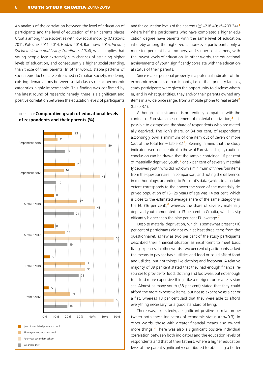An analysis of the correlation between the level of education of participants and the level of education of their parents places Croatia among those societies with low social mobility (Matković 2011; Potočnik 2011, 2014; Hodžić 2014; Baranović 2015; *Income, Social Inclusion and Living Conditions 2014*), which implies that young people face extremely slim chances of attaining higher levels of education, and consequently a higher social standing, than those of their parents. In other words, stable patterns of social reproduction are entrenched in Croatian society, rendering existing demarcations between social classes or socioeconomic categories highly impermeable. This finding was confirmed by the latest round of research: namely, there is a significant and positive correlation between the education levels of participants



and the education levels of their parents ( $\chi^2$ =218.40;  $\chi^2$ =203.34),<sup>1</sup> where half the participants who have completed a higher education degree have parents with the same level of education, whereby among the higher-education-level participants only a mere ten per cent have mothers, and six per cent fathers, with the lowest levels of education. In other words, the educational achievements of youth significantly correlate with the educational status of their parents.

Since real or personal property is a potential indicator of the economic resources of participants, i.e. of their primary families, study participants were given the opportunity to disclose whether, and in what quantities, they and/or their parents owned any items in a wide price range, from a mobile phone to real estate<sup>2</sup> (table 3.1).

Although this instrument is not entirely compatible with the content of Eurostat's measurement of material deprivation, $<sup>3</sup>$  it is</sup> possible to extrapolate the share of respondents who are materially deprived. The lion's share, or 84 per cent, of respondents accordingly own a minimum of one item out of seven or more (out of the total ten – Table  $3.1<sup>4</sup>$ ). Bearing in mind that the study indicators were not identical to those of Eurostat, a highly cautious conclusion can be drawn that the sample contained 16 per cent of materially deprived youth, $<sup>5</sup>$  or six per cent of severely material-</sup> ly deprived youth who did not own a minimum of three/four items from the questionnaire. In comparison, and noting the difference in methodology, according to Eurostat's data (which to a certain extent corresponds to the above) the share of the materially deprived population of 15–29 years of age was 14 per cent, which is close to the estimated average share of the same category in the EU (16 per cent), $<sup>6</sup>$  whereas the share of severely materially</sup> deprived youth amounted to 13 per cent in Croatia, which is significantly higher than the nine per cent EU average.<sup>7</sup>

Despite material deprivation, which is somewhat present (16 per cent of participants did not own at least three items from the questionnaire), as few as two per cent of the study participants described their financial situation as insufficient to meet basic living expenses. In other words, two per cent of participants lacked the means to pay for basic utilities and food or could afford food and utilities, but not things like clothing and footwear. A relative majority of 39 per cent stated that they had enough financial resources to provide for food, clothing and footwear, but not enough to afford more expensive things like a refrigerator or a television set. Almost as many youth (38 per cent) stated that they could afford the more expensive items, but not as expensive as a car or a flat, whereas 18 per cent said that they were able to afford everything necessary for a good standard of living.

There was, expectedly, a significant positive correlation between both these indicators of economic status (rho=0.3). In other words, those with greater financial means also owned more things.<sup>8</sup> There was also a significant positive individual correlation between both indicators and the education levels of respondents and that of their fathers, where a higher education level of the parent significantly contributed to obtaining a better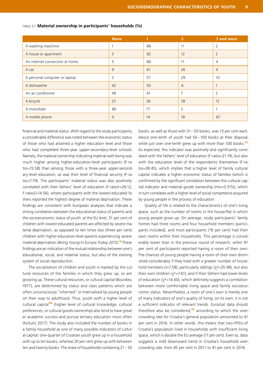|                                | <b>None</b> | 1  | $\overline{2}$ | 3 and more     |
|--------------------------------|-------------|----|----------------|----------------|
| A washing maschine             |             | 86 | 11             | 2              |
| A house or apartment           | 3           | 82 | 12             | $\overline{2}$ |
| An internet connection at home | 5           | 80 | 11             | 4              |
| A car                          | 9           | 61 | 26             | $\overline{4}$ |
| A personal computer or laptop  | 3           | 57 | 29             | 10             |
| A dishwasher                   | 42          | 50 | 6              |                |
| An air conditioner             | 49          | 41 | 7              | $\overline{2}$ |
| A bicycle                      | 23          | 36 | 28             | 12             |
| A motorbike                    | 80          | 17 | $\overline{2}$ |                |
| A mobile phone                 | 0           | 14 | 18             | 67             |

#### TABLE 3.1: **Material ownership in participants' households (%)**

financial and material status. With regard to the study participants, a considerable difference was noted between the economic status of those who had attained a higher education level and those who had completed three-year upper-secondary-level schools. Namely, the material ownership indicating material well-being was much higher among higher-education-level participants (F-ratio=15.58) than among those with a three-year upper-secondary-level education, as was their level of financial security (F-ratio=7.79). The participants' material status was also positively correlated with their fathers' level of education (F-ratio1=26.12; F-ratio2=14.56), where participants with the lowest-educated fathers reported the highest degree of material deprivation. These findings are consistent with European analyses that indicate a strong correlation between the educational status of parents and the socioeconomic status of youth: at the EU level, 31 per cent of children with lowest-educated parents are affected by severe material deprivation, as opposed to ten times less (three per cent) children with higher-education-level parents experiencing severe material deprivation (*Being Young In Europe Today 2015*).<sup>9</sup> These findings are an indication of the mutual relationship between one's educational, social, and material status, but also of the existing system of social reproduction.

The socialisation of children and youth is marked by the cultural resources of the families in which they grew up, or are growing up. These cultural resources, or cultural capital (Bourdieu 1977), are determined by status and class patterns which are often unconsciously "inherited" or internalised by young people on their way to adulthood. Thus, youth with a higher level of cultural capital<sup>10</sup> (higher level of cultural knowledge, cultural preferences, or cultural goods ownership) also tend to have greater academic success and pursue tertiary education more often (Košutić 2017). The study also included the number of books in a family household as one of many possible indicators of cultural capital: one-quarter of Croatian youth grew up in a household with up to ten books, whereas 20 per cent grew up with between ten and twenty books. The share of households containing 21–30

books, as well as those with 31–50 books, was 13 per cent each. About one-tenth of youth had 50–100 books at their disposal, while just over one-tenth grew up with more than 100 books.<sup>11</sup> As expected, this indicator was positively and significantly correlated with the fathers' level of education (F-ratio=21.19), but also with the education level of the respondents themselves (F-ratio=38.45), which implies that a higher level of family cultural capital indicates a higher economic status of families (which is confirmed by the significant correlation between this cultural capital indicator and material goods ownership (rho=0.315)), which in turn correlates with a higher level of social competence acquired by young people in the process of education.

Quality of life is related to the characteristics of one's living space, such as the number of rooms in the house/flat in which young people grow up. On average, study participants' family homes had three rooms and four household members (participants included), and most participants (76 per cent) had their own rooms within their households. This percentage is considerably lower than in the previous round of research, when 91 per cent of participants reported having a room of their own. The chances of young people having a room of their own diminished considerably if they lived with a greater number of household members (t=7.58), particularly siblings ( $\chi^2$ =35.98), but also their own children ( $x^2$ =7.61), and if their fathers had lower levels of education ( $\chi^2$ =14.60), which definitely suggests a correlation between more comfortable living space and family socioeconomic status. Nevertheless, a room of one's own is merely one of many indicators of one's quality of living; on its own, it is not a sufficient indicator of relevant trends. Eurostat data should therefore also be considered, $12$  according to which the overcrowding rate for Croatia's general population amounted to 41 per cent in 2016. In other words, this means that two-fifths of Croatia's population lived in households with insufficient living space, which is double the EU average (17 per cent). Even so, data suggests a mild downward trend in Croatia's household overcrowding rate, from 45 per cent in 2011 to 41 per cent in 2016.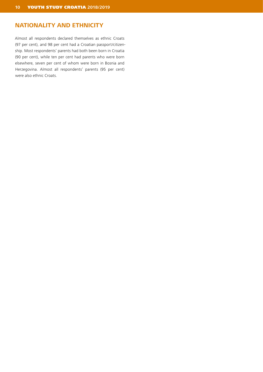#### **NATIONALITY AND ETHNICITY**

Almost all respondents declared themselves as ethnic Croats (97 per cent), and 98 per cent had a Croatian passport/citizenship. Most respondents' parents had both been born in Croatia (90 per cent), while ten per cent had parents who were born elsewhere, seven per cent of whom were born in Bosnia and Herzegovina. Almost all respondents' parents (95 per cent) were also ethnic Croats.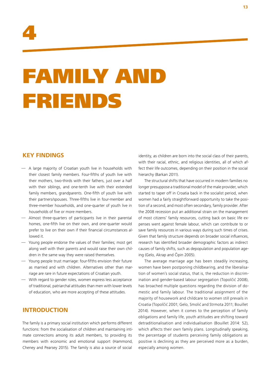

## FAMILY AND FRIENDS

#### **KEY FINDINGS**

- A large majority of Croatian youth live in households with their closest family members. Four-fifths of youth live with their mothers, two-thirds with their fathers, just over a half with their siblings, and one-tenth live with their extended family members, grandparents. One-fifth of youth live with their partners/spouses. Three-fifths live in four-member and three-member households, and one-quarter of youth live in households of five or more members.
- Almost three-quarters of participants live in their parental homes, one-fifth live on their own, and one-quarter would prefer to live on their own if their financial circumstances allowed it.
- Young people endorse the values of their families; most get along well with their parents and would raise their own children in the same way they were raised themselves.
- Young people trust marriage: four-fifths envision their future as married and with children. Alternatives other than marriage are rare in future expectations of Croatian youth.
- With regard to gender roles, women express less acceptance of traditional, patriarchal attitudes than men with lower levels of education, who are more accepting of these attitudes.

#### **INTRODUCTION**

The family is a primary social institution which performs different functions: from the socialisation of children and maintaining intimate connections among its adult members, to providing its members with economic and emotional support (Hammond, Cheney and Pearsey 2015). The family is also a source of social

identity, as children are born into the social class of their parents, with their racial, ethnic, and religious identities, all of which affect their life outcomes, depending on their position in the social hierarchy (Barkan 2011).

The structural shifts that have occurred in modern families no longer presuppose a traditional model of the male provider, which started to taper off in Croatia back in the socialist period, when women had a fairly straightforward opportunity to take the position of a second, and most often secondary, family provider. After the 2008 recession put an additional strain on the management of most citizens' family resources, cutting back on basic life expenses went against female labour, which can contribute to or save family resources in various ways during such times of crises. Given that family structure depends on broader social influences, research has identified broader demographic factors as indirect causes of family shifts, such as depopulation and population ageing (Gelo, Akrap and Čipin 2005).

The average marriage age has been steadily increasing, women have been postponing childbearing, and the liberalisation of women's social status, that is, the reduction in discrimination and gender-based labour segregation (Topolčić 2008), has broached multiple questions regarding the division of domestic and family labour. The traditional assignment of the majority of housework and childcare to women still prevails in Croatia (Topolčić 2001; Gelo, Smolić and Strmota 2011; Bouillet 2014). However, when it comes to the perception of family obligations and family life, youth attitudes are shifting toward detraditionalisation and individualisation (Bouillet 2014: 52), which affects their own family plans. Longitudinally speaking, the percentage of students perceiving family obligations as positive is declining as they are perceived more as a burden, especially among women.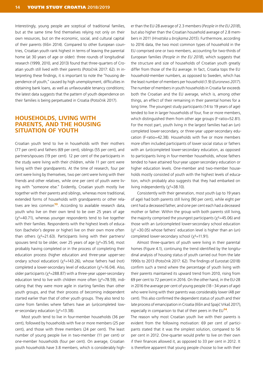Interestingly, young people are sceptical of traditional families, but at the same time find themselves relying not only on their own resources, but on the economic, social, and cultural capital of their parents (Ilišin 2014). Compared to other European countries, Croatian youth rank highest in terms of leaving the parental home (at 30 years of age or older): three rounds of longitudinal research (1999, 2010, and 2013) found that three-quarters of Croatian youth still lived with their parents (Potočnik 2017: 62). In interpreting these findings, it is important to note the "housing dependence of youth," caused by high unemployment, difficulties in obtaining bank loans, as well as unfavourable tenancy conditions; the latest data suggests that the pattern of youth dependence on their families is being perpetuated in Croatia (Potočnik 2017).

#### **HOUSEHOLDS, LIVING WITH PARENTS, AND THE HOUSING SITUATION OF YOUTH**

Croatian youth tend to live in households with their mothers (77 per cent) and fathers (69 per cent), siblings (55 per cent), and partners/spouses (19 per cent). 12 per cent of the participants in the study were living with their children, while 11 per cent were living with their grandparents. At the time of research, four per cent were living by themselves, two per cent were living with their friends and other relatives, while one per cent of youth were living with "someone else." Evidently, Croatian youth mostly live together with their parents and siblings, whereas more traditional, extended forms of households with grandparents or other relatives are less common<sup>13</sup>. According to available research data, youth who live on their own tend to be over 25 years of age  $(y^2=40.71)$ , whereas younger respondents tend to live together with their families. Respondents with the highest levels of education (bachelor's degree or higher) live on their own more often than others ( $\chi^2$ =21.63). Participants living with their partners/ spouses tend to be older, over 25 years of age  $(x^2=35.54)$ , most probably having completed or in the process of completing their education process (higher education and three-year upper-secondary school education) ( $\chi^2$ =143.26), whose fathers had (not) completed a lower-secondary level of education ( $\chi^2$ =16.04). Also, older participants ( $x^2$ =288.87) with a three-year upper-secondary education tend to live with children more often  $(y^2=78.59)$ , indicating that they were more agile in starting families than other youth groups, and that their process of becoming independent started earlier than that of other youth groups. They also tend to come from families where fathers have an (un)completed lower-secondary education  $(\chi^2=13.38)$ .

Most youth tend to live in four-member households (36 per cent), followed by households with five or more members (25 per cent), and those with three members (24 per cent). The least number of young people live in two-member (11 per cent) or one-member households (four per cent). On average, Croatian youth households have 3.8 members, which is considerably higher than the EU-28 average of 2.3 members (*People in the EU 2018*), but also higher than the Croatian household average of 2.8 members in 2011 (*Hrvatska u brojkama 2015*). Furthermore, according to 2016 data, the two most common types of household in the EU comprised one or two members, accounting for two-thirds of European families (*People in the EU 2018*), which suggests that the structure and size of households of Croatian youth greatly differ from those of the EU average. In fact, Croatia tops the EU household-member numbers, as opposed to Sweden, which has the least number of members per household (1.9) (*Euronews 2017*). The number of members in youth households in Croatia far exceeds both the Croatian and the EU average, which is, among other things, an effect of their remaining in their parental homes for a long time. The youngest study participants (14 to 19 years of age) tended to live in larger households of four, five or more members, which distinguished them from other age groups (F-ratio=52.81). For the most part, youth living in the largest families had an (un) completed lower-secondary, or three-year upper-secondary education (F-ratio=42.38). Households with five or more members more often included participants of lower social status or fathers with an (un)completed lower-secondary education, as opposed to participants living in four-member households, whose fathers tended to have attained four-year upper-secondary education or higher education levels. One-member and two-member households mostly consisted of youth with the highest levels of education, which probably also suggests that they had embarked on living independently  $(y^2=38.10)$ .

Consistently with their generation, most youth (up to 19 years of age) had both parents still living (90 per cent), while eight per cent had a deceased father, and one per cent each had a deceased mother or father. Within the group with both parents still living, the majority comprised the youngest participants ( $x^2$ =45.06) and those with an (un)completed lower-secondary school education  $(y^2 = 30.05)$  whose fathers' education level is higher than an (un) completed lower-secondary school (χ<sup>2</sup>=11.91).

Almost three-quarters of youth were living in their parental homes (Figure 4.1), continuing the trend identified by the longitudinal analysis of housing status of youth carried out from the late 1990s to 2013 (Potočnik 2017: 62). The findings of Eurostat (2018) confirm such a trend where the percentage of youth living with their parents maintained its upward trend from 2010, rising from 69 per cent to 72 percent in 2016. On the other hand, in the EU-28 in 2016 the average per cent of young people (18–34 years of age) who were living with their parents was considerably lower (48 per cent). This also confirmed the dependent status of youth and their late process of emancipation in Croatia (Ilišin and Spajić Vrkaš 2017), especially in comparison to that of their peers in the  $EU^{14}$ .

The reason why most Croatian youth live with their parents is evident from the following motivation: 69 per cent of participants stated that it was the simplest solution, compared to 56 per cent in 2012. One-quarter would prefer to live on their own if their finances allowed it, as opposed to 33 per cent in 2012. It is therefore apparent that young people choose to live with their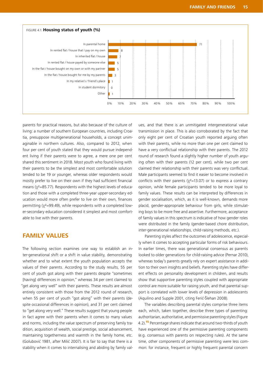

parents for practical reasons, but also because of the culture of living: a number of southern European countries, including Croatia, presuppose multigenerational households, a concept unimaginable in northern cultures. Also, compared to 2012, when four per cent of youth stated that they would pursue independent living if their parents were to agree, a mere one per cent shared this sentiment in 2018. Most youth who found living with their parents to be the simplest and most comfortable solution tended to be 19 or younger, whereas older respondents would mostly prefer to live on their own if they had sufficient financial means (χ<sup>2</sup>=85.77). Respondents with the highest levels of education and those with a completed three-year upper-secondary education would more often prefer to live on their own, finances permitting (χ<sup>2</sup>=99.49), while respondents with a completed lower-secondary education considered it simplest and most comfortable to live with their parents.

#### **FAMILY VALUES**

The following section examines one way to establish an inter-generational shift or a shift in value stability, demonstrating whether and to what extent the youth population accepts the values of their parents. According to the study results, 55 per cent of youth got along with their parents despite "sometimes [having] differences in opinion," whereas 34 per cent claimed to "get along very well" with their parents. These results are almost entirely consistent with those from the 2012 round of research, when 55 per cent of youth "got along" with their parents (despite occasional differences in opinion), and 31 per cent claimed to "get along very well." These results suggest that young people in fact agree with their parents when it comes to many values and norms, including the value spectrum of preserving family tradition, acquisition of wealth, social prestige, social advancement, maintaining togetherness and warmth in the family home, etc. (Golubović 1981, after Milić 2007). It is fair to say that there is a stability when it comes to internalising and abiding by family values, and that there is an unmitigated intergenerational value transmission in place. This is also corroborated by the fact that only eight per cent of Croatian youth reported arguing often with their parents, while no more than one per cent claimed to have a very conflictual relationship with their parents. The 2012 round of research found a slightly higher number of youth arguing often with their parents (12 per cent), while two per cent claimed their relationship with their parents was very conflictual. Male participants seemed to find it easier to become involved in conflicts with their parents ( $\chi^2$ =13.07) or to express a contrary opinion, while female participants tended to be more loyal to family values. These results can be interpreted by differences in gender socialisation, which, as it is well-known, demands more placid, gender-appropriate behaviour from girls, while stimulating boys to be more free and assertive. Furthermore, acceptance of family values in this spectrum is indicative of how gender roles were distributed in the family (gender-based chore distribution, inter-generational relationships, child-raising methods, etc.).

Parenting styles affect the outcomes of adolescence, especially when it comes to accepting particular forms of risk behaviours. In earlier times, there was generational consensus as parents looked to older generations for child-raising advice (Pernar 2010), whereas today's parents greatly rely on expert assistance in addition to their own insights and beliefs. Parenting styles have different effects on personality development in children, and results show that supportive parenting styles coupled with appropriate control are more suitable for raising youth, and that parental support is correlated with lower levels of depression in adolescents (Aquilino and Supple 2001, citing Ferić-Šlehan 2008).

The variables describing parental styles comprise three items each, which, taken together, describe three types of parenting: authoritarian, authoritative, and permissive parenting styles (Figure 4.2).<sup>15</sup> Percentage shares indicate that around two-thirds of youth have experienced one of the permissive parenting components (e.g. consensus with parents on respecting rules). At the same time, other components of permissive parenting were less common: for instance, frequent or highly frequent parental concern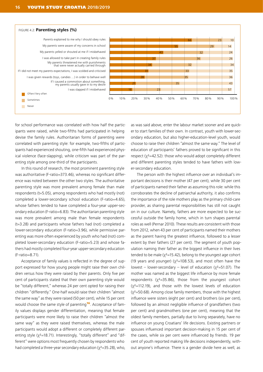

for school performance was correlated with how half the participants were raised, while two-fifths had participated in helping devise the family rules. Authoritarian forms of parenting were correlated with parenting style: for example, two-fifths of participants had experienced shouting, one-fifth had experienced physical violence (face-slapping), while criticism was part of the parenting style among one-third of the participants.

In this round of research, the most prominent parenting style was authoritative (F-ratio=373.46), whereas no significant difference was noted between the other two styles. The authoritative parenting style was more prevalent among female than male respondents (t=5.05), among respondents who had mostly (not) completed a lower-secondary school education (F-ratio=4.65), whose fathers tended to have completed a four-year upper-secondary education (F-ratio=6.83). The authoritarian parenting style was more prevalent among male than female respondents (t=3.28) and participants whose fathers had (not) completed a lower-secondary education (F-ratio=3.96), while permissive parenting was more often experienced by youth who had (not) completed lower-secondary education (F-ratio=5.23) and whose fathers had mostly completed four-year upper-secondary education (F-ratio=8.71).

Acceptance of family values is reflected in the degree of support expressed for how young people might raise their own children versus how they were raised by their parents. Only five per cent of participants stated that their own parenting style would be "totally different," whereas 24 per cent opted for raising their children "differently." One-half would raise their children "almost the same way" as they were raised (50 per cent), while 15 per cent would choose the same style of parenting<sup>16</sup>. Acceptance of family values displays gender differentiation, meaning that female participants were more likely to raise their children "almost the same way" as they were raised themselves, whereas the male participants would adopt a different or completely different parenting style (χ<sup>2</sup>=18.71). Interestingly, "totally different" and "different" were options most frequently chosen by respondents who had completed a three-year secondary education ( $\chi^2$ =35.28), who, as was said above, enter the labour market sooner and are quicker to start families of their own. In contrast, youth with lower-secondary education, but also higher-education-level youth, would choose to raise their children "almost the same way." The level of education of participants' fathers proved to be significant in this respect ( $x^2$ =42.52): those who would adopt completely different and different parenting styles tended to have fathers with lower-secondary education.

The person with the highest influence over an individual's important decisions is their mother (47 per cent), while 30 per cent of participants named their father as assuming this role: while this corroborates the decline of patriarchal authority, it also confirms the importance of the role mothers play as the primary child-care provider, as sharing parental responsibilities has still not caught on in our culture. Namely, fathers are more expected to be successful outside the family home, which in turn shapes parental roles as well (Pernar 2010). These results are consistent with those from 2012, when 43 per cent of participants named their mothers as the parent having the greatest influence, followed to a lesser extent by their fathers (27 per cent). The segment of youth population naming their father as the biggest influence in their lives tended to be male ( $\chi^2$ =15.42), belong to the youngest age cohort (19 years and younger) ( $\chi^2$ =108.53), and most often have the lowest – lower-secondary – level of education ( $\chi^2$ =51.07). The mother was named as the biggest life influence by more female respondents ( $x^2$ =35.86), those from the youngest cohort  $(x^2=112.19)$ , and those with the lowest levels of education  $(x^2=50.68)$ . Among close family members, those with the highest influence were sisters (eight per cent) and brothers (six per cent), followed by an almost negligible influence of grandfathers (two per cent) and grandmothers (one per cent), meaning that the oldest family members, partially due to living separately, have no influence on young Croatians' life decisions. Existing partners or spouses influenced important decision-making in 15 per cent of the cases, while six per cent were influenced by friends. 19 per cent of youth reported making life decisions independently, without anyone's influence. There is a gender divide here as well, as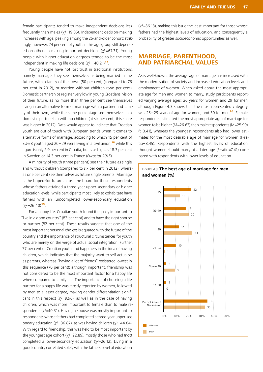female participants tended to make independent decisions less frequently than males ( $x^2$ =19.05). Independent decision-making increases with age, peaking among the 25-and-older cohort; strikingly, however, 74 per cent of youth in this age group still depended on others in making important decisions ( $x^2=67.31$ ). Young people with higher-education degrees tended to be the most independent in making life decisions ( $\chi^2$  =40.21)<sup>17</sup>.

Young people have not lost trust in traditional institutions, namely marriage: they see themselves as being married in the future, with a family of their own (80 per cent) (compared to 76 per cent in 2012), or married without children (two per cent). Domestic partnerships register very low in young Croatians' vision of their future, as no more than three per cent see themselves living in an alternative form of marriage with a partner and family of their own, while the same percentage see themselves in a domestic partnership with no children (at six per cent, this share was higher in 2012). Data would appear to indicate that Croatian youth are out of touch with European trends when it comes to alternative forms of marriage, according to which 15 per cent of EU-28 youth aged 20–29 were living in a civil union.<sup>18</sup> while this figure is only 2.9 per cent in Croatia, but is as high as 18.3 per cent in Sweden or 14.3 per cent in France (*Eurostat 2015*).

A minority of youth (three per cent) see their future as single and without children (compared to six per cent in 2012), whereas one per cent see themselves as future single parents. Marriage is the hoped-for future across the board for those respondents whose fathers attained a three-year upper-secondary or higher education levels, while participants most likely to cohabitate have fathers with an (un)completed lower-secondary education  $(\chi^2=26.40)^{19}$ .

For a happy life, Croatian youth found it equally important to "live in a good country" (83 per cent) and to have the right spouse or partner (82 per cent). These results suggest that one of the most important personal choices is equated with the future of the country and the importance of structural circumstances for youth who are merely on the verge of actual social integration. Further, 77 per cent of Croatian youth find happiness in the idea of having children, which indicates that the majority want to self-actualise as parents, whereas "having a lot of friends" registered lowest in this sequence (70 per cent): although important, friendship was not considered to be the most important factor for a happy life when compared to family life. The importance of choosing a life partner for a happy life was mostly reported by women, followed by men to a lesser degree, making gender differentiation significant in this respect ( $\chi^2$ =9.96), as well as in the case of having children, which was more important to female than to male respondents ( $\chi^2$ =10.31). Having a spouse was mostly important to respondents whose fathers had completed a three-year upper-secondary education ( $\chi^2$ =36.87), as was having children ( $\chi^2$ =44.84). With regard to friendship, this was held to be most important by the youngest age cohort ( $\chi^2$ =22.89), mostly those who had (not) completed a lower-secondary education ( $x^2$ =26.12). Living in a good country correlated solely with the fathers' level of education

 $(x^2=36.13)$ , making this issue the least important for those whose fathers had the highest levels of education, and consequently a probability of greater socioeconomic opportunities as well.

#### **MARRIAGE, PARENTHOOD, AND PATRIARCHAL VALUES**

As is well-known, the average age of marriage has increased with the modernisation of society and increased education levels and employment of women. When asked about the most appropriate age for men and women to marry, study participants reported varying average ages: 26 years for women and 29 for men, although Figure 4.3 shows that the most represented category was  $25-29$  years of age for women, and 30 for men<sup>20</sup>. Female respondents estimated the most appropriate age of marriage for women to be higher (M=26.63) than male respondents (M=25.99) (t=3.41), whereas the youngest respondents also had lower estimates for the most desirable age of marriage for women (F-ratio=8.45). Respondents with the highest levels of education thought women should marry at a later age (F-ratio=7.41) compared with respondents with lower levels of education.

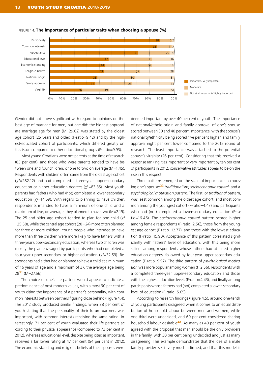

Gender did not prove significant with regard to opinions on the best age of marriage for men, but age did: the highest appropriate marriage age for men (M=29.02) was stated by the oldest age cohort (25 years and older) (F-ratio=9.42) and by the highest-educated cohort of participants, which differed greatly on this issue compared to other educational groups (F-ratio=9.93).

Most young Croatians were not parents at the time of research (83 per cent), and those who were parents tended to have between one and four children, or one to two on average (M=1.45). Respondents with children often came from the oldest age cohort  $(y^2=282.12)$  and had completed a three-year upper-secondary education or higher education degrees (χ<sup>2</sup>=83.35). Most youth parents had fathers who had (not) completed a lower-secondary education ( $\chi^2$ =14.59). With regard to planning to have children, respondents intended to have a minimum of one child and a maximum of five; on average, they planned to have two (M=2.19). The 25-and-older age cohort tended to plan for one child  $(y^2)$  $=$  25.58), while the central age cohort (20–24) more often planned for three or more children. Young people who intended to have more than three children were more likely to have fathers with a three-year upper-secondary education, whereas two children was mostly the plan envisaged by participants who had completed a four-year upper-secondary or higher education ( $\chi^2$ =32.59). Respondents had either had or planned to have a child at a minimum of 16 years of age and a maximum of 37, the average age being  $28^{21}$  (M=27.56).

The choice of one's life partner would appear to indicate a predominance of post-modern values, with almost 90 per cent of youth citing the importance of a partner's personality, with common interests between partners figuring close behind (Figure 4.4). The 2012 study produced similar findings, when 88 per cent of youth stating that the personality of their future partners was important, with common interests receiving the same rating. Interestingly, 71 per cent of youth evaluated their life partners according to their physical appearance (compared to 73 per cent in 2012), whereas educational level, despite being cited as important, received a far lower rating at 47 per cent (54 per cent in 2012). The economic standing and religious beliefs of their spouses were

deemed important by over 40 per cent of youth. The importance of national/ethnic origin and family approval of one's spouse scored between 30 and 40 per cent importance, with the spouse's nationality/ethnicity being scored five per cent higher, and family approval eight per cent lower compared to the 2012 round of research. The least importance was attached to the potential spouse's virginity (26 per cent). Considering that this received a response ranking it as important or very important by ten per cent of participants in 2012, conservative attitudes appear to be on the rise in this respect.

Three patterns emerged on the scale of importance in choosing one's spouse:<sup>22</sup> *traditionalism*; *socioeconomic capital*; and a *psychological motivation pattern*. The first, or *traditional* pattern, was least common among the oldest age cohort, and most common among the youngest cohort (F-ratio=4.47) and participants who had (not) completed a lower-secondary education (F-ratio=16.46). The *socioeconomic capital* pattern scored higher among female respondents (F-ratio=2.56), those from the youngest age cohort (F-ratio=12.77), and those with the lowest education (F-ratio=15.90). Acceptance of this pattern correlated significantly with fathers' level of education, with this being more salient among respondents whose fathers had attained higher education degrees, followed by four-year upper-secondary education (F-ratio=9.92). The third pattern of *psychological motivation* was more popular among women (t=2.56), respondents with a completed three-year upper-secondary education and those with the highest education levels (F-ratio=4.43), and finally among participants whose fathers had (not) completed a lower-secondary level of education (F-ratio=5.65).

According to research findings (Figure 4.5), around one-tenth of young participants disagreed when it comes to an equal distribution of household labour between men and women, while one-third were undecided, and 60 per cent considered sharing household labour desirable $23$ . As many as 40 per cent of youth agreed with the proposal that men should be the only providers in the family, with 30 per cent being undecided and just as many disagreeing. This example demonstrates that the idea of a male family provider is still very much affirmed, and that this model is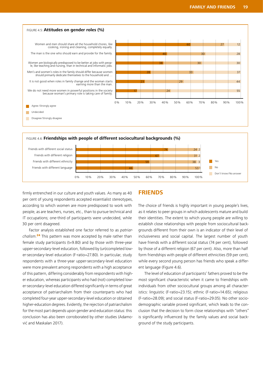

firmly entrenched in our culture and youth values. As many as 40 per cent of young respondents accepted essentialist stereotypes, according to which women are more predisposed to work with people, as are teachers, nurses, etc., than to pursue technical and IT occupations; one-third of participants were undecided, while 30 per cent disagreed.

Factor analysis established one factor referred to as *patriarchalism*. <sup>24</sup> This pattern was more accepted by male rather than female study participants (t=9.80) and by those with three-year upper-secondary-level education, followed by (un)completed lower-secondary-level education (F-ratio=27.80). In particular, study respondents with a three-year upper-secondary-level education were more prevalent among respondents with a high acceptance of this pattern, differing considerably from respondents with higher education, whereas participants who had (not) completed lower-secondary-level education differed significantly in terms of great acceptance of patriarchalism from their counterparts who had completed four-year upper-secondary-level education or obtained higher-education degrees. Evidently, the rejection of patriarchalism for the most part depends upon gender and education status: this conclusion has also been corroborated by other studies (Adamović and Maskalan 2017).

#### **FRIENDS**

The choice of friends is highly important in young people's lives, as it relates to peer groups in which adolescents mature and build their identities. The extent to which young people are willing to establish close relationships with people from sociocultural backgrounds different from their own is an indicator of their level of inclusiveness and social capital. The largest number of youth have friends with a different social status (74 per cent), followed by those of a different religion (67 per cent). Also, more than half form friendships with people of different ethnicities (59 per cent), while every second young person has friends who speak a different language (Figure 4.6).

The level of education of participants' fathers proved to be the most significant characteristic when it came to friendships with individuals from other sociocultural groups among all characteristics: linguistic (F-ratio=23.15); ethnic (F-ratio=14.65); religious (F-ratio=28.09); and social status (F-ratio=29.05). No other sociodemographic variable proved significant, which leads to the conclusion that the decision to form close relationships with "others" is significantly influenced by the family values and social background of the study participants.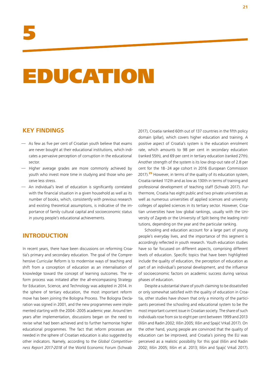## EDUCATION

#### **KEY FINDINGS**

- As few as five per cent of Croatian youth believe that exams are never bought at their educational institutions, which indicates a pervasive perception of corruption in the educational sector.
- Higher average grades are more commonly achieved by youth who invest more time in studying and those who perceive less stress.
- An individual's level of education is significantly correlated with the financial situation in a given household as well as its number of books, which, consistently with previous research and existing theoretical assumptions, is indicative of the importance of family cultural capital and socioeconomic status in young people's educational achievements.

#### **INTRODUCTION**

In recent years, there have been discussions on reforming Croatia's primary and secondary education. The goal of the Comprehensive Curricular Reform is to modernise ways of teaching and shift from a conception of education as an internalisation of knowledge toward the concept of learning outcomes. The reform process was initiated after the all-encompassing Strategy for Education, Science, and Technology was adopted in 2014. In the sphere of tertiary education, the most important reform move has been joining the Bologna Process. The Bologna Declaration was signed in 2001, and the new programmes were implemented starting with the 2004–2005 academic year. Around ten years after implementation, discussions began on the need to revise what had been achieved and to further harmonise higher educational programmes. The fact that reform processes are needed in the sphere of Croatian education is also suggested by other indicators. Namely, according to the *Global Competitiveness Report 2017-2018* of the World Economic Forum (Schwab

2017), Croatia ranked 60th out of 137 countries in the fifth policy domain (pillar), which covers higher education and training. A positive aspect of Croatia's system is the education enrolment rate, which amounts to 98 per cent in secondary education (ranked 55th), and 69 per cent in tertiary education (ranked 27th). Another strength of the system is its low drop-out rate of 2.8 per cent for the 18–24 age cohort in 2016 (European Commission 2017).<sup>25</sup> However, in terms of the quality of its education system, Croatia ranked 112th and as low as 130th in terms of training and professional development of teaching staff (Schwab 2017). Furthermore, Croatia has eight public and two private universities as well as numerous universities of applied sciences and university colleges of applied sciences in its tertiary sector. However, Croatian universities have low global rankings, usually with the University of Zagreb or the University of Split being the leading institutions, depending on the year and the particular ranking.

Schooling and education account for a large part of young people's everyday lives, and the importance of this segment is accordingly reflected in youth research. Youth education studies have so far focussed on different aspects, comprising different levels of education. Specific topics that have been highlighted include the quality of education, the perception of education as part of an individual's personal development, and the influence of socioeconomic factors on academic success during various phases of education.

Despite a substantial share of youth claiming to be dissatisfied or only somewhat satisfied with the quality of education in Croatia, other studies have shown that only a minority of the participants perceived the schooling and educational system to be the most important current issue in Croatian society. The share of such individuals rose from six to eight per cent between 1999 and 2013 (Ilišin and Radin 2002; Ilišin 2005; Ilišin and Spajić Vrkaš 2017). On the other hand, young people are convinced that the quality of education can be improved, and Croatia's joining the EU was perceived as a realistic possibility for this goal (Ilišin and Radin 2002; Ilišin 2005; Ilišin et al. 2013; Ilišin and Spajić Vrkaš 2017).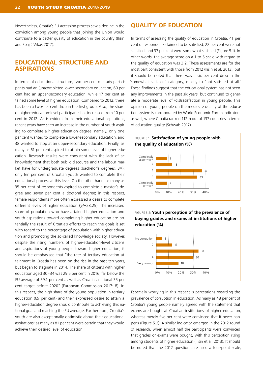Nevertheless, Croatia's EU accession process saw a decline in the conviction among young people that joining the Union would contribute to a better quality of education in the country (Ilišin and Spajić Vrkaš 2017).

#### **EDUCATIONAL STRUCTURE AND ASPIRATIONS**

In terms of educational structure, two per cent of study participants had an (un)completed lower-secondary education, 60 per cent had an upper-secondary education, while 17 per cent attained some level of higher education. Compared to 2012, there has been a two-per cent drop in the first group. Also, the share of higher-education-level participants has increased from 10 per cent in 2012. As is evident from their educational aspirations, recent years have seen an increase in the number of youth aspiring to complete a higher-education degree: namely, only one per cent wanted to complete a lower-secondary education, and 38 wanted to stop at an upper-secondary education. Finally, as many as 61 per cent aspired to attain some level of higher education. Research results were consistent with the lack of acknowledgment that both public discourse and the labour market have for undergraduate degrees (bachelor's degrees, BA): only ten per cent of Croatian youth wanted to complete their educational process at this level. On the other hand, as many as 35 per cent of respondents aspired to complete a master's degree and seven per cent a doctoral degree; in this respect, female respondents more often expressed a desire to complete different levels of higher education ( $\chi^2$ =28.25). The increased share of population who have attained higher education and youth aspirations toward completing higher education are potentially the result of Croatia's efforts to reach the goals it set with regard to the percentage of population with higher education and promoting the so-called knowledge society. However, despite the rising numbers of higher-education-level citizens and aspirations of young people toward higher education, it should be emphasised that "the rate of tertiary education attainment in Croatia has been on the rise in the past ten years, but began to stagnate in 2014. The share of citizens with higher education aged 30–34 was 29.5 per cent in 2016, far below the EU average of 39.1 per cent as well as Croatia's national 35 per cent target before 2020" (European Commission 2017: 8). In this respect, the high share of the young population in tertiary education (69 per cent) and their expressed desire to attain a higher-education degree should contribute to achieving this national goal and reaching the EU average. Furthermore, Croatia's youth are also exceptionally optimistic about their educational aspirations: as many as 81 per cent were certain that they would achieve their desired level of education.

#### **QUALITY OF EDUCATION**

In terms of assessing the quality of education in Croatia, 41 per cent of respondents claimed to be satisfied, 22 per cent were not satisfied, and 37 per cent were somewhat satisfied (Figure 5.1). In other words, the average score on a 1-to-5 scale with regard to the quality of education was 3.2. These assessments are for the most part consistent with those from 2012 (Ilišin et al. 2013), but it should be noted that there was a six per cent drop in the "somewhat satisfied" category, mostly to "not satisfied at all." These findings suggest that the educational system has not seen any improvements in the past six years, but continued to generate a moderate level of (dis)satisfaction in young people. This opinion of young people on the mediocre quality of the education system is corroborated by World Economic Forum indicators as well, where Croatia ranked 112th out of 137 countries in terms of education quality (Schwab 2017).



FIGURE 5.2: **Youth perception of the prevalence of buying grades and exams at institutions of higher education (%)**



Especially worrying in this respect is perceptions regarding the prevalence of corruption in education. As many as 48 per cent of Croatia's young people namely agreed with the statement that exams are bought at Croatian institutions of higher education, whereas merely five per cent were convinced that it never happens (Figure 5.2). A similar indicator emerged in the 2012 round of research, when almost half the participants were convinced that grades or exams were bought, with this perception rising among students of higher education (Ilišin et al. 2013). It should be noted that the 2012 questionnaire used a four-point scale,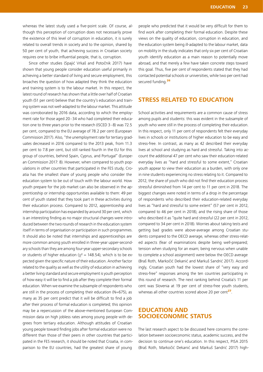whereas the latest study used a five-point scale. Of course, although this perception of corruption does not necessarily prove the existence of this level of corruption in education, it is surely related to overall trends in society and to the opinion, shared by 50 per cent of youth, that achieving success in Croatian society requires one to bribe influential people, that is, corruption.

Since other studies (Spajić Vrkaš and Potočnik 2017) have shown that young people consider education useful primarily in achieving a better standard of living and secure employment, this broaches the question of how adapted they think the education and training system is to the labour market. In this respect, the latest round of research has shown that a little over half of Croatian youth (51 per cent) believe that the country's education and training system was not well-adapted to the labour market. This attitude was corroborated by 2016 data, according to which the employment rate for those aged 20–34 who had completed their education one to three years prior to the research (ISCED 3–8) was 72.5 per cent, compared to the EU average of 78.2 per cent (European Commission 2017). Also, "the unemployment rate for tertiary graduates decreased in 2016 compared to the 2013 peak, from 11.3 per cent to 7.8 per cent, but still ranked fourth in the EU for this group of countries, behind Spain, Cyprus, and Portugal" (European Commission 2017: 8). However, when compared to youth populations in other countries that participated in the FES study, Croatia has the smallest share of young people who consider the education system to be out of touch with the labour world. How youth prepare for the job market can also be observed in the apprenticeship or internship opportunities available to them: 49 per cent of youth stated that they took part in these activities during their education process. Compared to 2012, apprenticeship and internship participation has expanded by around 30 per cent, which is an interesting finding as no major structural changes were introduced between the two rounds of research in the education system itself in terms of organisation or participation in such programmes. It should also be noted that internships and apprenticeships are more common among youth enrolled in three-year upper-secondary schools than they are among four-year upper-secondary schools or students of higher education ( $x^2 = 148.54$ ), which is to be expected given the specific nature of their education. Another factor related to the quality as well as the utility of education in achieving a better living standard and secure employment is youth perception of how easy it will be to find a job after they complete their formal education. When we examine the subsample of respondents who are still in the process of completing their education (N=675), as many as 35 per cent predict that it will be difficult to find a job after their process of formal education is completed; this opinion may be a repercussion of the above-mentioned European Commission data on high jobless rates among young people with degrees from tertiary education. Although attitudes of Croatian young people toward finding jobs after formal education were no different than those of their peers in other countries that participated in the FES research, it should be noted that Croatia, in comparison to the EU countries, had the greatest share of young

people who predicted that it would be very difficult for them to find work after completing their formal education. Despite these views on the quality of education, corruption in education, and the education system being ill-adapted to the labour market, data on mobility in the study indicates that only six per cent of Croatian youth identify education as a main reason to potentially move abroad, and that merely a few have taken concrete steps toward this goal. Thus, five per cent of respondents stated that they had contacted potential schools or universities, while two per cent had secured funding.<sup>26</sup>

#### **STRESS RELATED TO EDUCATION**

School activities and requirements are a common cause of stress among pupils and students: this was evident in the subsample of youth who were still in the process of completing their education. In this respect, only 11 per cent of respondents felt their everyday lives in schools or institutions of higher education to be easy and stress-free. In contrast, as many as 42 described their everyday lives at school and studying as hard and stressful. Taking into account the additional 47 per cent who saw their education-related everyday lives as "hard and stressful to some extent," Croatian youth appear to view their education as a burden, with only one in nine students experiencing no stress relating to it. Compared to 2012, the share of youth who did not find their education process stressful diminished from 14 per cent to 11 per cent in 2018. The biggest changes were noted in terms of a drop in the percentage of respondents who described their education-related everyday lives as "hard and stressful to some extent" (57 per cent in 2012, compared to 46 per cent in 2018), and the rising share of those who described it as "quite hard and stressful (22 per cent in 2012, compared to 34 per cent in 2018). Worries about taking tests and getting bad grades were above-average among Croatian students compared to the OECD average, whereas other stress-related aspects (fear of examinations despite being well-prepared; tension when studying for an exam; being nervous when unable to complete a school assignment) were below the OECD average (Braš Roth, Markočić Dekanić and Markuš Sandrić 2017). Accordingly, Croatian youth had the lowest share of "very easy and stress-free" responses among the ten countries participating in this round of research. The next ranking behind Croatia's 11 per cent was Slovenia at 19 per cent of stress-free youth students, whereas all other countries scored above 20 per cent<sup>27</sup>.

#### **EDUCATION AND SOCIOECONOMIC STATUS**

The last research aspect to be discussed here concerns the correlation between socioeconomic status, academic success, and the decision to continue one's education. In this respect, PISA 2015 (Braš Roth, Markočić Dekanić and Markuš Sandrić 2017) high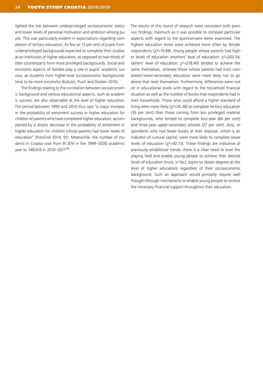lighted the link between underprivileged socioeconomic status and lower levels of personal motivation and ambition among pupils. This was particularly evident in expectations regarding completion of tertiary education. As few as 13 per cent of pupils from underprivileged backgrounds expected to complete their studies at an institution of higher education, as opposed to two-thirds of their counterparts from more privileged backgrounds. Social and economic aspects of families play a role in pupils' academic success, as students from higher-level socioeconomic backgrounds tend to be more successful (Košutić, Puzić and Doolan 2015).

The findings relating to the correlation between socioeconomic background and various educational aspects, such as academic success, are also observable at the level of higher education. The period between 1999 and 2010 thus saw "a major increase in the probability of enrolment success in higher education for children of parents who have completed higher education, accompanied by a drastic decrease in the probability of enrolment in higher education for children whose parents had lower levels of education" (Potočnik 2014: 91). Meanwhile, the number of students in Croatia rose from 91,874 in the 1999–2000 academic year to 148,616 in 2010–2011<sup>28</sup>.

The results of this round of research were consistent with previous findings, inasmuch as it was possible to compare particular aspects with regard to the questionnaire items examined. The highest education levels were achieved more often by female respondents ( $x^2$ =19.89). Young people whose parents had higher levels of education (mothers' level of education: χ<sup>2</sup>=203.34; fathers' level of education:  $\chi^2$ =218.40) tended to achieve the same themselves, whereas those whose parents had (not) completed lower-secondary education were more likely not to go above that level themselves. Furthermore, differences were noted in educational levels with regard to the household financial situation as well as the number of books that respondents had in their households. Those who could afford a higher standard of living were more likely ( $\chi^2$ =35.38) to complete tertiary education (35 per cent) than those coming from less privileged material backgrounds, who tended to complete four-year (60 per cent) and three-year upper-secondary schools (27 per cent). Also, respondents who had fewer books at their disposal, which is an indicator of cultural capital, were more likely to complete lower levels of education ( $x^2$ =92.73). These findings are indicative of previously established trends: there is a clear need to level the playing field and enable young people to achieve their desired levels of education (most, in fact, aspire to obtain degrees at the level of higher education) regardless of their socioeconomic background. Such an approach would primarily require wellthought-through mechanisms to enable young people to receive the necessary financial support throughout their education.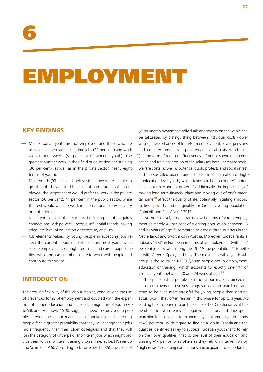## EMPLOYMENT

#### **KEY FINDINGS**

- Most Croatian youth are not employed, and those who are usually have permanent full-time jobs (22 per cent) and work 40-plus-hour weeks (51 per cent of working youth). The greatest number work in their field of education and training (36 per cent), as well as in the private sector (nearly eighttenths of youth).
- Most youth (93 per cent) believe that they were unable to get the job they desired because of bad grades. When employed, the largest share would prefer to work in the private sector (50 per cent), 41 per cent in the public sector, while the rest would want to work in international or civil society organisations.
- Most youth think that success in finding a job requires connections with powerful people, influential friends, having adequate level of education or expertise, and luck.
- Job elements valued by young people in accepting jobs reflect the current labour market situation: most youth want secure employment, enough free time, and career opportunities, while the least number aspire to work with people and contribute to society.

#### **INTRODUCTION**

The growing flexibility of the labour market, conducive to the rise of precarious forms of employment and coupled with the expansion of higher education and increased emigration of youth (Potočnik and Adamović 2018), suggest a need to study young people entering the labour market as a population at risk. Young people face a greater probability that they will change their jobs more frequently than their older colleagues and that they will join the category of underpaid, short-term jobs which might provide them with short-term training programmes at best (Caliendo and Schmidl 2016). According to I. Tomić (2015: 35), the costs of

youth unemployment for individuals and society on the whole can be calculated by distinguishing between individual costs (lower wages, lower chances of long-term employment, lower pensions and a greater frequency of poverty) and social costs, which take "[…] the form of reduced effectiveness of public spending on education and training, erosion of the salary tax base, increased social welfare costs, as well as potential public protests and social unrest, and the so-called brain drain in the form of emigration of higher-education-level youth, which takes a toll on a country's potential long-term economic growth." Additionally, the impossibility of making long-term financial plans and moving out of one's parental home $^{29}$  affect the quality of life, potentially initiating a vicious circle of poverty and marginality for Croatia's young population (Potočnik and Spajić Vrkaš 2017).

At the EU level, Croatia ranks low in terms of youth employment at merely 41 per cent of working population between 15 and 29 years of age,<sup>30</sup> compared to almost three-quarters in the Netherlands and two-thirds in Austria. Moreover, Croatia ranks a dubious "first" in European in terms of unemployment (with a 22 per cent jobless rate among the  $15-29$  age population)<sup>31</sup> together with Greece, Spain, and Italy. The most vulnerable youth subgroup is the so-called NEETs (young people not in employment, education or training), which accounts for exactly one-fifth of Croatian youth between 20 and 24 years of age.<sup>32</sup>

The phase when people join the labour market, preceding actual employment, involves things such as job-searching, and tends to be even more stressful for young people than starting actual work; they often remain in this phase for up to a year. According to Eurofound research results (2017), Croatia ranks at the head of the list in terms of negative indicators and time spent searching for a job: long-term unemployment among youth stands at 40 per cent. With regard to finding a job in Croatia and the qualities identified as key to success, Croatian youth tend to rely on their own qualities, that is, the level of their education and training (47 per cent) as often as they rely on intervention by "higher-ups," i.e., using connections and acquaintances, including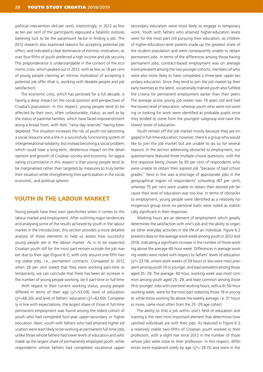political intervention (44 per cent). Interestingly, in 2012 as few as ten per cent of the participants espoused a fatalistic outlook, believing luck to be the paramount factor in finding a job. The 2012 research also examined reasons for accepting potential job offers, and indicated a clear dominance of extrinsic motivation, as over four-fifths of youth preferred a high income and job security. This preponderance is understandable in the context of the economic crisis, which peaked out in 2012, with as few as 18 per cent of young people claiming an intrinsic motivation of accepting a potential job offer (that is, working with likeable people and job satisfaction).

The economic crisis, which has persisted for a full decade, is having a deep impact on the social position and perspectives of Croatia's population. In this respect, young people tend to be affected by their own, often unfavourable, status, as well as by the status of parental families, which have faced impoverishment along a broad front, with their "rainy-day reserves" having been depleted. This situation increases the risk of youth not becoming a social resource and a link in a successfully functioning system of intergenerational solidarity, but instead becoming a social problem, which could have a long-term, deleterious impact on the development and growth of Croatian society and economy. An aggravating circumstance in this respect is that young people tend to be marginalised rather than targeted by measures to truly better their situation while strengthening their participation in the social, economic, and political spheres.

#### **YOUTH IN THE LABOUR MARKET**

Young people have their own specificities when it comes to the labour market and employment. After outlining major tendencies and analysing some of the results achieved by youth in the labour market in the Introduction, this section provides a more detailed analysis of those elements to help us assess how successful young people are in the labour market. As is to be expected, Croatian youth still for the most part remain outside the job market due to their age (Figure 6.1), with only around one-fifth having stable jobs, i.e., permanent contracts. Compared to 2012, when 29 per cent stated that they were working part-time or temporarily, we can conclude that there has been an increase in the number of young people working, be it part-time or full-time.

With regard to their current working status, young people differed in terms of their age ( $\chi^2$ =53.09), level of education  $(x^2=68.20)$ , and level of fathers' education  $(x^2=62.60)$ . Completely in line with expectations, the largest share of those in full-time permanent employment was found among the oldest cohort of youth who had completed four-year upper-secondary or higher education. Next, youth with fathers who had attained higher education were least likely to be working at permanent full-time jobs, unlike those whose fathers had lower levels of education and who made up the largest share of permanently employed youth, while respondents whose fathers had completed vocational uppersecondary education were most likely to engage in temporary work. Youth with fathers who attained higher-education levels were for the most part still pursuing their education, as children of higher-education-level parents made up the greatest share of the student population and were consequently unable to obtain permanent jobs. In terms of the differences among those having permanent jobs, contract-based employment was on average more prevalent among the two younger cohorts, members of who were also more likely to have completed a three-year upper-secondary education. Since they tend to join the job market by their early twenties at the latest, vocationally-trained youth also fulfilled the criteria for permanent employment earlier than their peers. The average active young job-seeker was 19 years old and had the lowest level of education, whereas youth who were not working or looking for work were identified as probable pupils since they tended to come from the youngest subgroup and have the lowest levels of education.

Youth remain off the job market mostly because they are engaged in full-time education; however, there is a group who would like to join the job market but are unable to do so for several reasons. In the section addressing obstacles to employment, our questionnaire featured three multiple-choice questions, with the first response being chosen by 93 per cent of respondents who were unable to obtain their aspired job "because of bad school grades." Next in line was a shortage of appropriate jobs in the geographical region of respondents' schooling (87 per cent), whereas 75 per cent were unable to obtain their desired job because their level of education was too low. In terms of obstacles to employment, young people were identified as a relatively homogenous group since no personal traits were noted as statistically significant in their responses.

Working hours are an element of employment which greatly determines the satisfaction with one's job and the ability to organise other everyday activities in the life of an individual. Figure 6.2 presents data on the average work-week among youth in 2012 and 2018, indicating a significant increase in the number of those working above the average 40-hour week. Differences in average working weeks were noted with respect to fathers' levels of education  $(y^2=33.19)$ , where work-weeks of 39 hours or less were most prevalent among youth 19 or younger, and least prevalent among those aged 25–29. The average, 40-hour, working week was most common among youth aged 25–29, and least common among those 19 or younger. Jobs with overtime working hours, with a 41-50-hour working week, were for the most part stated by those 19 or younger, while those working far above the weekly average, i.e. 51 hours or more, came most often from the 25–29 age cohort.

The ability to find a job within one's field of education and training is the next most important element that determines how satisfied individuals are with their jobs. As featured in Figure 6.3, a relatively stable two-fifths of Croatian youth worked in their profession, with a slight rise since 2012 in the number of those whose jobs were close to their profession. In this respect, differences were explained solely by age ( $\chi^2$  = 29.15) and were in the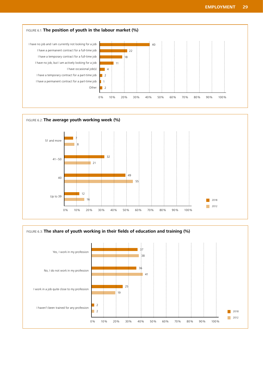



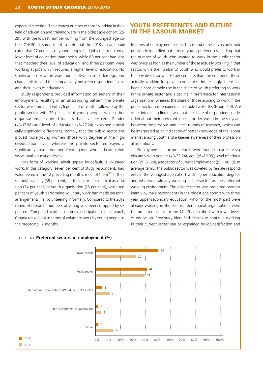expected direction. The greatest number of those working in their field of education and training were in the oldest age cohort (25- 29), with the lowest number coming from the youngest age cohort (14-19). It is important to note that the 2018 research indicated that 17 per cent of young people had jobs that required a lower level of education than their's, while 80 per cent had jobs that matched their level of education, and three per cent were working at jobs which required a higher level of education. No significant correlation was found between sociodemographic characteristics and the compatibility between respondents' jobs and their levels of education.

Study respondents provided information on sectors of their employment, resulting in an unsurprising pattern: the private sector was dominant with 76 per cent of youth, followed by the public sector with 20 per cent of young people, while other organisations accounted for less than five per cent. Gender  $(x^2=17.98)$  and level of education  $(x^2=27.24)$  explained statistically significant differences, namely that the public sector employed more young women (those with degrees at the higher-education level), whereas the private sector employed a significantly greater number of young men who had completed vocational-education levels.

One form of working, albeit unpaid by default, is volunteer work. In this category, seven per cent of study respondents had volunteered in the 12 preceding months, most of them<sup>33</sup> at their school/university (35 per cent), in their sports or musical association (34 per cent) or youth organisation (18 per cent), while ten per cent of youth performing voluntary work had made personal arrangements, i.e. volunteering informally. Compared to the 2012 round of research, numbers of young volunteers dropped by six per cent. Compared to other countries participating in the research, Croatia ranked last in terms of voluntary work by young people in the preceding 12 months.

#### **YOUTH PREFERENCES AND FUTURE IN THE LABOUR MARKET**

In terms of employment sector, this round of research confirmed previously identified patterns of youth preferences, finding that the number of youth who wanted to work in the public sector was twice as high as the number of those actually working in that sector, while the number of youth who would prefer to work in the private sector was 30 per cent less than the number of those actually working for private companies. Interestingly, there has been a considerable rise in the share of youth preferring to work in the private sector and a decline in preference for international organisations, whereas the share of those aspiring to work in the public sector has remained at a stable two-fifths (Figure 6.4). Another interesting finding was that the share of respondents undecided about their preferred job sector decreased in the six years between the previous and latest rounds of research, which can be interpreted as an indication of better knowledge of the labour market among youth and a keener awareness of their professional aspirations.

Employment sector preferences were found to correlate significantly with gender ( $\chi^2$ =33.24), age ( $\chi^2$ =19.09), level of education ( $\chi^2$ =31.24), and sector of current employment ( $\chi^2$ =146.12). In average terms, the public sector was coveted by female respondents in the youngest age cohort with higher education degrees and who were already working in the sector, as the preferred working environment. The private sector was preferred predominantly by male respondents in the oldest age cohort with threeyear upper-secondary education, who for the most part were already working in the sector. International organisations were the preferred sector for the 14–19 age cohort with lower levels of education. Previously identified desires to continue working in their current sector can be explained by job satisfaction and

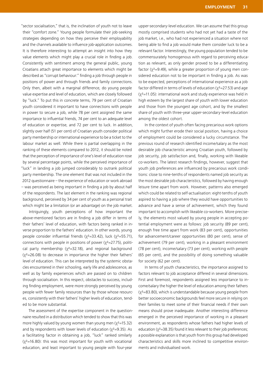"sector socialisation," that is, the inclination of youth not to leave their "comfort zone." Young people formulate their job-seeking strategies depending on how they perceive their employability and the channels available to influence job-application outcomes. It is therefore interesting to attempt an insight into how they value elements which might play a crucial role in finding a job. Consistently with sentiment among the general public, young Croatians attach great importance to elements which might be described as "corrupt behaviour:" finding a job through people in positions of power and through friends and family connections. Only then, albeit with a marginal difference, do young people value expertise and level of education, which are closely followed by "luck." To put this in concrete terms, 79 per cent of Croatian youth considered it important to have connections with people in power to secure a job, while 78 per cent assigned the same importance to influential friends, 74 per cent to an adequate level of education or expertise, and 72 per cent to luck. In addition, slightly over half (51 per cent) of Croatian youth consider political party membership or international experience to be a ticket to the labour market as well. While there is partial overlapping in the ranking of these elements compared to 2012, it should be noted that the perception of importance of one's level of education rose by several percentage points, while the perceived importance of "luck" in landing a job jumped considerably to outrank political party membership. The one element that was not included in the 2012 questionnaire – the experience of education or work abroad – was perceived as being important in finding a job by about half of the respondents. The last element in the ranking was regional background, perceived by 34 per cent of youth as a personal trait which might be a limitation (or an advantage) on the job market.

Intriguingly, youth perceptions of how important the above-mentioned factors are in finding a job differ in terms of their fathers' level of education, with factors being ranked in inverse proportion to the fathers' education. In other words, young people consider influential friends (χ<sup>2</sup>=33.42), luck (χ<sup>2</sup>=55.71), connections with people in positions of power ( $\chi^2$ =27.75), political party membership ( $\chi^2$ =32.18), and regional background  $(x^2=26.08)$  to decrease in importance the higher their fathers' level of education. This can be interpreted by the systemic obstacles encountered in their schooling, early life and adolescence, as well as by family experiences which are passed on to children through socialisation. In this respect, obstacles to success, including finding employment, were more strongly perceived by young people with fewer family resources than by those whose resources, consistently with their fathers' higher levels of education, tended to be more substantial.

The assessment of the expertise component in the questionnaire resulted in a distribution which tended to show that this was more highly valued by young women than young men  $(\chi^2=15.32)$ and by respondents with lower levels of education ( $\chi^2$ =9.35). As a facilitating factor in obtaining a job, "luck" ranked similarly  $(y^2=16.80)$ : this was most important for youth with vocational education, and least important to young people with four-year

upper-secondary-level education. We can assume that this group mostly comprised students who had not yet had a taste of the job market, i.e., who had not experienced a situation where not being able to find a job would make them consider luck to be a relevant factor. Interestingly, the young population tended to be commensurately homogenous with regard to perceiving education as relevant, as only gender proved to be a differentiating factor ( $\chi^2$ =9.49), while a greater proportion of young men considered education not to be important in finding a job. As was to be expected, perceptions of international experience as a job factor differed in terms of levels of education ( $\chi^2$ =27.53) and age  $(\chi^2=11.05)$ : international work and study experience was held in high esteem by the largest share of youth with lower education and those from the youngest age cohort, and by the smallest share of youth with three-year upper-secondary-level education among the oldest cohort.

In the context of youth often facing precarious work options which might further erode their social position, having a choice of employment could be considered a lucky circumstance. The previous round of research identified income/salary as the most desirable job characteristic among Croatian youth, followed by job security, job satisfaction and, finally, working with likeable co-workers. The latest research findings, however, suggest that youth job preferences are influenced by precarious work conditions: close to nine-tenths of respondents named job security as the most desirable job characteristics, followed by having enough leisure time apart from work. However, patterns also emerged which could be related to self-actualisation: eight-tenths of youth aspired to having a job where they would have opportunities to advance and have a sense of achievement, which they found important to accomplish with likeable co-workers. More precisely, the elements most valued by young people in accepting potential employment were as follows: job security (89 per cent), enough free time apart from work (83 per cent), opportunities for advancement/career opportunities (80 per cent), sense of achievement (79 per cent), working in a pleasant environment (78 per cent), income/salary (73 per cent), working with people (65 per cent), and the possibility of doing something valuable for society (62 per cent).

In terms of youth characteristics, the importance assigned to factors relevant to job acceptance differed in several dimensions. First and foremost, respondents assigned less importance to income/salary the higher the level of education among their fathers  $(x^2=83.80)$ , which is understandable because young people from better socioeconomic backgrounds feel more secure in relying on their families to meet some of their financial needs if their own means should prove inadequate. Another interesting difference emerged in the perceived importance of working in a pleasant environment, as respondents whose fathers had higher levels of education ( $\chi^2$ =38.35) found it less relevant to their job preferences; a possible explanation is that youth from this group had developed characteristics and skills more inclined to competitive environments and individualised work.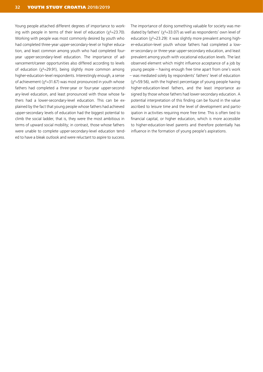Young people attached different degrees of importance to working with people in terms of their level of education  $(y^2=23.70)$ . Working with people was most commonly desired by youth who had completed three-year upper-secondary-level or higher education, and least common among youth who had completed fouryear upper-secondary-level education. The importance of advancement/career opportunities also differed according to levels of education ( $x^2$ =29.91), being slightly more common among higher-education-level respondents. Interestingly enough, a sense of achievement ( $\chi^2$ =31.67) was most pronounced in youth whose fathers had completed a three-year or four-year upper-secondary-level education, and least pronounced with those whose fathers had a lower-secondary-level education. This can be explained by the fact that young people whose fathers had achieved upper-secondary levels of education had the biggest potential to climb the social ladder, that is, they were the most ambitious in terms of upward social mobility; in contrast, those whose fathers were unable to complete upper-secondary-level education tended to have a bleak outlook and were reluctant to aspire to success.

The importance of doing something valuable for society was mediated by fathers' (χ<sup>2</sup>=33.07) as well as respondents' own level of education (χ<sup>2</sup>=23.29): it was slightly more prevalent among higher-education-level youth whose fathers had completed a lower-secondary or three-year upper-secondary education, and least prevalent among youth with vocational education levels. The last observed element which might influence acceptance of a job by young people – having enough free time apart from one's work – was mediated solely by respondents' fathers' level of education  $(y^2=59.56)$ , with the highest percentage of young people having higher-education-level fathers, and the least importance assigned by those whose fathers had lower-secondary education. A potential interpretation of this finding can be found in the value ascribed to leisure time and the level of development and participation in activities requiring more free time. This is often tied to financial capital, or higher education, which is more accessible to higher-education-level parents and therefore potentially has influence in the formation of young people's aspirations.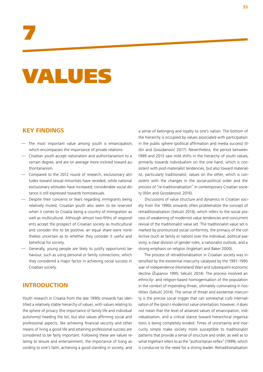# 7

# VALUES

### **KEY FINDINGS**

- The most important value among youth is emancipation, which encompasses the importance of private relations.
- Croatian youth accept nationalism and authoritarianism to a certain degree, and are on average more inclined toward authoritarianism.
- Compared to the 2012 round of research, exclusionary attitudes toward sexual minorities have receded, while national exclusionary attitudes have increased; considerable social distance is still expressed towards homosexuals.
- Despite their concerns or fears regarding immigrants being relatively muted, Croatian youth also seem to be reserved when it comes to Croatia being a country of immigration as well as multicultural. Although almost two-fifths of respondents accept the prospect of Croatian society as multicultural and consider this to be positive, an equal share were nonetheless uncertain as to whether they consider it useful and beneficial for society.
- Generally, young people are likely to justify opportunist behaviour, such as using personal or family connections, which they considered a major factor in achieving social success in Croatian society.

### **INTRODUCTION**

Youth research in Croatia from the late 1990s onwards has identified a relatively stable hierarchy of values, with values relating to the sphere of privacy (the importance of family life and individual autonomy) heading the list, but also values affirming social and professional aspects, like achieving financial security and other means of living a good life and attaining professional success are considered to be fairly important. Following these are values relating to leisure and entertainment, the importance of living according to one's faith, achieving a good standing in society, and

a sense of belonging and loyalty to one's nation. The bottom of the hierarchy is occupied by values associated with participation in the public sphere (political affirmation and media success) (Ilišin and Gvozdanović 2017). Nevertheless, the period between 1999 and 2013 saw mild shifts in the hierarchy of youth values, primarily towards individualism on the one hand, which is consistent with post-materialist tendencies, but also toward materialist, particularly traditionalist, values on the other, which is consistent with the changes in the social-political order and the process of "re-traditionalisation" in contemporary Croatian society (Ilišin and Gvozdanović 2016).

Discussions of value structure and dynamics in Croatian society from the 1990s onwards often problematize the concept of retraditionalisation (Sekulić 2014), which refers to the social process of weakening of modernist value tendencies and concurrent revival of the traditionalist value set. The traditionalist value set is marked by pronounced social conformity, the primacy of the collective (such as family or nation) over the individual, political passivity, a clear division of gender roles, a nationalist outlook, and a strong emphasis on religion (Inglehart and Baker 2000).

The process of retraditionalisation in Croatian society was intensified by the existential insecurity catalysed by the 1991–1995 war of independence (Homeland War) and subsequent economic decline (Županov 1995; Sekulić 2014). The process involved an ethnicity- and religion-based homogenisation of the population in the context of impending threat, ultimately culminating in hostilities (Sekulić 2014). The sense of threat and existential insecurity is the precise social trigger that can somewhat curb internalisation of the (post-) modernist value orientation; however, it does not mean that the level of attained values of emancipation, individualisation, and a critical stance toward hierarchical organisations is being completely eroded. Times of uncertainty and insecurity simply make society more susceptible to traditionalist patterns that provide a sense of structure and order, as well as to what Inglehart refers to as the "authoritarian reflex" (1999), which is conducive to the need for a strong leader. Retraditionalisation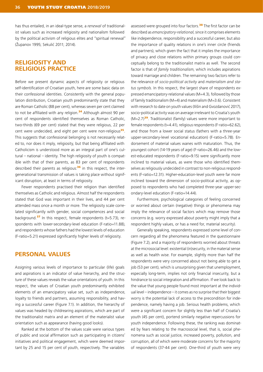has thus entailed, in an ideal-type sense, a *renewal* of traditionalist values such as increased religiosity and nationalism followed by the political activism of religious elites and "spiritual renewal" (Županov 1995; Sekulić 2011; 2014).

### **RELIGIOSITY AND RELIGIOUS PRACTICE**

Before we present dynamic aspects of religiosity or religious self-identification of Croatian youth, here are some basic data on their confessional identities. Consistently with the general population distribution, Croatian youth predominantly state that they are Roman Catholic (88 per cent), whereas seven per cent claimed to not be affiliated with any religion.<sup>34</sup> Although almost 90 per cent of respondents identified themselves as Roman Catholic, two-thirds (69 per cent) stated that they were religious, 22 per cent were undecided, and eight per cent were non-religious<sup>35</sup>. This suggests that confessional belonging is not necessarily related to, nor does it imply, religiosity, but that being affiliated with Catholicism is understood more as an integral part of one's cultural – national – identity. The high religiosity of youth is compatible with that of their parents, as 83 per cent of respondents described their parents as religious: $36$  in this respect, the intergenerational transmission of values is taking place without significant disruption, at least in terms of religiosity.

Fewer respondents practised their religion than identified themselves as Catholic and religious. Almost half the respondents stated that God was important in their lives, and 44 per cent attended mass once a month or more. The religiosity scale correlated significantly with gender, social competences and social background.<sup>37</sup> In this respect, female respondents ( $t=5.73$ ), respondents with lower-secondary-level education (F-ratio=11.88), and respondents whose fathers had the lowest levels of education (F-ratio=5.21) expressed significantly higher levels of religiosity.

### **PERSONAL VALUES**

Assigning various levels of importance to particular (life) goals and aspirations is an indicator of value hierarchy, and the structure of these values reveals the value orientations of youth. In this respect, the values of Croatian youth predominantly exhibited elements of an emancipatory value set, such as independence, loyalty to friends and partners, assuming responsibility, and having a successful career (Figure 7.1). In addition, the hierarchy of values was headed by childrearing aspirations, which are part of the traditionalist matrix and an element of the materialist value orientation such as appearance (having good looks).

Ranked at the bottom of the values scale were various types of public and social affirmation such as participating in citizens' initiatives and political engagement, which were deemed important by 25 and 15 per cent of youth, respectively. The variables

assessed were grouped into four factors.<sup>38</sup> The first factor can be described as *emancipatory-relational*, since it comprises elements like independence, responsibility and a successful career, but also the importance of quality relations in one's inner circle (friends and partners), which given the fact that it implies the importance of privacy and close relations within primary groups could conceptually belong to the traditionalist matrix as well. The second factor is that of *family traditionalism*, which includes aspirations toward marriage and children. The remaining two factors refer to the relevance of *socio-political activity* and *materialism and status symbols*. In this respect, the largest share of respondents expressed emancipatory-relational values (M=4.3), followed by those of family traditionalism (M=4) and materialism (M=3.6). Consistent with research to date on youth values (Ilišin and Gvozdanović 2017), socio-political activity was on average irrelevant to Croatia's youth  $(M=2.7)$ <sup>39</sup>. Traditionalist (family) values were more important to female respondents (t=4.41), religious respondents (F-ratio=62.62), and those from a lower social status (fathers with a three-year upper-secondary-level vocational education) (F-ratio=5.78). Endorsement of material values wanes with maturation. Thus, the youngest cohort (14-19 years of age) (F-ratio=26.46) and the lowest-educated respondents (F-ratio=9.15) were significantly more inclined to material values, as were those who identified themselves as religiously undecided in contrast to non-religious respondents (F-ratio=12.31). Higher-education-level youth were far more inclined toward the dimension of socio-political activity, as opposed to respondents who had completed three-year upper-secondary-level education (F-ratio=14.44).

Furthermore, psychological categories of feeling concerned or worried about certain (negative) things or phenomena may imply the relevance of social factors which may remove those concerns (e.g. worry expressed about poverty might imply that a respondent highly values, or has a need for, material security).

Generally speaking, respondents expressed some level of concern regarding all the phenomena featured in the questionnaire (Figure 7.2), and a majority of respondents worried about threats at the microsocial level: existential (in)security, in the material sense as well as health wise. For example, slightly more than half the respondents were very concerned about not being able to get a job (53 per cent), which is unsurprising given that unemployment, especially long-term, implies not only financial insecurity, but a hindrance to social integration and affirmation. If we look back to the value that young people found most important at the individual level – independence – it comes as no surprise that their biggest worry is the potential lack of access to the precondition for independence, namely having a job. Serious health problems, which were a significant concern for slightly less than half of Croatia's youth (45 per cent), portend similarly negative repercussions for youth independence. Following these, the ranking was dominated by fears relating to the macrosocial level, that is, social phenomena such as social justice, increased poverty, pollution, and corruption, all of which were moderate concerns for the majority of respondents (37-44 per cent). One-third of youth were very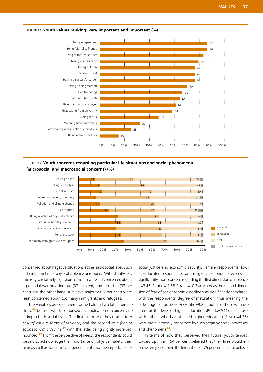

FIGURE 7.2: **Youth concerns regarding particular life situations and social phenomena (microsocial and macrosocial concerns) (%)**



concerned about negative situations at the microsocial level, such as being a victim of physical violence or robbery. With slightly less intensity, a relatively high share of youth were still concerned about a potential war breaking out (37 per cent) and terrorism (33 per cent). On the other hand, a relative majority (37 per cent) were least concerned about too many immigrants and refugees.

The variables assessed were formed along two latent dimensions,<sup>40</sup> both of which comprised a combination of concerns relating to both social levels. The first factor was thus related to *a fear of various forms of violence*, and the second to *a fear of socioeconomic decline*, <sup>41</sup> with the latter being slightly more pronounced.<sup>42</sup> From the perspective of needs, the respondents could be said to acknowledge the importance of (physical) safety, their own as well as for society in general, but also the importance of

social justice and economic security. Female respondents, lowest-educated respondents, and religious respondents expressed significantly more concern regarding the first dimension of violence (t=3.46; F-ratio=11.58; F-ratio=10.34), whereas the second dimension of fear of socioeconomic decline was significantly correlated with the respondents' degree of maturation, thus meaning the oldest age cohort (25-29) (F-ratio=9.22), but also those with degrees at the level of higher education (F-ratio=9.17) and those with fathers who had attained higher education (F-ratio=4.35) were more intensely concerned by such negative social processes and phenomena<sup>43</sup>.

In terms of how they perceived their future, youth tended toward optimism: 64 per cent believed that their lives would improve ten years down the line, whereas 25 per cent did not believe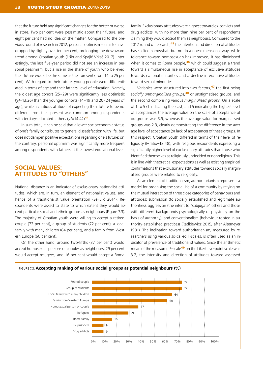that the future held any significant changes for the better or worse in store. Two per cent were pessimistic about their future, and eight per cent had no idea on the matter. Compared to the previous round of research in 2012, personal optimism seems to have dropped by slightly over ten per cent, prolonging the downward trend among Croatian youth (llišin and Spajić Vrkaš 2017). Interestingly, the last five-year period did not see an increase in personal pessimism, but a rise in the share of youth who believed their future would be the same as their present (from 14 to 25 per cent). With regard to their future, young people were differentiated in terms of age and their fathers' level of education. Namely, the oldest age cohort (25–29) were significantly less optimistic  $(y^2=13.26)$  than the younger cohorts (14–19 and 20–24 years of age), while a cautious attitude of expecting their future to be no different from their present was common among respondents with tertiary-educated fathers  $(y^2=14.42)^{44}$ .

In sum total, it can be said that a lower socioeconomic status of one's family contributes to general dissatisfaction with life, but does not dampen positive expectations regarding one's future: on the contrary, personal optimism was significantly more frequent among respondents with fathers at the lowest educational level.

### **SOCIAL VALUES: ATTITUDES TO "OTHERS"**

National distance is an indicator of exclusionary nationalist attitudes, which are, in turn, an element of nationalist values, and hence of a traditionalist value orientation (Sekulić 2014). Respondents were asked to state to which extent they would accept particular social and ethnic groups as neighbours (Figure 7.3). The majority of Croatian youth were willing to accept a retired couple (72 per cent), a group of students (72 per cent), a local family with many children (64 per cent), and a family from Western Europe (60 per cent).

On the other hand, around two-fifths (37 per cent) would accept homosexual persons or couples as neighbours, 29 per cent would accept refugees, and 16 per cent would accept a Roma

family. Exclusionary attitudes were highest toward ex-convicts and drug addicts, with no more than nine per cent of respondents claiming they would accept them as neighbours. Compared to the 2012 round of research,<sup>45</sup> the intention and direction of attitudes has shifted somewhat, but not in a one-dimensional way: while tolerance toward homosexuals has improved, it has diminished when it comes to Roma people, $46$  which could suggest a trend toward a simultaneous rise in acceptance of exclusive attitudes towards national minorities and a decline in exclusive attitudes toward sexual minorities.

Variables were structured into two factors,<sup>47</sup> the first being *socially unmarginalised groups*, <sup>48</sup> or unstigmatised groups, and the second comprising various *marginalised groups*. On a scale of 1 to 5 (1 indicating the least, and 5 indicating the highest level of acceptance), the average value on the scale of acceptance of outgroups was 3.9, whereas the average value for marginalised groups was 2.3, clearly demonstrating the difference in the average level of acceptance (or lack of acceptance) of these groups. In this respect, Croatian youth differed in terms of their level of religiosity (F-ratio=18.48), with religious respondents expressing a significantly higher level of exclusionary attitudes than those who identified themselves as religiously undecided or nonreligious. This is in line with theoretical expectations as well as existing empirical confirmations that exclusionary attitudes towards socially marginalised groups were related to religiosity.

As an element of traditionalism, authoritarianism represents a model for organising the social life of a community by relying on the mutual interaction of three close categories of behaviours and attitudes: submission (to socially established and legitimate authorities), aggression (the intent to "subjugate" others and those with different backgrounds psychologically or physically on the basis of authority), and conventionalism (behaviour rooted in authority-established practices) (Radkiewicz 2015, after Altemeyer 1981). The inclination toward authoritarianism, measured by researchers using various so-called F-scales, is often used as an indicator of prevalence of traditionalist values. Since the arithmetic mean of the measured F-scale<sup>49</sup> on the Likert five-point scale was 3.2, the intensity and direction of attitudes toward assessed

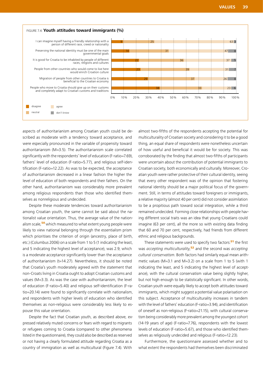

aspects of authoritarianism among Croatian youth could be described as moderate with a tendency toward acceptance, and were especially pronounced in the variable of propensity toward authoritarianism (M=3.5). The authoritarianism scale correlated significantly with the respondents' level of education (F-ratio=7.69), fathers' level of education (F-ratio=5.77), and religious self-identification (F-ratio=12.22). As was to be expected, the acceptance of authoritarianism decreased in a linear fashion the higher the level of education of both respondents and their fathers. On the other hand, authoritarianism was considerably more prevalent among religious respondents than those who identified themselves as nonreligious and undecided.

Despite these moderate tendencies toward authoritarianism among Croatian youth, the same cannot be said about the nationalist value orientation. Thus, the average value of the nationalism scale,<sup>50</sup> which measured to what extent young people were likely to view national belonging through the essentialism prism which prioritises the criterion of origin (ancestry, place of birth, etc.) (Columbus 2006) on a scale from 1 to 5 (1 indicating the least, and 5 indicating the highest level of acceptance), was 2.9, which is a moderate acceptance significantly lower than the acceptance of authoritarianism (t=14.27). Nevertheless, it should be noted that Croatia's youth moderately agreed with the statement that non-Croats living in Croatia ought to adopt Croatian customs and values (M=3.3). As was the case with authoritarianism, the level of education (F-ratio=5.40) and religious self-identification (F-ratio=20.14) were found to significantly correlate with nationalism, and respondents with higher levels of education who identified themselves as non-religious were considerably less likely to espouse this value orientation.

Despite the fact that Croatian youth, as described above, expressed relatively muted concerns or fears with regard to migrants or refugees coming to Croatia (compared to other phenomena listed in the questionnaire), they could also be described as reserved or not having a clearly formulated attitude regarding Croatia as a country of immigration as well as multicultural (Figure 7.4). With

almost two-fifths of the respondents accepting the potential for multiculturality of Croatian society and considering it to be a good thing, an equal share of respondents were nonetheless uncertain of how useful and beneficial it would be for society. This was corroborated by the finding that almost two-fifths of participants were uncertain about the contribution of potential immigrants to Croatian society, both economically and culturally. Moreover, Croatian youth were rather protective of their cultural identity, seeing that every other respondent was of the opinion that fostering national identity should be a major political focus of the government. Still, in terms of attitudes toward foreigners or immigrants, a relative majority (almost 40 per cent) did not consider assimilation to be a propitious path toward social integration, while a third remained undecided. Forming close relationships with people having different social traits was an idea that young Croatians could imagine (63 per cent), all the more so with existing data finding that 60 and 70 per cent, respectively, had friends from different ethnic and religious backgrounds.

These statements were used to specify two factors:<sup>51</sup> the first was *accepting multiculturality*, <sup>52</sup> and the second was *accepting cultural conservatism*. Both factors had similarly equal mean arithmetic values (M=3.1 and M=3.2) on a scale from 1 to 5 (with 1 indicating the least, and 5 indicating the highest level of acceptance), with the cultural conservatism value being slightly higher, but not high enough to be statistically significant. In other words, Croatian youth were equally likely to accept both attitudes toward immigrants, which might suggest a potential value polarisation on this subject. Acceptance of multiculturality increases in tandem with the level of fathers' education (F-ratio=3.94), and identification of oneself as non-religious (F-ratio=21.15), with cultural conservatism being considerably more prevalent among the youngest cohort (14-19 years of age) (F-ratio=7.76), respondents with the lowest levels of education (F-ratio=5.67), and those who identified themselves as religiously undecided and religious (F-ratio=12.23).

Furthermore, the questionnaire assessed whether and to what extent the respondents had themselves been discriminated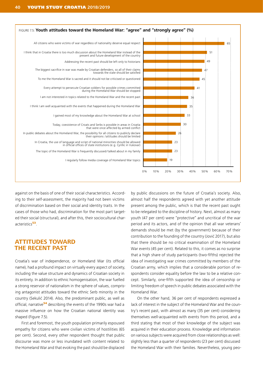

against on the basis of one of their social characteristics. According to their self-assessment, the majority had not been victims of discrimination based on their social and identity traits. In the cases of those who had, discrimination for the most part targeted their social (structural), and after this, their sociocultural characteristics<sup>53</sup>.

### **ATTITUDES TOWARD THE RECENT PAST**

Croatia's war of independence, or Homeland War (its official name), had a profound impact on virtually every aspect of society, including the value structure and dynamics of Croatian society in its entirety. In addition to ethnic homogenisation, the war fuelled a strong reservoir of nationalism in the sphere of values, comprising antagonist attitudes toward the ethnic Serb minority in the country (Sekulić 2014). Also, the predominant public, as well as official, narrative<sup>54</sup> describing the events of the 1990s war had a massive influence on how the Croatian national identity was shaped (Figure 7.5).

First and foremost, the youth population primarily espoused empathy for citizens who were civilian victims of hostilities (65 per cent). Second, every other respondent thought that public discourse was more or less inundated with content related to the Homeland War and that evoking the past should be displaced

by public discussions on the future of Croatia's society. Also, almost half the respondents agreed with yet another attitude present among the public, which is that the recent past ought to be relegated to the discipline of history. Next, almost as many youth (47 per cent) were "protective" and uncritical of the war period and its actors, and of the opinion that all war veterans' demands should be met (by the government) because of their contribution to the founding of the country (Jović 2017), but also that there should be no critical examination of the Homeland War events (45 per cent). Related to this, it comes as no surprise that a high share of study participants (two-fifths) rejected the idea of investigating war crimes committed by members of the Croatian army, which implies that a considerable portion of respondents consider equality before the law to be a relative concept. Similarly, one-fifth supported the idea of censorship or limiting freedom of speech in public debates associated with the Homeland War.

On the other hand, 36 per cent of respondents expressed a lack of interest in the subject of the Homeland War and the country's recent past, with almost as many (35 per cent) considering themselves well-acquainted with events from this period, and a third stating that most of their knowledge of the subject was acquired in their education process. Knowledge and information on various subjects were acquired from close relationships as well: slightly less than a quarter of respondents (23 per cent) discussed the Homeland War with their families. Nevertheless, young peo-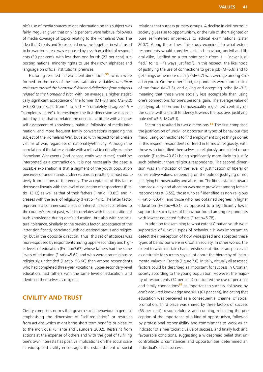ple's use of media sources to get information on this subject was fairly irregular, given that only 19 per cent were habitual followers of media coverage of topics relating to the Homeland War. The idea that Croats and Serbs could now live together in what used to be war-torn areas was espoused by less than a third of respondents (30 per cent), with less than one-fourth (23 per cent) supporting national minority rights to use their own alphabet and language on official institutional premises.

Factoring resulted in two latent dimensions<sup>55</sup>, which were formed on the basis of the most saturated variables: *uncritical attitudes toward the Homeland War* and *deflection from subjects related to the Homeland War*, with, on average, a higher statistically significant acceptance of the former (M1=3.1 and M2=3.0; t=3.58) on a scale from 1 to 5 (1 – "completely disagree;"  $5 -$ "completely agree"). Interestingly, the first dimension was constituted by a set that correlated the uncritical attitude with a higher self-assessment of knowledge, habitual following of media information, and more frequent family conversations regarding the subject of the Homeland War, but also with respect for all civilian victims of war, regardless of nationality/ethnicity. Although the correlation of the latter variable with a refusal to critically examine Homeland War events (and consequently war crimes) could be interpreted as a contradiction, it is not necessarily the case: a possible explanation is that a segment of the youth population perceives or understands civilian victims as resulting almost exclusively from actions of the enemy. The acceptance of this factor decreases linearly with the level of education of respondents (F-ratio=13.12) as well as that of their fathers (F-ratio=10.85), and increases with the level of religiosity (F-ratio=47.1). The latter factor represents a commensurate lack of interest in subjects related to the country's recent past, which correlates with the acquisition of such knowledge during one's education, but also with sociocultural tolerance. Similarly to the previous factor, acceptance of the latter significantly correlated with educational status and religiosity, but in the opposite direction. Thus, this set of attitudes was more espoused by respondents having upper-secondary and higher levels of education (F-ratio=7.67) whose fathers had the same levels of education (F-ratio=5.62) and who were non-religious or religiously undecided (F-ratio=58.66) than among respondents who had completed three-year vocational upper-secondary-level education, had fathers with the same level of education, and identified themselves as religious.

### **CIVILITY AND TRUST**

Civility comprises norms that govern social behaviour in general, emphasising the dimension of "self-regulation" or restraint from actions which might bring short-term benefits or pleasure to the individual (Billante and Saunders 2002). Restraint from actions at the expense of others and with the goal of fulfilling one's own interests has positive implications on the social scale, as widespread civility encourages the establishment of social

relations that surpass primary groups. A decline in civil norms in society gives rise to opportunism, or the rule of short-sighted or pure self-interest impervious to ethical examinations (Elster 2007). Along these lines, this study examined to what extent respondents would consider certain behaviour, uncivil and liberal alike, justified on a ten-point scale (from  $1 -$  "never justified," to  $10 -$ "always justified"). In this respect, the likelihood of justifying the use of connections to get a job (M=5.8) and to get things done more quickly (M=5.7) was average among Croatian youth. On the other hand, respondents were more critical of tax fraud (M=3.5), and giving and accepting bribe (M=3.3), meaning that these were socially less acceptable than using one's connections for one's personal gain. The average value of justifying abortion and homosexuality registered centrally on the scale, with a (mild) tendency towards the positive, justifying pole (M1=5.3, M2=5.1).

Factoring resulted in two dimensions.<sup>56</sup> The first comprised the justification of uncivil or opportunist types of behaviour (tax fraud, using connections to find employment or get things done): in this respect, respondents differed in terms of religiosity, with those who identified themselves as religiously undecided or uncertain (F-ratio=20.82) being significantly more likely to justify such behaviour than religious respondents. The second dimension was an indicator of the level of justification of liberal or conservative values, depending on the pole of justifying or not justifying homosexuality and abortion. The liberal stance toward homosexuality and abortion was more prevalent among female respondents (t=3.55), those who self-identified as non-religious (F-ratio=60.47), and those who had obtained degrees in higher education (F-ratio=9.81), as opposed to a significantly lower support for such types of behaviour found among respondents with lowest-educated fathers (F-ratio=6.78).

In addition to examining to what extent Croatian youth were supportive of (un)civil types of behaviour, it was important to detect their perception of how widespread and accepted these types of behaviour were in Croatian society. In other words, the extent to which certain characteristics or attributes are perceived as desirable for success says a lot about the hierarchy of instrumental values in Croatia (Figure 7.6). Initially, virtually all assessed factors could be described as important for success in Croatian society according to the young population. However, the majority of respondents (74 per cent) considered the use of personal and family connections $57$  as important to success, followed by one's acquired knowledge and skills (67 per cent), indicating that education was perceived as a consequential channel of social promotion. Third place was shared by three factors of success (65 per cent): resourcefulness and cunning, reflecting the perception of the importance of a kind of opportunism, followed by professional responsibility and commitment to work as an indicator of a meritocratic value of success, and finally luck and favourable conditions, suggesting a widespread belief that uncontrollable circumstances and opportunities determined an individual's social success.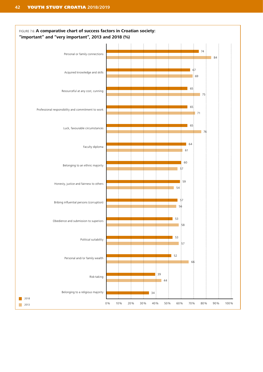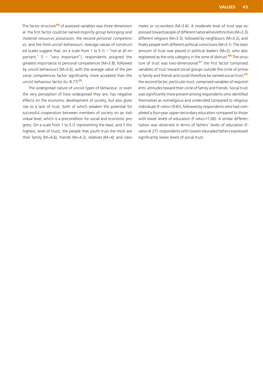The factor structure<sup>58</sup> of assessed variables was three-dimensional: the first factor could be named *majority group belonging and material resources possession*, the second *personal competences*, and the third *uncivil behaviours*. Average values of constructed scales suggest that, on a scale from 1 to 5  $(1 -$  "not at all important,"  $5 -$  "very important"), respondents assigned the greatest importance to personal competences (M=3.8), followed by uncivil behaviours (M=3.6), with the average value of the personal competences factor significantly more accepted than the uncivil behaviour factor (t=-8.77)<sup>59</sup>

The widespread nature of uncivil types of behaviour, or even the very perception of how widespread they are, has negative effects on the economic development of society, but also gives rise to a lack of trust, both of which weaken the potential for successful cooperation between members of society on an individual level, which is a precondition for social and economic progress. On a scale from 1 to 5 (1 representing the least, and 5 the highest, level of trust), the people that youth trust the most are their family (M=4.6), friends (M=4.2), relatives (M=4), and classmates or co-workers (M=3.6). A moderate level of trust was expressed toward people of different nationalities/ethnicities (M=3.3), different religions (M=3.3), followed by neighbours (M=3.2), and finally people with different political convictions (M=3.1). The least amount of trust was placed in political leaders (M=2), who also registered as the only category in the zone of distrust.<sup>60</sup> The structure of trust was two-dimensional:<sup>61</sup> the first factor comprised variables of trust toward social groups outside the circle of primary family and friends and could therefore be named *social trust*; 62 the second factor, *particular trust*, comprised variables of respondents' attitudes toward their circle of family and friends. Social trust was significantly more present among respondents who identified themselves as nonreligious and undecided compared to religious individuals (F-ratio=19.61), followed by respondents who had completed a four-year upper-secondary education compared to those with lower levels of education (F-ratio=11.06). A similar differentiation was observed in terms of fathers' levels of education (Fratio=6.27): respondents with lowest-educated fathers expressed significantly lower levels of social trust.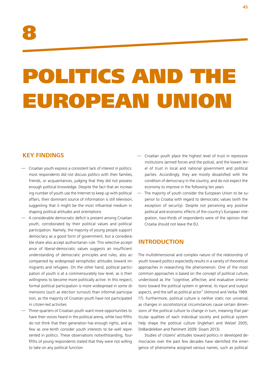# POLITICS AND THE EUROPEAN UNION

### **KEY FINDINGS**

- Croatian youth express a consistent lack of interest in politics: most respondents did not discuss politics with their families, friends, or acquaintances, judging that they did not possess enough political knowledge. Despite the fact that an increasing number of youth use the Internet to keep up with political affairs, their dominant source of information is still television, suggesting that it might be the most influential medium in shaping political attitudes and orientations
- A considerable democratic deficit is present among Croatian youth, corroborated by their political values and political participation. Namely, the majority of young people support democracy as a good form of government, but a considerable share also accept authoritarian rule. This selective acceptance of liberal-democratic values suggests an insufficient understanding of democratic principles and rules, also accompanied by widespread xenophobic attitudes toward immigrants and refugees. On the other hand, political participation of youth is at a commensurately low level, as is their willingness to become more politically active. In this respect, formal political participation is more widespread in some dimensions (such as election turnout) than informal participation, as the majority of Croatian youth have not participated in citizen-led activities
- Three-quarters of Croatian youth want more opportunities to have their voices heard in the political arena, while two-fifths do not think that their generation has enough rights, and as few as one-tenth consider youth interests to be well represented in politics. These observations notwithstanding, fourfifths of young respondents stated that they were not willing to take on any political function
- Croatian youth place the highest level of trust in repressive institutions (armed forces and the police), and the lowest level of trust in local and national government and political parties. Accordingly, they are mostly dissatisfied with the condition of democracy in the country, and do not expect the economy to improve in the following ten years
- The majority of youth consider the European Union to be superior to Croatia with regard to democratic values (with the exception of security). Despite not perceiving any positive political and economic effects of the country's European integration, two-thirds of respondents were of the opinion that Croatia should not leave the EU.

### **INTRODUCTION**

The multidimensional and complex nature of the relationship of youth toward politics expectedly results in a variety of theoretical approaches in researching the phenomenon. One of the most common approaches is based on the concept of political culture, understood as the "cognitive, affective, and evaluative orientations toward the political system in general, its input and output aspects, and the self as political actor" (Almond and Verba 1989: 17). Furthermore, political culture is neither static nor universal, as changes in sociohistorical circumstances cause certain dimensions of the political culture to change in turn, meaning that particular qualities of each individual society and political system help shape the political culture (Inglehart and Welzel 2005; DeBardeleben and Pammett 2009; Sloam 2013).

Studies of citizens' attitudes toward politics in developed democracies over the past few decades have identified the emergence of phenomena assigned various names, such as political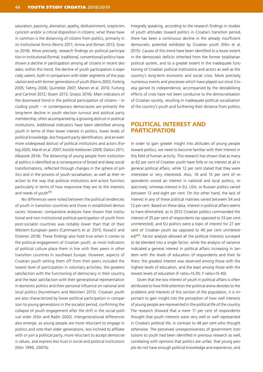saturation, passivity, alienation, apathy, disillusionment, scepticism, cynicism and/or a critical disposition in citizens; what these have in common is the distancing of citizens from politics, primarily in its institutional forms (Norris 2011; Amna and Ekman 2013; Grasso 2016). More precisely, research findings on political participation in institutional (formal, traditional, conventional) politics have shown a decline in participation among all citizens in recent decades; within this trend, the decline of youth participation is especially salient, both in comparison with older segments of the population and with former generations of youth (Norris 2003; Forbrig 2005; Fahmy 2006; Quintelier 2007; Marien et al. 2010; Furlong and Cartmel 2012; Sloam 2013; Grasso 2016). Main indicators of the downward trend in the political participation of citizens – including youth  $-$  in contemporary democracies are primarily the long-term decline in youth election turnout and political party membership, often accompanied by a growing distrust in political institutions. Additional indicators have been identified among youth in terms of their lower interest in politics, lower levels of political knowledge, less frequent party identification, and an even more widespread distrust of political institutions and actors (Forbig 2005; Marsh et al. 2007; Kestilä-Kekkonen 2009; Dalton 2011; Albacete 2014). The distancing of young people from institutional politics is identified as a consequence of broad and deep social transformations, reflected through changes in the sphere of politics and in the process of youth socialisation, as well as their reaction to the way that political institutions and actors function, particularly in terms of how responsive they are to the interests and needs of youth<sup>63</sup>.

No differences were noted between the political tendencies of youth in transition countries and those in established democracies; however, comparative analyses have shown that institutional and non-institutional political participation of youth from post-socialist countries was notably lower than that of their Western-European peers (Cammaerts et al. 2015; Kovačić and Dolenec 2018). These findings also hold true when it comes to the political engagement of Croatian youth, as most indicators of political culture place them in line with their peers in other transition countries in southeast Europe. However, aspects of Croatian youth setting them off from their peers included the lowest level of participation in voluntary activities, the greatest satisfaction with the functioning of democracy in their country, and the least satisfaction with their generational representation in domestic politics and their personal influence on national and local politics (Hurrelmann and Weichert 2015). Croatian youth are also characterised by lower political participation in comparison to young generations in the socialist period, confirming the collapse of youth engagement after the shift in the social-political order (Ilišin and Radin 2002). Intergenerational differences also emerge, as young people are more reluctant to engage in politics and vote than older generations, less inclined to affiliate with or join a political party, more reluctant to accept democratic values, and express less trust in social and political institutions (Ilišin 1999, 2007b).

Integrally speaking, according to the research findings in studies of youth attitudes toward politics in Croatia's transition period, there has been a continuous decline in the already insufficient democratic potential exhibited by Croatian youth (Ilišin et al. 2015). Causes of this trend have been identified to a lesser extent in the democratic deficits inherited from the former totalitarian political system, and to a greater extent in the inadequate functioning of Croatian political institutions and actors as well as the country's long-term economic and social crisis. More precisely, numerous events and processes which have played out since Croatia gained its independence, accompanied by the destabilising effects of crisis have not been conducive to the democratisation of Croatian society, resulting in inadequate political socialisation of the country's youth and furthering their distance from politics.

### **POLITICAL INTEREST AND PARTICIPATION**

In order to gain greater insight into attitudes of young people toward politics, we need to become familiar with their interest in this field of human activity. This research has shown that as many as 62 per cent of Croatian youth have little or no interest at all in general political affairs, while 12 per cent stated that they were interested or very interested. Also, 16 and 15 per cent of respondents voiced an interest in national and local politics, respectively, whereas interest in EU, USA, or Russian politics varied between 12 and eight per cent. On the other hand, the lack of interest in any of these political matrixes varied between 54 and 72 per cent. Based on these data, interest in political affairs seems to have diminished, as in 2012 Croatian politics commanded the interest of 35 per cent of respondents (as opposed to 33 per cent uninterested), and EU politics were a topic of interest for 27 per cent of Croatian youth (as opposed to 40 per cent uninterested)<sup>64</sup>. Factor analysis allowed all the political interests surveyed to be blended into a single factor, while the analysis of variance indicated a general interest in political affairs increasing in tandem with the levels of education of respondents and their fathers: the greatest interest was observed among those with the highest levels of education, and the least among those with the lowest levels of education (F-ratio=15.05; F-ratio=15.40).

Given that the low interest of youth in political affairs is often attributed to how little attention the political arena devotes to the problems and interests of this section of the population, it is important to gain insight into the perception of how well interests of young people are represented in the political life of the country. The research showed that a mere 11 per cent of respondents thought that youth interests were very well or well represented in Croatia's political life, in contrast to 48 per cent who thought otherwise. The perceived unresponsiveness of government institutions to youth had been identified in previous research as well, correlating with opinions that politics are unfair, that young people do not have enough political knowledge and experience, and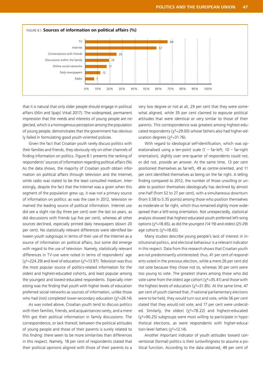

that it is natural that only older people should engage in political affairs (Ilišin and Spajić Vrkaš 2017). The widespread, permanent impression that the needs and interests of young people are neglected, which is a homogenous perception among the population of young people, demonstrates that the government has obviously failed in formulating good youth-oriented policies.

Given the fact that Croatian youth rarely discuss politics with their families and friends, they obviously rely on other channels of finding information on politics. Figure 8.1 presents the ranking of respondents' sources of information regarding political affairs (%). As the data shows, the majority of Croatian youth obtain information on political affairs through television and the Internet, while radio was stated to be the least consulted medium. Interestingly, despite the fact that the Internet was a given when this segment of the population grew up, it was not a primary source of information on politics: as was the case in 2012, television remained the leading source of political information. Internet use did see a slight rise (by three per cent) over the last six years, as did discussions with friends (up five per cent), whereas all other sources declined, especially printed daily newspapers (down 20 per cent). No statistically relevant differences were identified between youth subgroups in terms of their use of the Internet as a source of information on political affairs, but some did emerge with regard to the use of television. Namely, statistically relevant differences in TV-use were noted in terms of respondents' age  $(y^2=224.29)$  and level of education  $(y^2=13.97)$ . Television was thus the most popular source of politics-related information for the oldest and highest-educated cohorts, and least popular among the youngest and lowest-educated respondents. Especially interesting was the finding that youth with higher levels of education preferred social networks as sources of information, unlike those who had (not) completed lower-secondary education ( $\chi^2$ =26.14).

As was noted above, Croatian youth tend to discuss politics with their families, friends, and acquaintances rarely, and a mere fifth got their political information in family discussions. The correspondence, or lack thereof, between the political attitudes of young people and those of their parents is surely related to this finding: there seem to be more similarities than differences in this respect. Namely, 18 per cent of respondents stated that their political opinions aligned with those of their parents to a

very low degree or not at all, 29 per cent that they were somewhat aligned, while 35 per cent claimed to espouse political attitudes that were identical or very similar to those of their parents. This correspondence was greatest among highest-educated respondents ( $\chi^2$ =29.00) whose fathers also had higher-education degrees  $(x^2=31.76)$ .

With regard to ideological self-identification, which was operationalised using a ten-point scale  $(1 - \text{far-left}; 10 - \text{far-right})$ orientation), slightly over one-quarter of respondents could not, or did not, provide an answer. At the same time, 13 per cent positioned themselves as far-left, 49 as centre-oriented, and 11 per cent identified themselves as being on the far right. A telling finding compared to 2012, the number of those unwilling or unable to position themselves ideologically has declined by almost one-half (from 52 to 27 per cent), with a simultaneous downturn (from 5.58 to 5.35 points) among those who position themselves as moderate or far right, which thus remained slightly more widespread than a left-wing orientation. Not unexpectedly, statistical analysis showed that highest-educated youth preferred left-wing options ( $\chi^2$ =18.65), as did the youngest (14-19) and oldest (25-29) age cohorts ( $x^2$ =18.65).

Many studies describe young people's lack of interest in institutional politics, and electoral behaviour is a relevant indicator in this respect. Data from this research shows that Croatian youth are not predominantly uninterested: thus, 41 per cent of respondents voted in the previous election, while a mere 26 per cent did not vote because they chose not to, whereas 30 per cent were too young to vote. The greatest shares among those who did vote came from the oldest age cohort ( $\chi^2$ =35.41) and those with the highest levels of education ( $\chi^2$ =31.85). At the same time, 47 per cent of youth claimed that, if national parliamentary elections were to be held, they would turn out and vote, while 36 per cent stated that they would not vote, and 17 per cent were undecided. Similarly, the oldest  $(x^2=78.22)$  and highest-educated  $(x^2=90.25)$  subgroups were most willing to participate in hypothetical elections, as were respondents with higher-education-level fathers  $(x^2=12.14)$ .

Another important indicator of youth attitudes toward conventional (formal) politics is their (un)willingness to assume a political function. According to the data obtained, 49 per cent of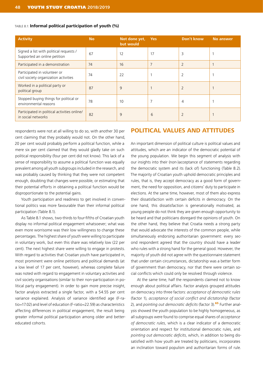| <b>Activity</b>                                                         | <b>No</b> | Not done yet,<br>but would | <b>Yes</b> | Don't know     | <b>No answer</b> |
|-------------------------------------------------------------------------|-----------|----------------------------|------------|----------------|------------------|
| Signed a list with political requests /<br>Supported an online petition | 67        | 12                         | 17         | 3              |                  |
| Participated in a demonstration                                         | 74        | 16                         | 7          | $\overline{2}$ |                  |
| Participated in volunteer or<br>civil society organization activities   | 74        | 22                         |            | $\overline{2}$ |                  |
| Worked in a political party or<br>political group                       | 87        | 9                          |            | $\overline{2}$ |                  |
| Stopped buying things for political or<br>environmental reasons         | 78        | 10                         | 7          | 4              |                  |
| Participated in political activities online/<br>in social networks      | 82        | 9                          | 6          |                |                  |

#### TABLE 8.1: **Informal political participation of youth (%)**

respondents were not at all willing to do so, with another 30 per cent claiming that they probably would not. On the other hand, 20 per cent would probably perform a political function, while a mere six per cent claimed that they would gladly take on such political responsibility (four per cent did not know). This lack of a sense of responsibility to assume a political function was equally prevalent among all youth subgroups included in the research, and was probably caused by thinking that they were not competent enough, doubting that changes were possible, or estimating that their potential efforts in obtaining a political function would be disproportionate to the potential gains.

Youth participation and readiness to get involved in conventional politics was more favourable than their informal political participation (Table 8.1).

As Table 8.1 shows, two-thirds to four-fifths of Croatian youth display no informal political engagement whatsoever; what was even more worrisome was their low willingness to change these percentages. The highest share of youth were willing to participate in voluntary work, but even this share was relatively low (22 per cent). The next highest share were willing to engage in protests. With regard to activities that Croatian youth have participated in, most prominent were online petitions and political demands (at a low level of 17 per cent, however), whereas complete failure was noted with regard to engagement in voluntary activities and civil society organisations (similar to their non-participation in political party engagement). In order to gain more precise insight, factor analysis extracted a single factor, with a 54.55 per cent variance explained. Analysis of variance identified age (F-ratio=17.02) and level of education (F-ratio=22.59) as characteristics affecting differences in political engagement, the result being greater informal political participation among older and bettereducated cohorts.

### **POLITICAL VALUES AND ATTITUDES**

An important dimension of political culture is political values and attitudes, which are an indicator of the democratic potential of the young population. We begin this segment of analysis with our insights into their (non-)acceptance of statements regarding the democratic system and its (lack of) functioning (Table 8.2). The majority of Croatian youth uphold democratic principles and rules, that is, they accept democracy as a good form of government, the need for opposition, and citizens' duty to participate in elections. At the same time, however, most of them also express their dissatisfaction with certain deficits in democracy. On the one hand, this dissatisfaction is generationally motivated, as young people do not think they are given enough opportunity to be heard and that politicians disregard the opinions of youth. On the other hand, they believe that Croatia needs a strong party that would advocate the interests of the common people, while simultaneously endorsing authoritarian government: every second respondent agreed that the country should have a leader who rules with a strong hand for the general good. However, the majority of youth did not agree with the questionnaire statement that under certain circumstances, dictatorship was a better form of government than democracy, nor that there were certain social conflicts which could only be resolved through violence.

At the same time, half the respondents claimed not to know enough about political affairs. Factor analysis grouped attitudes on democracy into three factors: *acceptance of democratic rules* (factor 1), *acceptance of social conflict and dictatorship* (factor 2), and *pointing out democratic deficits* (factor 3).<sup>65</sup> Further analysis showed the youth population to be highly homogeneous, as all subgroups were found to comprise equal shares of *acceptance of democratic rules*, which is a clear indicator of a democratic orientation and respect for institutional democratic rules, and *pointing out democratic deficits*, which, in addition to being dissatisfied with how youth are treated by politicians, incorporates an inclination toward populism and authoritarian forms of rule.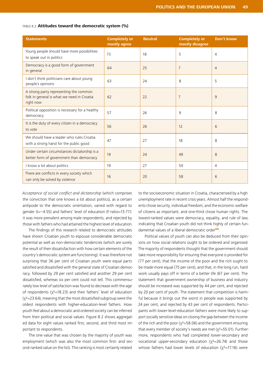#### TABLE 8.2: **Attitudes toward the democratic system (%)**

| <b>Statements</b>                                                                                 | <b>Completely or</b><br>mostly agree | <b>Neutral</b> | <b>Completely or</b><br>mostly disagree | <b>Don't know</b> |
|---------------------------------------------------------------------------------------------------|--------------------------------------|----------------|-----------------------------------------|-------------------|
| Young people should have more possibilities<br>to speak out in politics                           | 73                                   | 18             | 5                                       | $\overline{4}$    |
| Democracy is a good form of government<br>in general                                              | 64                                   | 25             | 7                                       | $\overline{4}$    |
| I don't think politicians care about young<br>people's opinions                                   | 63                                   | 24             | 8                                       | 5                 |
| A strong party representing the common<br>folk in general is what we need in Croatia<br>right now | 62                                   | 22             | 7                                       | 9                 |
| Political opposition is necessary for a healthy<br>democracy                                      | 57                                   | 26             | 9                                       | 8                 |
| It is the duty of every citizen in a democracy<br>to vote                                         | 56                                   | 26             | 12                                      | 6                 |
| We should have a leader who rules Croatia<br>with a strong hand for the public good               | 47                                   | 27             | 18                                      | 8                 |
| Under certain circumstances dictatorship is a<br>better form of government than democracy         | 19                                   | 24             | 49                                      | 8                 |
| I know a lot about politics                                                                       | 19                                   | 27             | 50                                      | $\overline{4}$    |
| There are conflicts in every society which<br>can only be solved by violence                      | 16                                   | 20             | 58                                      | 6                 |

*Acceptance of social conflict and dictatorship* (which comprises the conviction that one knows a lot about politics), as a certain antipode to the democratic orientation, varied with regard to gender (t=–4.55) and fathers' level of education (F-ratio=13.77): it was more prevalent among male respondents, and rejected by those with fathers who had attained the highest level of education.

The findings of this research related to democratic attitudes have shown Croatian youth to espouse considerable democratic potential as well as non-democratic tendencies (which are surely the result of their dissatisfaction with how certain elements of the country's democratic system are functioning). It was therefore not surprising that 36 per cent of Croatian youth were equal parts satisfied and dissatisfied with the general state of Croatian democracy, followed by 29 per cent satisfied and another 29 per cent dissatisfied, whereas six per cent could not tell. This commensurately low level of satisfaction was found to decrease with the age of respondents ( $\chi^2$ =18.23) and their fathers' level of education  $(y^2=23.64)$ , meaning that the most dissatisfied subgroup were the oldest respondents with higher-education-level fathers. How youth feel about a democratic and ordered society can be inferred from their political and social values. Figure 8.2 shows aggregated data for eight values ranked first, second, and third most important to respondents.

The one value that was chosen by the majority of youth was employment (which was also the most common first- and second-ranked value on the list). This ranking is most certainly related

to the socioeconomic situation in Croatia, characterised by a high unemployment rate in recent crisis years. Almost half the respondents chose security, individual freedom, and the economic welfare of citizens as important, and one-third chose human rights. The lowest-ranked values were democracy, equality, and rule of law, indicating that Croatian youth did not think highly of certain fundamental values of a liberal-democratic order<sup>66</sup>.

Political values of youth can also be deduced from their opinions on how social relations ought to be ordered and organised. The majority of respondents thought that the government should take more responsibility for ensuring that everyone is provided for (77 per cent), that the income of the poor and the rich ought to be made more equal (75 per cent), and that, in the long run, hard work usually pays off in terms of a better life (67 per cent). The statement that government ownership of business and industry should be increased was supported by 44 per cent, and rejected by 20 per cent of youth. The statement that competition is harmful because it brings out the worst in people was supported by 24 per cent, and rejected by 43 per cent of respondents. Participants with lower-level-education fathers were more likely to support socially sensitive ideas on closing the gap between the income of the rich and the poor ( $\chi^2$ =58.06) and the government ensuring that every member of society's needs are met  $(\chi^2=55.01)$ . Furthermore, respondents who had completed lower-secondary and vocational upper-secondary education  $(x^2=26.74)$  and those whose fathers had lower levels of education ( $\chi^2$ =17.16) were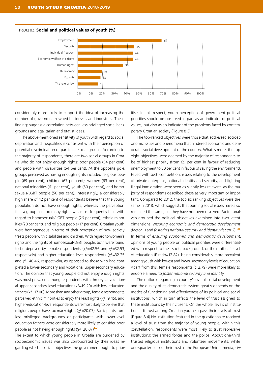

considerably more likely to support the idea of increasing the number of government-owned businesses and industries. These findings suggest a correlation between less privileged social backgrounds and egalitarian and etatist ideas.

The above-mentioned sensitivity of youth with regard to social deprivation and inequalities is consistent with their perception of potential discrimination of particular social groups. According to the majority of respondents, there are two social groups in Croatia who do not enjoy enough rights: poor people (54 per cent) and people with disabilities (54 per cent). At the opposite pole, groups perceived as having enough rights included religious people (69 per cent), children (67 per cent), women (63 per cent), national minorities (61 per cent), youth (50 per cent), and homosexuals/LGBT people (50 per cent). Interestingly, a considerably high share of 42 per cent of respondents believe that the young population do not have enough rights, whereas the perception that a group has too many rights was most frequently held with regard to homosexuals/LGBT people (26 per cent), ethnic minorities (20 per cent), and religious people (17 per cent). Croatian youth were homogeneous in terms of their perception of how society treats people with disabilities and children. With regard to women's rights and the rights of homosexual/LGBT people, both were found to be deprived by female respondents ( $\chi^2$ =42.56 and  $\chi^2$ =32.53, respectively) and higher-education-level respondents  $(x^2=32.25$ and  $\chi^2$ =40.46, respectively), as opposed to those who had completed a lower-secondary and vocational upper-secondary education. The opinion that young people did not enjoy enough rights was most prevalent among respondents with three-year vocational upper-secondary-level education ( $\chi^2$ =19.20) with low-educated fathers ( $\chi^2$ =17.00). More than any other group, female respondents perceived ethnic minorities to enjoy the least rights ( $\chi^2$ =9.45), and higher-education-level respondents were most likely to believe that religious people have too many rights ( $\chi^2$ =20.07). Participants from less privileged backgrounds or participants with lower-leveleducation fathers were considerably more likely to consider poor people as not having enough rights  $(x^2=20.07)$ <sup>67</sup>.

The extent to which young people in Croatia are burdened by socioeconomic issues was also corroborated by their ideas regarding which political objectives the government ought to prior-

itise. In this respect, youth perception of government political priorities should be observed in part as an indicator of political values, but also as an indicator of the problems faced by contemporary Croatian society (Figure 8.3).

The top-ranked objectives were those that addressed socioeconomic issues and phenomena that hindered economic and democratic social development of the country. What is more, the top eight objectives were deemed by the majority of respondents to be of highest priority (from 69 per cent in favour of reducing unemployment to 50 per cent in favour of saving the environment). Faced with such competition, issues relating to the development of private enterprise, national identity and security, and fighting illegal immigration were seen as slightly less relevant, as the majority of respondents described these as very important or important. Compared to 2012, the top six ranking objectives were the same in 2018, which suggests that burning social issues have also remained the same, i.e. they have not been resolved. Factor analysis grouped the political objectives examined into two latent dimensions: *ensuring economic and democratic development* (factor 1) and *fostering national security and identity* (factor 2).<sup>68</sup> In terms of *ensuring economic and democratic development*, opinions of young people on political priorities were differentiated with respect to their social background, or their fathers' level of education (F-ratio=12.82), being considerably more prevalent among youth with lowest and lower-secondary levels of education. Apart from this, female respondents (t=2.79) were more likely to endorse a need to *foster national security and identity*.

The outlook regarding a country's overall social development and the quality of its democratic system greatly depends on the modes of functioning and effectiveness of its political and social institutions, which in turn affects the level of trust assigned to these institutions by their citizens. On the whole, levels of institutional distrust among Croatian youth surpass their levels of trust (Figure 8.4).No institution featured in the questionnaire received a level of trust from the majority of young people; within this constellation, respondents were most likely to trust repressive institutions: the armed forces and the police. About one-third trusted religious institutions and volunteer movements, while one-quarter placed their trust in the European Union, media, civ-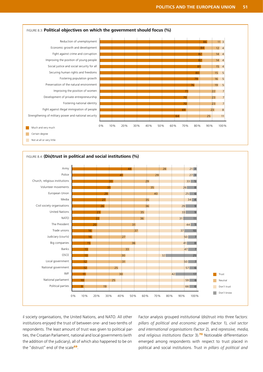



il society organisations, the United Nations, and NATO. All other institutions enjoyed the trust of between one- and two-tenths of respondents. The least amount of trust was given to political parties, the Croatian Parliament, national and local governments (with the addition of the judiciary), all of which also happened to be on the "distrust" end of the scale<sup>69</sup>.

Factor analysis grouped institutional (dis)trust into three factors: *pillars of political and economic power* (factor 1), *civil sector and international organisations* (factor 2), and *repressive, media, and religious institutions* (factor 3).<sup>70</sup> Noticeable differentiation emerged among respondents with respect to trust placed in political and social institutions. Trust in *pillars of political and*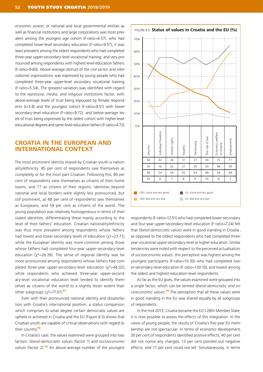*economic power*, or national and local governmental entities as well as financial institutions and large corporations was most prevalent among the youngest age cohort (F-ratio=6.57), who had completed lower-level secondary education (F-ratio=9.57); it was least prevalent among the oldest respondents who had completed three-year upper-secondary-level vocational training, and very pronounced among respondents with highest-level-education fathers (F-ratio=9.60). Above-average distrust of the *civil sector and international organisations* was expressed by young people who had completed three-year upper-level secondary vocational training (F-ratio=5.54). The greatest variation was identified with regard to the *repressive, media, and religious institutions* factor, with above-average levels of trust being espoused by female respondents (t=3.8) and the youngest cohort (F-ratio=9.51) with lowersecondary-level education (F-ratio=9.72), and below-average levels of trust being expressed by the oldest cohort with higher-level educational degrees and same-level-education fathers (F-ratio=4.72).

### **CROATIA IN THE EUROPEAN AND INTERNATIONAL CONTEXT**

The most prominent identity shared by Croatian youth is nationality/ethnicity: 85 per cent of respondents saw themselves as completely or for the most part Croatian. Following this, 80 per cent of respondents view themselves as citizens of their home towns, and 77 as citizens of their regions. Identities beyond national and local borders were slightly less pronounced, but still prominent, as 68 per cent of respondents saw themselves as Europeans, and 59 per cent as citizens of the world. The young population was relatively homogeneous in terms of their stated identities, differentiating these mainly according to the level of their fathers' education. Croatian nationality/ethnicity was thus more prevalent among respondents whose fathers had lowest and lower-secondary levels of education ( $x^2$ =23.71), while the European identity was more common among those whose fathers had completed four-year upper-secondary-level education ( $x^2$ =26.26). The sense of regional identity was far more pronounced among respondents whose fathers had completed three-year upper-secondary-level education ( $\chi^2$ =46.02), while respondents who achieved three-year upper-secondary-level vocational education level tended to identify themselves as citizens of the world to a slightly lesser extent than other subgroups  $(x^2=17.07)^{71}$ .

Even with their pronounced national identity and dissatisfaction with Croatia's international position, a status comparison which comprises to what degree certain democratic values are upheld or achieved in Croatia and the EU (Figure 8.5) shows that Croatian youth are capable of critical observations with regard to their country<sup>72</sup>.

In Croatia's case, the values examined were grouped into two factors: *liberal-democratic values* (factor 1) and *socioeconomic*  values (factor 2).<sup>73</sup> An above-average number of the youngest



respondents (F-ratio=12.51) who had completed lower-secondary and four-year upper-secondary-level education (F-ratio=7.24) felt that *liberal-democratic values* were in good standing in Croatia , as opposed to the oldest respondents who had completed threeyear vocational upper-secondary-level or higher education. Similar tendencies were noted with respect to the perceived actualisation of *socioeconomic values*: this perception was highest among the youngest participants (F-ratio=10.30) who had completed lower-secondary-level education (F-ratio=130.10), and lowest among the oldest and highest-education-level respondents.

As far as the EU goes, the values examined were grouped into a single factor, which can be termed *liberal-democratic and socioeconomic values*. <sup>74</sup> The perception that all these values were in good standing in the EU was shared equally by all subgroups of respondents.

In the mid-2013, Croatia became the EU's 28th Member State; it is now possible to assess the effects of this integration. In the views of young people, the results of Croatia's five-year EU membership are not spectacular. In terms of economic development, 30 per cent of respondents identified positive effects, 40 per cent did not notice any changes, 13 per cent pointed out negative effects, and 17 per cent could not tell. Simultaneously, in terms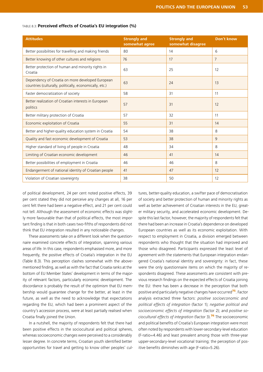| <b>Attitudes</b>                                                                                            | <b>Strongly and</b><br>somewhat agree | <b>Strongly and</b><br>somewhat disagree | <b>Don't know</b> |
|-------------------------------------------------------------------------------------------------------------|---------------------------------------|------------------------------------------|-------------------|
| Better possibilities for travelling and making friends                                                      | 80                                    | 14                                       | 6                 |
| Better knowing of other cultures and religions                                                              | 76                                    | 17                                       | $\overline{7}$    |
| Better protection of human and minority rights in<br>Croatia                                                | 63                                    | 25                                       | 12                |
| Dependency of Croatia on more developed European<br>countries (culturally, politically, economically, etc.) | 63                                    | 24                                       | 13                |
| Faster democratization of society                                                                           | 58                                    | 31                                       | 11                |
| Better realization of Croatian interests in European<br>politics                                            | 57                                    | 31                                       | 12                |
| Better military protection of Croatia                                                                       | 57                                    | 32                                       | 11                |
| Economic exploitation of Croatia                                                                            | 55                                    | 31                                       | 14                |
| Better and higher-quality education system in Croatia                                                       | 54                                    | 38                                       | 8                 |
| Quality and fast economic development of Croatia                                                            | 53                                    | 38                                       | 9                 |
| Higher standard of living of people in Croatia                                                              | 48                                    | 34                                       | 8                 |
| Limiting of Croatian economic development                                                                   | 46                                    | 41                                       | 14                |
| Better possibilities of employment in Croatia                                                               | 46                                    | 46                                       | 8                 |
| Endangerment of national identity of Croatian people                                                        | 41                                    | 47                                       | 12                |
| Violation of Croatian sovereignty                                                                           | 38                                    | 50                                       | 12                |

#### TABLE 8.3: **Perceived effects of Croatia's EU integration (%)**

of political development, 24 per cent noted positive effects, 39 per cent stated they did not perceive any changes at all, 16 per cent felt there had been a negative effect, and 21 per cent could not tell. Although the assessment of economic effects was slightly more favourable than that of political effects, the most important finding is that in both cases two-fifths of respondents did not think that EU integration resulted in any noticeable changes.

These assessments take on a different look when the questionnaire examined concrete effects of integration, spanning various areas of life. In this case, respondents emphasised more, and more frequently, the positive effects of Croatia's integration in the EU (Table 8.3). This perception clashes somewhat with the abovementioned finding, as well as with the fact that Croatia ranks at the bottom of EU Member States' development in terms of the majority of relevant factors, particularly economic development. The discordance is probably the result of the optimism that EU membership would guarantee change for the better, at least in the future, as well as the need to acknowledge that expectations regarding the EU, which had been a prominent aspect of the country's accession process, were at least partially realised when Croatia finally joined the Union.

In a nutshell, the majority of respondents felt that there had been positive effects in the sociocultural and political spheres, whereas socioeconomic changes were perceived to a considerably lesser degree. In concrete terms, Croatian youth identified better opportunities for travel and getting to know other peoples' cul-

tures, better-quality education, a swifter pace of democratisation of society and better protection of human and minority rights as well as better achievement of Croatian interests in the EU, greater military security, and accelerated economic development. Despite this last factor, however, the majority of respondents felt that there had been an increase in Croatia's dependence on developed European countries as well as its economic exploitation. With respect to employment in Croatia, a division emerged between respondents who thought that the situation had improved and those who disagreed. Participants expressed the least level of agreement with the statements that European integration endangered Croatia's national identity and sovereignty: in fact, these were the only questionnaire items on which the majority of respondents disagreed. These assessments are consistent with previous research findings on the expected effects of Croatia joining the EU: there has been a decrease in the perception that both positive and particularly negative changes have occurred<sup>75</sup>. Factor analysis extracted three factors: *positive socioeconomic and political effects of integration* (factor 1); *negative political and socioeconomic effects of integration* (factor 2); and *positive sociocultural effects of integration* (factor 3).<sup>76</sup> The socioeconomic and political benefits of Croatia's European integration were most often noted by respondents with lower-secondary-level education (F-ratio=4.46) and least prevalent among those with three-year upper-secondary-level vocational training; the perception of positive benefits diminishes with age (F-ratio=5.26).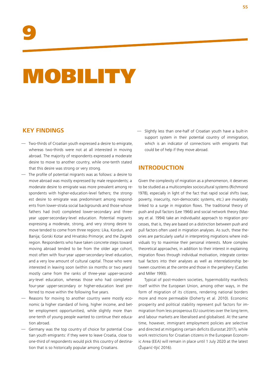# MOBILITY

### **KEY FINDINGS**

- Two-thirds of Croatian youth expressed a desire to emigrate, whereas two-thirds were not at all interested in moving abroad. The majority of respondents expressed a moderate desire to move to another country, while one-tenth stated that this desire was strong or very strong.
- The profile of potential migrants was as follows: a desire to move abroad was mostly expressed by male respondents; a moderate desire to emigrate was more prevalent among respondents with higher-education-level fathers; the strongest desire to emigrate was predominant among respondents from lower-strata social backgrounds and those whose fathers had (not) completed lower-secondary and threeyear upper-secondary-level education. Potential migrants expressing a moderate, strong, and very strong desire to move tended to come from three regions: Lika, Kordun, and Banija; Gorski Kotar and Hrvatsko Primorje; and the Zagreb region. Respondents who have taken concrete steps toward moving abroad tended to be from the older age cohort, most often with four-year upper-secondary-level education, and a very low amount of cultural capital. Those who were interested in leaving soon (within six months or two years) mostly came from the ranks of three-year upper-secondary-level education, whereas those who had completed four-year upper-secondary or higher-education level preferred to move within the following five years.
- Reasons for moving to another country were mostly economic (a higher standard of living, higher income, and better employment opportunities), while slightly more than one-tenth of young people wanted to continue their education abroad.
- Germany was the top country of choice for potential Croatian youth emigrants: if they were to leave Croatia, close to one-third of respondents would pick this country of destination that is so historically popular among Croatians.

— Slightly less than one-half of Croatian youth have a built-in support system in their potential country of immigration, which is an indicator of connections with emigrants that could be of help if they move abroad.

### **INTRODUCTION**

Given the complexity of migration as a phenomenon, it deserves to be studied as a multicomplex sociocultural systems (Richmond 1978), especially in light of the fact that rapid social shifts (war, poverty, insecurity, non-democratic systems, etc.) are invariably linked to a surge in migration flows. The traditional theory of push and pull factors (Lee 1966) and social network theory (Massey et al. 1994) take an individualist approach to migration processes, that is, they are based on a distinction between push and pull factors often used in migration analyses. As such, these theories are particularly useful in interpreting migrations where individuals try to maximise their personal interests. More complex theoretical approaches, in addition to their interest in explaining migration flows through individual motivation, integrate contextual factors into their analyses as well as interrelationship between countries at the centre and those in the periphery (Castles and Miller 1993).

Typical of post-modern societies, hypermobility manifests itself within the European Union, among other ways, in the form of migration of its citizens, rendering national borders more and more permeable (Doherty et al. 2010). Economic prosperity and political stability represent pull factors for immigration from less prosperous EU countries over the long term, and labour markets are liberalised and globalised. At the same time, however, immigrant employment policies are selective and directed at mitigating certain deficits (Eurostat 2017), while work restrictions for Croatian citizens in the European Economic Area (EEA) will remain in place until 1 July 2020 at the latest (Župarić-Iljić 2016).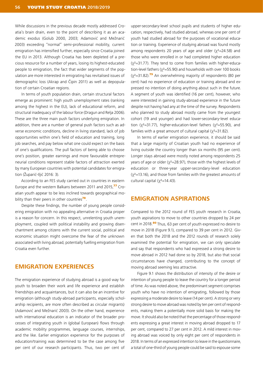While discussions in the previous decade mostly addressed Croatia's brain drain, even to the point of describing it as an academic exodus (Golub 2000, 2003; Adamović and Mežnarić 2003) exceeding "normal" semi-professional mobility, current emigration has intensified further, especially since Croatia joined the EU in 2013. Although Croatia has been depleted of a precious resource for a number of years, losing its highest-educated people to emigration, the fact that wider segments of the population are more interested in emigrating has revitalised issues of demographic loss (Akrap and Čipin 2011) as well as depopulation of certain Croatian regions.

In terms of youth population drain, certain structural factors emerge as prominent: high youth unemployment rates (ranking among the highest in the EU), lack of educational reform, and structural inadequacy of the labour force (Dragun and Relja 2006). These are the three main push factors underlying emigration. In addition, there are a number of general push factors such as adverse economic conditions, decline in living standard, lack of job opportunities within one's field of education and training, long job searches, and pay below what one could expect on the basis of one's qualifications. The pull factors of being able to choose one's position, greater earnings and more favourable entrepreneurial conditions represent stable factors of attraction exerted by many European countries with potential candidates for emigration (Župarić-Iljić 2016: 3).

According to an FES study carried out in countries in eastern Europe and the western Balkans between 2011 and 2015.<sup>77</sup> Croatian youth appear to be less inclined towards geographical mobility than their peers in other countries<sup>78</sup>.

Despite these findings, the number of young people considering emigration with no appealing alternative in Croatia proper is a reason for concern. In this respect, unrelenting youth unemployment, coupled with political instability and growing disenchantment among citizens with the current social, political and economic situation might overcome the fear of the unknown associated with living abroad, potentially fuelling emigration from Croatia even further.

### **EMIGRATION EXPERIENCES**

The emigration experience of studying abroad is a good way for youth to broaden their work and life experience and establish friendships and acquaintances, but it can also be an incentive for emigration (although study-abroad participants, especially scholarship recipients, are more often described as circular migrants) (Adamović and Mežnarić 2003). On the other hand, experience with international education is an indicator of the broader processes of integrating youth in (global European) flows through academic mobility programmes, language courses, internships, and the like. Earlier emigration experience for the purposes of education/training was determined to be the case among five per cent of our research participants. Thus, two per cent of

upper-secondary-level school pupils and students of higher education, respectively, had studied abroad, whereas one per cent of youth had studied abroad for the purposes of vocational education or training. Experience of studying abroad was found mostly among respondents 20 years of age and older ( $\chi^2$ =24.58) and those who were enrolled in or had completed higher education  $(x^2=31.77)$ . They tend to come from families with higher-education-level fathers ( $\chi^2$ =55.90) and households with over 100 books  $(y^2=31.82)$ .<sup>79</sup> An overwhelming majority of respondents (80 per cent) had no experience of education or training abroad and expressed no intention of doing anything about such in the future. A segment of youth was identified (16 per cent), however, who were interested in gaining study-abroad experience in the future despite not having had any at the time of the survey. Respondents who planned to study abroad mostly came from the youngest cohort (19 and younger) and had lower-secondary-level education ( $\chi^2$ =31.77), higher-education-level fathers ( $\chi^2$ =55.90), and families with a great amount of cultural capital  $(x^2=31.82)$ .

In terms of earlier emigration experience, it should be said that a large majority of Croatian youth had no experience of living outside the country longer than six months (95 per cent). Longer stays abroad were mostly noted among respondents 25 years of age or older ( $x^2$ =28.97), those with the highest levels of education or three-year upper-secondary-level education  $(x^2=13.16)$ , and those from families with the greatest amounts of cultural capital  $(\chi^2=14.43)$ .

#### **EMIGRATION ASPIRATIONS**

Compared to the 2012 round of FES youth research in Croatia, youth aspirations to move to other countries dropped by 24 per cent in 2018.<sup>80</sup> Thus, 63 per cent of youth expressed no desire to move in 2018 (Figure 9.1), compared to 39 per cent in 2012. Given that both the 2018 and the 2012 rounds of research solely examined the potential for emigration, we can only speculate and say that respondents who had expressed a strong desire to move abroad in 2012 had done so by 2018, but also that social circumstances have changed, contributing to the concept of moving abroad seeming less attractive.

Figure 9.1 shows the distribution of intensity of the desire or intention of young people to leave the country for a longer period of time. As was noted above, the predominant segment comprises youth who have no intention of emigrating, followed by those expressing a moderate desire to leave (14 per cent). A strong or very strong desire to move abroad was noted by ten per cent of respondents, making them a potentially more solid basis for making the move. It should also be noted that the percentage of those respondents expressing a great interest in moving abroad dropped to 17 per cent, compared to 27 per cent in 2012. A mild interest in moving abroad was voiced by only eight per cent of respondents in 2018. In terms of an expressed intention to leave in the questionnaire, a total of one-third of young people could be said to espouse some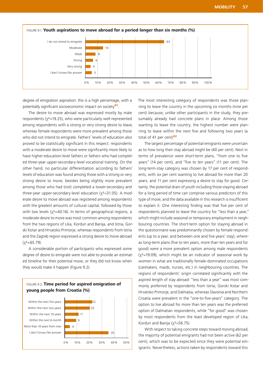

degree of emigration aspiration: this is a high percentage, with a potentially significant socioeconomic impact on society<sup>81</sup>.

The desire to move abroad was expressed mostly by male respondents ( $x^2$ =19.25), who were particularly well-represented among respondents with a strong or very strong desire to leave, whereas female respondents were more prevalent among those who did not intend to emigrate. Fathers' levels of education also proved to be statistically significant in this respect: respondents with a moderate desire to move were significantly more likely to have higher-education-level fathers or fathers who had completed three-year upper-secondary-level vocational training. On the other hand, no particular differentiation according to fathers' levels of education was found among those with a strong or very strong desire to move, besides being slightly more prevalent among those who had (not) completed a lower-secondary and three-year upper-secondary-level education ( $\chi^2$ =31.05). A moderate desire to move abroad was registered among respondents with the greatest amounts of cultural capital, followed by those with low levels ( $x^2$ =40.16). In terms of geographical regions, a moderate desire to move was most common among respondents from the two regions of Lika, Kordun and Banija, and Istria, Gorski Kotar and Hrvatsko Primorje, whereas respondents from Istria and the Zagreb region expressed a strong desire to move abroad  $(x^2=65.79)$ .

A considerable portion of participants who expressed some degree of desire to emigrate were not able to provide an estimated timeline for their potential move, or they did not know when they would make it happen (Figure 9.2).



0% 10% 20% 30% 40% 50%

The most interesting category of respondents was those planning to leave the country in the upcoming six months (nine per cent) because, unlike other participants in the study, they presumably already had concrete plans in place. Among those wanting to leave the country, the highest number were planning to leave within the next five and following two years (a total of 41 per cent) $82$ .

The largest percentage of potential emigrants were uncertain as to how long their stay abroad might be (40 per cent). Next in terms of prevalence were short-term plans, "from one to five years" (14 per cent), and "five to ten years" (11 per cent). The long-term-stay category was chosen by 17 per cent of respondents, with six per cent wanting to live abroad for more than 20 years, and 11 per cent expressing a desire to stay for good. Certainly, the potential drain of youth including those staying abroad for a long period of time can comprise various predictors of this type of move, and the data available in this research is insufficient to explain it. One interesting finding was that five per cent of respondents planned to leave the country for "less than a year," which might include seasonal or temporary employment in neighbouring countries. The short-term option for staying abroad in the questionnaire was predominantly chosen by female respondents (up to a year, and between one and five years' stay), whereas long-term plans (five to ten years, more than ten years and for good) were a more prevalent option among male respondents  $(y^2=19.09)$ , which might be an indicator of seasonal work by women in what are traditionally female-dominated occupations (caretakers, maids, nurses, etc.) in neighbouring countries. The regions of respondents' origin correlated significantly with the aspired length of stay abroad: "less than a year" was most commonly preferred by respondents from Istria, Gorski Kotar and Hrvatsko Primorje, and Dalmatia, whereas Slavonia and Northern Croatia were prevalent in the "one-to-five-years" category. The option to live abroad for more than ten years was the preferred option of Dalmatian respondents, while "for good" was chosen by most respondents from the least developed region of Lika, Kordun and Banija ( $x^2 = 56.75$ ).

With respect to taking concrete steps toward moving abroad, the majority of potential emigrants had not been active (62 per cent), which was to be expected since they were potential emigrants. Nevertheless, actions taken by respondents toward this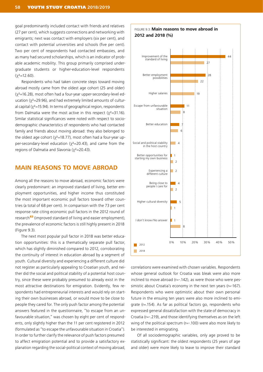goal predominantly included contact with friends and relatives (27 per cent), which suggests connections and networking with emigrants; next was contact with employers (six per cent), and contact with potential universities and schools (five per cent). Two per cent of respondents had contacted embassies, and as many had secured scholarships, which is an indicator of probable academic mobility. This group primarily comprised undergraduate students or higher-education-level respondents  $(y^2=12.60)$ .

Respondents who had taken concrete steps toward moving abroad mostly came from the oldest age cohort (25 and older) (χ2=16.28), most often had a four-year upper-secondary-level education (χ<sup>2</sup>=29.96), and had extremely limited amounts of cultural capital ( $\chi^2$ =15.94). In terms of geographical region, respondents from Dalmatia were the most active in this respect  $(\chi^2=31.16)$ . Similar statistical significances were noted with respect to sociodemographic characteristics of respondents who had contacted family and friends about moving abroad: they also belonged to the oldest age cohort ( $\chi^2$ =18.77), most often had a four-year upper-secondary-level education (χ2=20.43), and came from the regions of Dalmatia and Slavonia ( $\chi^2$ =20.43).

### **MAIN REASONS TO MOVE ABROAD**

Among all the reasons to move abroad, economic factors were clearly predominant: an improved standard of living, better employment opportunities, and higher income thus constituted the most important economic pull factors toward other countries (a total of 68 per cent). In comparison with the 73 per cent response rate citing economic pull factors in the 2012 round of research<sup>83</sup> (improved standard of living and easier employment), the prevalence of economic factors is still highly present in 2018 (Figure 9.3).

The next most popular pull factor in 2018 was better education opportunities: this is a thematically separate pull factor, which has slightly diminished compared to 2012, corroborating the continuity of interest in education abroad by a segment of youth. Cultural diversity and experiencing a different culture did not register as particularly appealing to Croatian youth, and neither did the social and political stability of a potential host country, since these were probably presumed to already exist in the most attractive destinations for emigration. Evidently, few respondents had entrepreneurial interests and would rely on starting their own businesses abroad, or would move to be close to people they cared for. The only push factor among the potential answers featured in the questionnaire, "to escape from an unfavourable situation," was chosen by eight per cent of respondents, only slightly higher than the 11 per cent registered in 2012 (formulated as "to escape the unfavourable situation in Croatia"). In order to further clarify the relevance of push factors presumed to affect emigration potential and to provide a satisfactory explanation regarding the social-political context of moving abroad,



correlations were examined with chosen variables. Respondents whose general outlook for Croatia was bleak were also more inclined to move abroad (r=-.142), as were those who were pessimistic about Croatia's economy in the next ten years ( $r=167$ ). Respondents who were optimistic about their own personal future in the ensuing ten years were also more inclined to emigrate (r=.154). As far as political factors go, respondents who expressed general dissatisfaction with the state of democracy in Croatia (r=-.219), and those identifying themselves as on the left wing of the political spectrum (r=-.100) were also more likely to be interested in emigrating.

Of all sociodemographic variables, only age proved to be statistically significant: the oldest respondents (25 years of age and older) were more likely to leave to improve their standard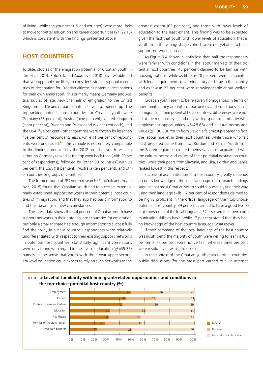of living, while the youngest (19 and younger) were more likely to move for better education and career opportunities ( $x^2$ =22.16), which is consistent with the findings presented above.

### **HOST COUNTRIES**

To date, studies of the emigration potential of Croatian youth (Ilišin et al. 2013; Potočnik and Adamović 2018) have established that young people are likely to consider historically popular countries of destination for Croatian citizens as potential destinations for their own emigration. This primarily means Germany and Austria, but as of late, new channels of emigration to the United Kingdom and Scandinavian countries have also opened up. The top-ranking potential host countries for Croatian youth were Germany (33 per cent), Austria (nine per cent), United Kingdom (eight per cent), Sweden and Switzerland (six per cent each), and the USA (five per cent); other countries were chosen by less than five per cent of respondents each, while 11 per cent of respondents were undecided.<sup>84</sup> This variable is not entirely comparable to the findings produced by the 2012 round of youth research, although Germany ranked at the top even back then (with 20 per cent of respondents), followed by "other EU countries" with 21 per cent, the USA (18 per cent), Australia (ten per cent), and other countries or groups of countries.

The former round of FES youth research (Potočnik and Adamović, 2018) found that Croatian youth had to a certain extent already established support networks in their potential host countries of immigration, and that they also had basic information to find their bearings in new circumstances.

The latest data shows that 44 per cent of Croatian youth have support networks in their potential host countries for emigration, but only a smaller share had enough information to successfully find their way in a new country. Respondents were relatively undifferentiated with respect to their existing support networks in potential host countries: statistically significant correlations were only found with regard to the level of education  $(x^2=35.35)$ , namely in the sense that youth with three-year upper-secondary-level education could expect to rely on such networks to the

greatest extent (62 per cent), and those with lower levels of education to the least extent. This finding was to be expected, given the fact that youth with lower levels of education, that is, youth from the youngest age cohort, were not yet able to build support networks abroad.

As Figure 9.4 shows, slightly less than half the respondents were familiar with conditions in the labour markets of their potential host countries, 45 per cent claimed to be familiar with housing options, while as little as 28 per cent were acquainted with legal requirements governing entry and stay in the country, and as few as 22 per cent were knowledgeable about welfare benefits.

Croatian youth seem to be relatively homogenous in terms of how familiar they are with opportunities and conditions facing immigrants in their potential host countries: differences were noted at the regional level, and only with respect to familiarity with employment opportunities ( $\chi^2$ =28.66) and cultural norms and values (χ2=30.68). Youth from Slavonia felt most prepared to face the labour market in their host countries, while those who felt least prepared came from Lika, Kordun and Banija. Youth from the Zagreb region considered themselves most acquainted with the cultural norms and values of their potential destination countries, while their peers from Slavonia, and Lika, Kordun and Banija ranked lowest in this respect.

Successful acclimatisation in a host country greatly depends on one's knowledge of the local language: our research findings suggest that most Croatian youth could successfully find their way using their language skills. 12 per cent of respondents claimed to be highly proficient in the official language of their top-choice potential host country, 39 per cent claimed to have a good (working) knowledge of the local language, 32 assessed their own communication skills as basic, while 17 per cent stated that they had no knowledge of the host-country language whatsoever.

If their command of the local language of the host country was insufficient, the majority of youth were willing to learn it (80 per cent), 17 per cent were not certain, whereas three per cent were resolutely unwilling to do so.

In the context of the Croatian youth drain to other countries, public discussions (for the most part carried out via Internet

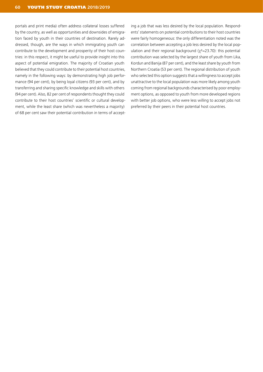portals and print media) often address collateral losses suffered by the country, as well as opportunities and downsides of emigration faced by youth in their countries of destination. Rarely addressed, though, are the ways in which immigrating youth can contribute to the development and prosperity of their host countries: in this respect, it might be useful to provide insight into this aspect of potential emigration. The majority of Croatian youth believed that they could contribute to their potential host countries, namely in the following ways: by demonstrating high job performance (94 per cent), by being loyal citizens (93 per cent), and by transferring and sharing specific knowledge and skills with others (94 per cent). Also, 82 per cent of respondents thought they could contribute to their host countries' scientific or cultural development, while the least share (which was nevertheless a majority) of 68 per cent saw their potential contribution in terms of accepting a job that was less desired by the local population. Respondents' statements on potential contributions to their host countries were fairly homogeneous: the only differentiation noted was the correlation between accepting a job less desired by the local population and their regional background  $(y^2=23.70)$ : this potential contribution was selected by the largest share of youth from Lika, Kordun and Banija (87 per cent), and the least share by youth from Northern Croatia (53 per cent). The regional distribution of youth who selected this option suggests that a willingness to accept jobs unattractive to the local population was more likely among youth coming from regional backgrounds characterised by poor employment options, as opposed to youth from more developed regions with better job options, who were less willing to accept jobs not preferred by their peers in their potential host countries.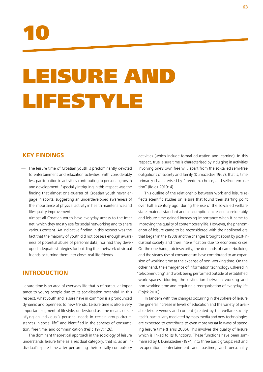

# LEISURE AND LIFESTYLE

### **KEY FINDINGS**

- The leisure time of Croatian youth is predominantly devoted to entertainment and relaxation activities, with considerably less participation in activities contributing to personal growth and development. Especially intriguing in this respect was the finding that almost one-quarter of Croatian youth never engage in sports, suggesting an underdeveloped awareness of the importance of physical activity in health maintenance and life-quality improvement.
- Almost all Croatian youth have everyday access to the Internet, which they mostly use for social networking and to share various content. An indicative finding in this respect was the fact that the majority of youth did not possess enough awareness of potential abuse of personal data, nor had they developed adequate strategies for building their network of virtual friends or turning them into close, real-life friends.

### **INTRODUCTION**

Leisure time is an area of everyday life that is of particular importance to young people due to its socialisation potential. In this respect, what youth and leisure have in common is a pronounced dynamic and openness to new trends. Leisure time is also a very important segment of lifestyle, understood as "the means of satisfying an individual's personal needs in certain group circumstances in social life" and identified in the spheres of consumption, free time, and communication (Pešić 1977: 126).

The dominant theoretical approach in the sociology of leisure understands leisure time as a residual category, that is, as an individual's spare time after performing their socially compulsory

activities (which include formal education and learning). In this respect, true leisure time is characterised by indulging in activities involving one's own free will, apart from the so-called semi-free obligations of society and family (Dumazedier 1967), that is, time primarily characterised by "freedom, choice, and self-determination" (Rojek 2010: 4).

This outline of the relationship between work and leisure reflects scientific studies on leisure that found their starting point over half a century ago: during the rise of the so-called welfare state, material standard and consumption increased considerably, and leisure time gained increasing importance when it came to improving the quality of contemporary life. However, the phenomenon of leisure came to be reconsidered with the neoliberal era that began in the 1980s and the changes brought about by post-industrial society and their intensification due to economic crises. On the one hand, job insecurity, the demands of career-building, and the steady rise of consumerism have contributed to an expansion of working time at the expense of non-working time. On the other hand, the emergence of information technology ushered in "telecommuting" and work being performed outside of established work spaces, blurring the distinction between working and non-working time and requiring a reorganisation of everyday life (Rojek 2010).

In tandem with the changes occurring in the sphere of leisure, the general increase in levels of education and the variety of available leisure venues and content (created by the welfare society itself), particularly mediated by mass media and new technologies, are expected to contribute to even more versatile ways of spending leisure time (Harris 2005). This involves the quality of leisure, which is linked to its functions. These functions have been summarised by J. Dumazedier (1974) into three basic groups: rest and recuperation, entertainment and pastime, and personality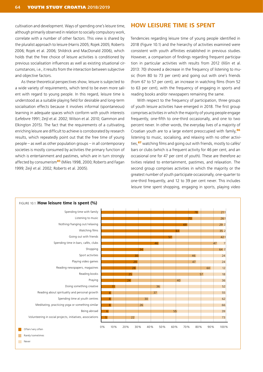cultivation and development. Ways of spending one's leisure time, although primarily observed in relation to socially compulsory work, correlate with a number of other factors. This view is shared by the pluralist approach to leisure (Harris 2005; Rojek 2005; Roberts 2006; Rojek et al. 2006; Shildrick and MacDonald 2006), which holds that the free choice of leisure activities is conditioned by previous socialisation influences as well as existing situational circumstances, i.e., it results from the interaction between subjective and objective factors.

As these theoretical perspectives show, leisure is subjected to a wide variety of requirements, which tend to be even more salient with regard to young people. In this regard, leisure time is understood as a suitable playing field for desirable and long-term socialisation effects because it involves informal (spontaneous) learning in adequate spaces which conform with youth interests (Lefebvre 1991; Zeijl et al. 2002; Wilson et al. 2010; Gammon and Elkington 2015). The fact that the requirements of a cultivating, enriching leisure are difficult to achieve is corroborated by research results, which repeatedly point out that the free time of young people – as well as other population groups – in all contemporary societies is mostly consumed by activities the primary function of which is entertainment and pastimes, which are in turn strongly affected by consumerism<sup>85</sup> (Miles 1998, 2000; Roberts and Fagan 1999; Zeijl et al. 2002; Roberts et al. 2005).

### **HOW LEISURE TIME IS SPENT**

Tendencies regarding leisure time of young people identified in 2018 (Figure 10.1) and the hierarchy of activities examined were consistent with youth affinities established in previous studies. However, a comparison of findings regarding frequent participation in particular activities with results from 2012 (Ilišin et al. 2013: 70) showed a decrease in the frequency of listening to music (from 80 to 73 per cent) and going out with one's friends (from 67 to 57 per cent), an increase in watching films (from 52 to 63 per cent), with the frequency of engaging in sports and reading books and/or newspapers remaining the same.

With respect to the frequency of participation, three groups of youth leisure activities have emerged in 2018. The first group comprises activities in which the majority of young people engage frequently, one-fifth to one-third occasionally, and one to two percent never. In other words, the everyday lives of a majority of Croatian youth are to a large extent preoccupied with family,<sup>86</sup> listening to music, socialising, and relaxing with no other activities.<sup>87</sup> watching films and going out with friends, mostly to cafés/ bars or clubs (which is a frequent activity for 46 per cent, and an occasional one for 47 per cent of youth). These are therefore activities related to entertainment, pastimes, and relaxation. The second group comprises activities in which the majority or the greatest number of youth participate occasionally, one-quarter to one-third frequently, and 12 to 39 per cent never. This includes leisure time spent shopping, engaging in sports, playing video



 $\mathcal{L}_{\mathcal{A}}$ Never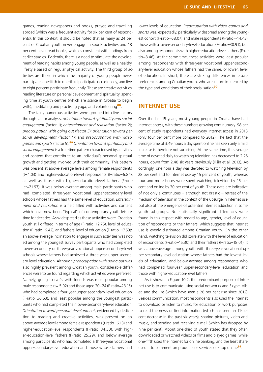games, reading newspapers and books, prayer, and travelling abroad (which was a frequent activity for six per cent of respondents). In this context, it should be noted that as many as 24 per cent of Croatian youth never engage in sports activities and 18 per cent never read books, which is consistent with findings from earlier studies. Evidently, there is a need to stimulate the development of reading habits among young people, as well as a healthy lifestyle based on regular physical activity. The third group of activities are those in which the majority of young people never participate, one-fifth to one-third participate occasionally, and five to eight per cent participate frequently. These are creative activities, reading literature on personal development and spirituality, spending time at youth centres (which are scarce in Croatia to begin with), meditating and practising yoga, and volunteering<sup>88</sup>.

The fairly numerous activities were grouped into five factors through factor analysis: *orientation toward spirituality and social engagement* (factor 1); *entertainment and relaxation* (factor 2); *preoccupation with going out* (factor 3); *orientation toward personal development* (factor 4); and *preoccupation with video games and sports* (factor 5).<sup>89</sup> *Orientation toward spirituality and social engagement* is a free-time pattern characterised by activities and content that contribute to an individual's personal spiritual growth and getting involved with their community. This pattern was present at above-average levels among female respondents (t=4.03) and higher-education-level respondents (F-ratio=6.84), as well as those with higher-education-level fathers (F-omjer=21.97); it was below average among male participants who had completed three-year vocational upper-secondary-level schools whose fathers had the same level of education. *Entertainment and relaxation* is a field filled with activities and content which have now been "typical" of contemporary youth leisure time for decades. As widespread as these activities were, Croatian youth still differed in terms of age (F-ratio=12.75), level of education (F-ratio=6.42), and fathers' level of education (F-ratio=17.53): an above-average inclination to engage in such activities was noted among the youngest survey participants who had completed lower-secondary or three-year vocational upper-secondary-level schools whose fathers had achieved a three-year upper-secondary-level education. Although *preoccupation with going out* was also highly prevalent among Croatian youth, considerable differences were to be found regarding which activities were preferred. Namely, going to cafés with friends was most popular among male respondents (t=-5.02) and those aged 20-24 (F-ratio=23.15), who had completed a four-year upper-secondary-level education (F-ratio=36.63), and least popular among the youngest participants who had completed their lower-secondary-level education. *Orientation toward personal development*, evidenced by dedication to reading and creative activities, was present on an above-average level among female respondents (t-ratio=6.13) and higher-education-level respondents (F-ratio=34.30), with higher-education-level fathers (F-ratio=25.29), and below average among participants who had completed a three-year vocational upper-secondary-level education and those whose fathers had

lower levels of education. *Preoccupation with video games and sports* was, expectedly, particularly widespread among the youngest cohort (F-ratio=68.07) and male respondents (t-ratio=-14.43). those with a lower-secondary-level education (F-ratio=30.91), but also among respondents with higher-education-level fathers (F-ratio=8.46). At the same time, these activities were least popular among respondents with three-year vocational upper-secondary-level education whose fathers had the same, or lower, level of education. In short, there are striking differences in leisure preferences among Croatian youth, who are in turn influenced by the type and conditions of their socialisation<sup>90</sup>.

### **INTERNET USE**

Over the last 15 years, most young people in Croatia have had Internet access, with these numbers growing continuously. 98 per cent of study respondents had everyday Internet access in 2018 (only four per cent more compared to 2012). The fact that the average time of 3.49 hours a day spent online has seen only a mild increase is therefore not surprising. At the same time, the average time of devoted daily to watching television has decreased to 2.26 hours, down from 2.48 six years previously (Ilišin et al. 2013). Accordingly, one hour a day was devoted to watching television by 28 per cent and to Internet use by 15 per cent of youth, whereas four and more hours were spent watching television by 15 per cent and online by 30 per cent of youth. These data are indicative of not only a continuous – although not drastic – retreat of the medium of television in the context of the upsurge in Internet use, but also of the emergence of potential Internet addiction in some youth subgroups. No statistically significant differences were found in this respect with regard to age, gender, level of education of respondents or their fathers, which suggests that Internet use is evenly distributed among Croatian youth. On the other hand, watching television did correlate with the level of education of respondents (F-ratio=15.30) and their fathers (F-ratio=18.01): it was above-average among youth with three-year vocational upper-secondary-level education whose fathers had the lowest levels of education, and below-average among respondents who had completed four-year upper-secondary-level education and those with higher-education-level fathers.

As is shown in Figure 10.2, the predominant purpose of Internet use is to communicate using social networks and Skype, Viber, and the like (which have seen a 28-per cent rise since 2012). Besides communication, most respondents also used the Internet to download or listen to music, for education or work purposes, to read the news or find information (which has seen an 11-per cent decrease in the past six years), sharing pictures, video and music, and sending and receiving e-mail (which has dropped by nine per cent). About one-third of youth stated that they often downloaded or watched videos or films and played games, while one-fifth used the Internet for online banking, and the least share used it to comment on products or services or shop online<sup>91</sup>.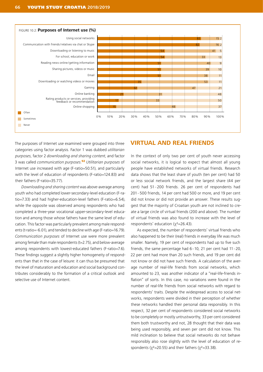![](_page_67_Figure_1.jpeg)

The purposes of Internet use examined were grouped into three categories using factor analysis. Factor 1 was dubbed *utilitarian purposes*, factor 2 *downloading and sharing content*, and factor 3 was called *communication purposes*. <sup>92</sup> *Utilitarian purposes* of Internet use increased with age (F-ratio=50.51), and particularly with the level of education of respondents (F-ratio=124.83) and their fathers (F-ratio=35.77).

*Downloading and sharing content* was above-average among youth who had completed lower-secondary-level education (F-ratio=7.33) and had higher-education-level fathers (F-ratio=6.54), while the opposite was observed among respondents who had completed a three-year vocational upper-secondary-level education and among those whose fathers have the same level of education. This factor was particularly prevalent among male respondents (t-ratio=-6.01), and tended to decline with age (F-ratio=16.79). *Communication purposes* of Internet use were more prevalent among female than male respondents (t=2.75), and below-average among respondents with lowest-educated fathers (F-ratio=7.6). These findings suggest a slightly higher homogeneity of respondents than that in the case of leisure: it can thus be presumed that the level of maturation and education and social background contributes considerably to the formation of a critical outlook and selective use of Internet content.

### **VIRTUAL AND REAL FRIENDS**

In the context of only two per cent of youth never accessing social networks, it is logical to expect that almost all young people have established networks of virtual friends. Research data shows that the least share of youth (ten per cent) had 50 or less social network friends, and the largest share (44 per cent) had 51–200 friends. 26 per cent of respondents had 201–500 friends, 14 per cent had 500 or more, and 19 per cent did not know or did not provide an answer. These results suggest that the majority of Croatian youth are not inclined to create a large circle of virtual friends (200 and above). The number of virtual friends was also found to increase with the level of respondents' education  $(y^2=26.43)$ .

As expected, the number of respondents' virtual friends who also happened to be their (real) friends in everyday life was much smaller. Namely, 19 per cent of respondents had up to five such friends, the same percentage had 6–10, 21 per cent had 11–20, 22 per cent had more than 20 such friends, and 19 per cent did not know or did not have such friends. A calculation of the average number of real-life friends from social networks, which amounted to 23, was another indicator of a "real-life-friends inflation" of sorts. In this case, no variations were found in the number of real-life friends from social networks with regard to respondents' traits. Despite the widespread access to social networks, respondents were divided in their perception of whether these networks handled their personal data responsibly. In this respect, 32 per cent of respondents considered social networks to be completely or mostly untrustworthy, 33 per cent considered them both trustworthy and not, 28 thought that their data was being used responsibly, and seven per cent did not know. This mild inclination to believe that social networks do not behave responsibly also rose slightly with the level of education of respondents ( $\chi^2$ =20.55) and their fathers ( $\chi^2$ =33.38).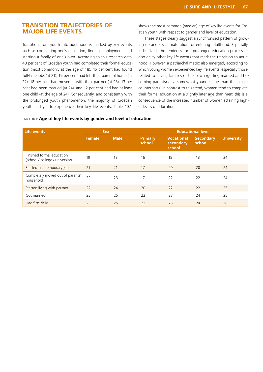### **TRANSITION TRAJECTORIES OF MAJOR LIFE EVENTS**

Transition from youth into adulthood is marked by key events, such as completing one's education, finding employment, and starting a family of one's own. According to this research data, 48 per cent of Croatian youth had completed their formal education (most commonly at the age of 18), 45 per cent had found full-time jobs (at 21), 19 per cent had left their parental home (at 22), 18 per cent had moved in with their partner (at 23), 13 per cent had been married (at 24), and 12 per cent had had at least one child (at the age of 24). Consequently, and consistently with the prolonged youth phenomenon, the majority of Croatian youth had yet to experience their key life events. Table 10.1. shows the most common (median) age of key life events for Croatian youth with respect to gender and level of education.

These stages clearly suggest a synchronised pattern of growing up and social maturation, or entering adulthood. Especially indicative is the tendency for a prolonged education process to also delay other key life events that mark the transition to adulthood. However, a patriarchal matrix also emerged, according to which young women experienced key life events, especially those related to having families of their own (getting married and becoming parents) at a somewhat younger age than their male counterparts. In contrast to this trend, women tend to complete their formal education at a slightly later age than men: this is a consequence of the increased number of women attaining higher levels of education.

#### TABLE 10.1: **Age of key life events by gender and level of education**

| Life events                                                  | <b>Sex</b>    |             | <b>Educational level</b> |                                          |                            |                   |
|--------------------------------------------------------------|---------------|-------------|--------------------------|------------------------------------------|----------------------------|-------------------|
|                                                              | <b>Female</b> | <b>Male</b> | <b>Primary</b><br>school | <b>Vocational</b><br>secondary<br>school | <b>Secondary</b><br>school | <b>University</b> |
| Finished formal education<br>(school / college / university) | 19            | 18          | 16                       | 18                                       | 18                         | 24                |
| Started first temporary job                                  | 21            | 21          | 17                       | 20                                       | 20                         | 24                |
| Completely moved out of parents'<br>household                | 22            | 23          | 17                       | 22                                       | 22                         | 24                |
| Started living with partner                                  | 22            | 24          | 20                       | 22                                       | 22                         | 25                |
| Got married                                                  | 23            | 25          | 22                       | 23                                       | 24                         | 25                |
| Had first child                                              | 23            | 25          | 22                       | 23                                       | 24                         | 26                |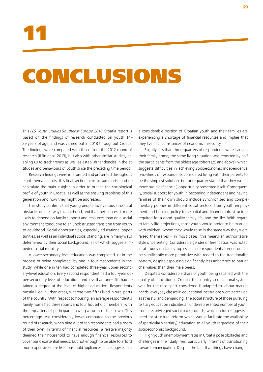# CONCLUSIONS

This *FES Youth Studies Southeast Europe 2018* Croatia report is based on the findings of research conducted on youth 14– 29 years of age, and was carried out in 2018 throughout Croatia. The findings were compared with those from the 2012 round of research (Ilišin et al. 2013), but also with other similar studies, enabling us to track trends as well as establish tendencies in the attitudes and behaviours of youth since the preceding time period.

Research findings were interpreted and presented throughout eight thematic units: this final section aims to summarise and recapitulate the main insights in order to outline the sociological profile of youth in Croatia, as well as the ensuing problems of this generation and how they might be addressed.

This study confirms that young people face various structural obstacles on their way to adulthood, and that their success is more likely to depend on family support and resources than on a social environment conducive to an unobstructed transition from youth to adulthood. Social opportunities, especially educational opportunities, as well as an individual's social standing, are in many ways determined by their social background, all of which suggests impeded social mobility.

A lower-secondary-level education was completed, or in the process of being completed, by one in four respondents in the study, while one in ten had completed three-year upper-secondary-level education. Every second respondent had a four-year upper-secondary level of education, and less than one-fifth had attained a degree at the level of higher education. Respondents mostly lived in urban areas, whereas two-fifths lived in rural parts of the country. With respect to housing, an average respondent's family home had three rooms and four household members, with three-quarters of participants having a room of their own. This percentage was considerably lower compared to the previous round of research, when nine out of ten respondents had a room of their own. In terms of financial resources, a relative majority deemed their household to have enough financial resources to cover basic existential needs, but not enough to be able to afford more expensive items like household appliances: this suggests that

a considerable portion of Croatian youth and their families are experiencing a shortage of financial resources and implies that they live in circumstances of economic insecurity.

Slightly less than three-quarters of respondents were living in their family home; the same living situation was reported by half the participants from the oldest age cohort (25 and above), which suggests difficulties in achieving socioeconomic independence. Two-thirds of respondents considered living with their parents to be the simplest solution, but one-quarter stated that they would move out if a (financial) opportunity presented itself. Consequently, social support for youth in becoming independent and having families of their own should include synchronised and complementary policies in different social sectors, from youth employment and housing policy to a spatial and financial infrastructure required for a good-quality family life, and the like. With regard to family life projections, most youth would prefer to be married with children, whom they would raise in the same way they were raised themselves – in most cases, this means an authoritative style of parenting. Considerable gender differentiation was noted in attitudes on family topics: female respondents turned out to be significantly more permissive with regard to the traditionalist pattern, despite espousing significantly less adherence to patriarchal values than their male peers.

Despite a considerable share of youth being satisfied with the quality of education in Croatia, the country's educational system was for the most part considered ill-adapted to labour market needs; everyday classes in educational institutions were perceived as stressful and demanding. The social structure of those pursuing tertiary education indicates an underrepresented number of youth from less privileged social backgrounds, which in turn suggests a need for structural reform which would facilitate the availability of (particularly tertiary) education to all youth regardless of their socioeconomic background.

High youth unemployment rates in Croatia pose obstacles and challenges in their daily lives, particularly in terms of transitioning toward emancipation. Despite the fact that things have changed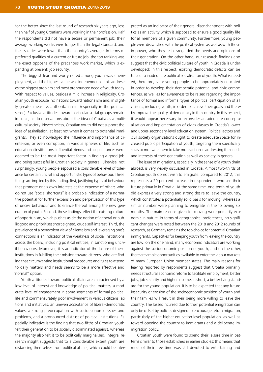for the better since the last round of research six years ago, less than half of young Croatians were working in their profession. Half the respondents did not have a secure or permanent job; their average working weeks were longer than the legal standard, and their salaries were lower than the country's average. In terms of preferred qualities of a current or future job, the top ranking was the exact opposite of the precarious work market, which is expanding at present: job security.

The biggest fear and worry noted among youth was unemployment, and the highest value was independence: this addresses the biggest problem and most pronounced need of youth today. With respect to values, besides a mild increase in religiosity, Croatian youth espouse inclinations toward nationalism and, in slightly greater measure, authoritarianism (especially in the political sense). Exclusive attitudes toward particular social groups remain in place, as do reservations about the idea of Croatia as a multicultural society. Nevertheless, Croatian youth did not support the idea of assimilation, at least not when it comes to potential immigrants. They acknowledged the influence and importance of clientelism, or even corruption, in various spheres of life, such as educational institutions. Influential friends and acquaintances were deemed to be the most important factor in finding a good job and being successful in Croatian society in general. Likewise, not surprisingly, young people espoused a considerable level of tolerance for certain uncivil and opportunistic types of behaviour. Three things are implied by this finding: first, justifying types of behaviour that promote one's own interests at the expense of others who do not use "social shortcuts" is a probable indication of a normative potential for further expansion and perpetuation of this type of uncivil behaviour and tolerance thereof among the new generation of youth. Second, these findings reflect the existing culture of opportunism, which pushes aside the notion of general or public good and prioritises short-sighted, crude self-interest. Third, the prevalence of a benevolent view of clientelism and leveraging one's connections is an indicator of the weakness of social institutions across the board, including political entities, in sanctioning uncivil behaviours. Moreover, it is an indicator of the failure of these institutions in fulfilling their mission toward citizens, who are finding that circumventing institutional procedures and rules to attend to daily matters and needs seems to be a more effective and "normal" option.

Youth attitudes toward political affairs are characterised by a low level of interest and knowledge of political matters, a moderate level of engagement in some segments of formal political life and commensurately poor involvement in various citizens' actions and initiatives, an uneven acceptance of liberal-democratic values, a strong preoccupation with socioeconomic issues and problems, and a pronounced distrust of political institutions. Especially indicative is the finding that two-fifths of Croatian youth felt their generation to be socially discriminated against, whereas the majority also felt it to be politically marginalised. Integral research insight suggests that to a considerable extent youth are distancing themselves from political affairs, which could be inter-

preted as an indicator of their general disenchantment with politics as an activity which is supposed to ensure a good quality life for all members of a given community. Furthermore, young people were dissatisfied with the political system as well as with those in power, who they felt disregarded the needs and opinions of their generation. On the other hand, our research findings also suggest that the civic political culture of youth in Croatia is underdeveloped: in this respect, existing democratic deficits can be traced to inadequate political socialisation of youth. What is needed, therefore, is for young people to be appropriately educated in order to develop their democratic potential and civic competences, as well as for awareness to be raised regarding the importance of formal and informal types of political participation of all citizens, including youth, in order to achieve their goals and thereby improve the quality of democracy in the country. In this respect, it would appear necessary to reconsider an adequate conceptualisation and implementation of civics classes in Croatia's lowerand upper-secondary-level education system. Political actors and civil society organisations ought to create adequate space for increased public participation of youth, targeting them specifically so as to motivate them to take more action in addressing the needs and interests of their generation as well as society in general.

The issue of migrations, especially in the sense of a youth drain abroad, is very widely discussed in Croatia. Almost two-thirds of Croatian youth do not wish to emigrate: compared to 2012, this represents a 20 per cent increase in respondents who see their future primarily in Croatia. At the same time, one-tenth of youth did express a very strong and strong desire to leave the country, which constitutes a potentially solid basis for moving, whereas a similar number were planning to emigrate in the following six months. The main reasons given for moving were primarily economic in nature. In terms of geographical preferences, no significant changes were noted between the 2018 and 2012 rounds of research, as Germany remains the top choice for potential Croatian immigrants. Capacities for keeping youth from leaving the country are low: on the one hand, many economic indicators are working against the socioeconomic position of youth, and on the other, there are ample opportunities available to enter the labour markets of many European Union member states. The main reasons for leaving reported by respondents suggest that Croatia primarily needs structural economic reform to facilitate employment, better jobs, job security and higher income: in short, a better living standard for the young population. It is to be expected that any future insecurity or erosion of the socioeconomic position of youth and their families will result in their being more willing to leave the country. The losses incurred due to their potential emigration can only be offset by policies designed to encourage return migration, particularly of the higher-education-level population, as well as toward opening the country to immigrants and a deliberate immigration policy.

Croatian youth were found to spend their leisure time in patterns similar to those established in earlier studies: this means that most of their free time was still devoted to entertaining and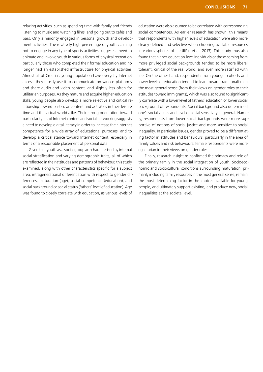relaxing activities, such as spending time with family and friends, listening to music and watching films, and going out to cafés and bars. Only a minority engaged in personal growth and development activities. The relatively high percentage of youth claiming not to engage in any type of sports activities suggests a need to animate and involve youth in various forms of physical recreation, particularly those who completed their formal education and no longer had an established infrastructure for physical activities. Almost all of Croatia's young population have everyday Internet access: they mostly use it to communicate on various platforms and share audio and video content, and slightly less often for utilitarian purposes. As they mature and acquire higher-education skills, young people also develop a more selective and critical relationship toward particular content and activities in their leisure time and the virtual world alike. Their strong orientation toward particular types of Internet content and social networking suggests a need to develop digital literacy in order to increase their Internet competence for a wide array of educational purposes, and to develop a critical stance toward Internet content, especially in terms of a responsible placement of personal data.

Given that youth as a social group are characterised by internal social stratification and varying demographic traits, all of which are reflected in their attitudes and patterns of behaviour, this study examined, along with other characteristics specific for a subject area, intragenerational differentiation with respect to gender differences, maturation (age), social competence (education), and social background or social status (fathers' level of education). Age was found to closely correlate with education, as various levels of

education were also assumed to be correlated with corresponding social competences. As earlier research has shown, this means that respondents with higher levels of education were also more clearly defined and selective when choosing available resources in various spheres of life (Ilišin et al. 2013). This study thus also found that higher-education-level individuals or those coming from more privileged social backgrounds tended to be more liberal, tolerant, critical of the real world, and even more satisfied with life. On the other hand, respondents from younger cohorts and lower levels of education tended to lean toward traditionalism in the most general sense (from their views on gender roles to their attitudes toward immigrants), which was also found to significantly correlate with a lower level of fathers' education or lower social background of respondents. Social background also determined one's social values and level of social sensitivity in general. Namely, respondents from lower social backgrounds were more supportive of notions of social justice and more sensitive to social inequality. In particular issues, gender proved to be a differentiating factor in attitudes and behaviours, particularly in the area of family values and risk behaviours: female respondents were more egalitarian in their views on gender roles.

Finally, research insight re-confirmed the primacy and role of the primary family in the social integration of youth. Socioeconomic and sociocultural conditions surrounding maturation, primarily including family resources in the most general sense, remain the most determining factor in the choices available for young people, and ultimately support existing, and produce new, social inequalities at the societal level.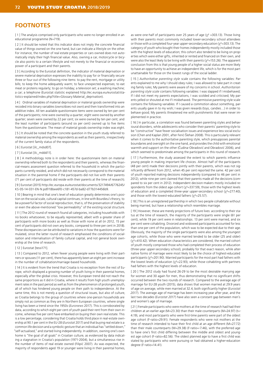## **FOOTNOTES**

[1] The analysis comprised only participants who were no longer enrolled in an educational programme (N=719).

[ 2 ] It should be noted that this indicator does not imply the concrete financial value of things owned on the one hand, but can indicate a lifestyle on the other. For instance, the number of real estate properties or cars owned does not automatically imply their high financial value. Also, owning a car, motorcycle or bicycle also points to a certain lifestyle and not merely to the financial or economic power of a participant and their parents.

[3] According to the Eurostat definition, the indicator of material deprivation or severe material deprivation expresses the inability to pay for or financially secure three or four out of the following nine items: to pay the rent, mortgage or utility bills; to keep the home adequately warm; to face unexpected expenses; to eat meat or proteins regularly; to go on holiday; a television set; a washing machine; a car; a telephone (Eurostat statistic explained http://ec.europa.eu/eurostat/statistics-explained/index.php?title=Glossary:Material\_deprivation).

[4] Ordinal variables of material deprivation or material goods ownership were recoded into binary variables (owns/does not own) and then transformed into an additive index. All ten available questionnaire items were owned by ten per cent of the participents; nine were owned by a quarter; eight were owned by another quarter; seven were owned by 22 per cent; six were owned by ten per cent; and the least number of participants (around six per cent) owned up to five items from the questionnaire. The mean of material goods ownership index was eight.

[5] It should be noted that the concrete question in the youth study referred to material ownership among the respondents as well as their parents, irrespectively of the current family status of the respondents.

[ 6 ] Eurostat [ilc\_mdsd07].

[ 7 ] Eurostat [ilc\_mddd11].

[ 8 ] A methodology note is in order here: the questionnaire item on material ownership referred both to the respondents and their parents, whereas the financial-means assessment question referred to the household in which the participants currently resided, and which did not necessarily correspond to the material situation in the parental home if the participants did not live with their parents (71 per cent of participants did reside with their parents at the time of research).

[ 9 ] Eurostat (2015) http://ec.europa.eu/eurostat/documents/3217494/6776245/ KS-05-14-031-EN-N.pdf/18bee6f0-c181-457d-ba82-d77b314456b9.

[ 10 ] Bearing in mind that one's level of education greatly determines one's position on the social scale, cultural capital continues, in line with Bourdieu's theory, to be a powerful factor of social reproduction, that is, of the preservation of stability or even the above-mentioned "low permeability" of the existing social structure.

[11] The 2012 round of research found all categories, including households with no books whatsoever, to be equally represented, albeit with a greater share of participants with more books as well as those with none at all (in 2012, 15 per cent of participants did not own any books, compared to three per cent in 2018). These discrepancies can be attributed to variations in how the questions were formulated, since the latter round of research emphasised the conditions of socialisation and internalisation of family cultural capital, and not general book ownership at the time of research.

[ 12 ] Eurostat [tessi171].

[13] Compared to 2012, when fewer young people were living with their partners or spouses (11 per cent), there has apparently been an eight per cent increase in the number of cohabitation/marriage-based households.

[ 14 ] It is evident from the trend that Croatia is no exception from the rest of Europe, which displayed a growing number of youth living in their parental homes, especially after the global crisis. However, this European trend did not reach the same proportions as it did in Croatia, where it results from high youth unemployment rates in the past period as well as from the phenomenon of prolonged youth, all of which has hindered young people on their path to independence. At the same time, this is not merely a question of structural issues, but also of culture, as Croatia belongs to the group of countries where one-person households are simply not as common as they are in Northern European countries, where single living has been a trend since the 1950s (*Euronews* 2017). This is corroborated by data, according to which eight per cent of youth paid their rent from their own income, whereas five per cent have embarked on buying their own real estate. This is a low percentage, considering that Croatia holds third place in real-estate ownership at 90.1 per cent in the EU-28 (*Eurostat* 2017) and that buying real estate is a common life decision and a symbolic gesture that an individual has "settled down," "self-actualised," and started living independently. In addition, owning one's own home is "the goal of all goals" in Croatian culture, as evidenced by data indicating a stagnation in Croatia's population (1971-2004), but a simultaneous rise in the number of items of real estate owned (Filipić 2007). As was expected, the majority of respondents aged 19 or younger were living in their parental homes,

as were one-half of participants over 25 years of age ( $\chi^2$  =303.13). Those living with their parents most commonly included lower-secondary school attendees or those with a completed four-year upper-secondary education ( $\chi^2$ =303.13). The category of youth who bought their homes independently mostly included those with the highest levels of education; this cohort also tended to be living on properties which were either gifts, inherited or rented and financed on their own, and were also the least likely to be living with their parents ( $\chi^2$ =153.26). The apparent conclusion from this is that young people of a higher social status are more likely to have an opportunity to achieve an independent life, which is for the most part unattainable for those on the lowest rungs of the social ladder.

[ 15 ] *Authoritative parenting style* scale contains the following variables: Parents explained to me why I should obey rules; I was allowed to take part in creating family rules; My parents were aware of my concerns in school. *Authoritarian parenting style scale* contains following variables: I was slapped if I misbehaved; If I did not meet my parents expectations, I was scolded and criticised; My parents yelled or shouted at me if I misbehaved. The permissive parenting style scale contains the following variables: If I caused a commotion about something, parents usually gave in to my wish; I was given rewards (toys, candies…) in order to behave good; My parents threatened me with punishments that were never implemented in practice.

[ 16 ] In particular, a correlation was found between parenting styles and behavioural disorders, while adolescents who consider their parents' parenting style to be "constructive" have fewer socialisation issues and experience less social exclusion (Chen and Kaplan 2001, after Ferić-Šlehan 2008). This is particularly relevant when it comes to the authoritative parenting style, which presupposes parental boundaries and oversight on the one hand, and provides the child with emotional warmth and support on the other (Čudina-Obradović and Obradović 2006), and which seemed to predominate among the participants in this round of research.

[ 17 ] Furthermore, the study assessed the extent to which parents influence young people in making important life choices. Almost half of the participants (48 per cent) made their decisions jointly with their parents, which was not significantly different from 2012, when 45 per cent reported the same. 42 per cent of youth reported making decisions independently (compared to 46 per cent in 2012), while nine per cent claimed that their parents made all the decisions (compared to six per cent in 2012). Independent decision-makers mostly included respondents from the oldest age cohort ( $\chi^2$ =337.59), those with the highest levels of education and a completed three-year upper-secondary school ( $\chi^2$ =277.40), and those with the lowest-educated fathers ( $\chi^2$ =25.57).

[18] This is an unregistered parthership in which two people cohabitate without being married, but have a relationship which resembles marriage.

[19] However, these are merely projections of future lives: according to their status at the time of research, the majority of the participants were single (61 per cent), while 19 per cent were in relationships. 13 per cent were married, and six per cent were cohabiting. Divorced and widowed participants accounted for less than one per cent of the population, which was to be expected due to their age. Obviously, the majority of the single participants were also among the youngest age cohorts, while those who were married tended to be older (25 and older) (χ2=410.42). When education characteristics are considered, the married cohort of youth mostly comprised those who had completed their process of education (three-year upper-secondary school), probably for that exact reason, while alternative forms of marriage were most likely to be the choice of highest-educated participants ( $\chi^2$ =201.90). Married participants for the most part had fathers with the lowest levels of education ( $\chi^2$ =22.93), while those cohabiting with partners had fathers with the highest levels of education.

[ 20 ] The 2012 study had found 26-29 to be the most desirable marrying age for women and 30 again for men, thus demonstrating that no significant shifts occurred between the two rounds of research. Compared to the average age of marriage for EU-28 youth (2015), data shows that women married at 29.9 years of age on average, while men married at 32.4, both significantly higher (*Eurostat 2017*). The average age of marriage has been increasing year after year, and the last two decades (*Eurostat 2017*) have also seen a constant gap between men's and women's age of marriage.

[21] Female participants who were mothers at the time of research had had their children at an earlier age (M=23.30) than their male counterparts (M=24.97) (t=-4.19), and most participants who were first-time parents were part of the oldest age cohort (F-ratio=29.91). Female respondents who were not mothers at the time of research intended to have their first child at an age different (M=27.72) than their male counterparts (M=29.38) (F-ratio=-7.46), with the preferred age to have one's first child differing between the middle and oldest and youngest age cohort (F-ratio=82.56). The oldest planned age to have a first child was stated by participants who were pursuing or had obtained a higher-education degree (F-ratio=14.41).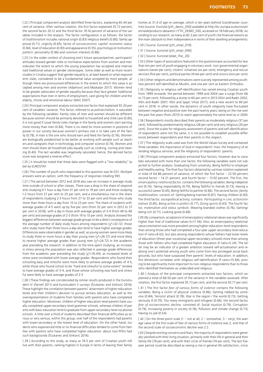[ 22 ] Principal component analysis identified three factors, explaining 65.44 per cent of variance. After varimax rotation, the first factor explained 25.72 percent, the second factor 20.12 and the third factor 19.16 percent of variance of the variables included in the analysis. The factor configuration is as follows: the factor of *traditionalism* includes national origin (0.83) religious beliefs (0.80), family approval (0.71), virginity (0.65); factor of *socioeconomic capital*: economic status (0.84), level of education (0.83) and appearance (0.55); *psychological motivation pattern:* personality (0.86) and common interests (0.86).

[23] In the wider context of choosing one's future spouse/partner, participants' attitudes toward gender roles or normative expectations from women and men indicates the extent to which the young population has accepted and internalised traditional values or gender stereotypes. Some older as well as more recent studies in Croatia suggest that gender equality is, at least based on what respondents state, considered to be a fundamental value accepted by most people, although there are pronounced differences in the extent to which this value is accepted among men and women (Adamović and Maskalan 2017). Women tend to be greater advocates of gender equality because they face greater traditional expectations than men in terms of employment, care-giving for children and the elderly, chores and emotional labour (Milić 2007).

[ 24 ] Principal component analysis extracted one factor that explained 55.20 percent of variables' variance. This factor, referred to as *patriarchalism,* is saturated by the following variables: Family roles of men and women should be different because women should be primarily devoted to household and child care (0.85), It is not good if usual family roles change in the family and women start earning more money than men (0.84), There is no need for more women in positions of power in our society because women's primary role is to take care of the family (0.78), A man is the one who should earn and feed the family (0.76), Women are biologically predestined to be better at working with people such as teachers and caregivers than in technology and computer science (0.74), Women and men should share all household jobs equally such as cooking, ironing and cleaning (0.40). The last variable was negatively saturated; hence, the derived factor score was assigned a reverse effect.

[ 25 ] It should be noted that these data were flagged with a "low reliability" label by EUROSTAT.

[ 26 ] The number of youth who responded to this question was N=531. Multiple answers were an option, with the frequency of responses totalling 593.

[ 27 ] The period between 2012 and 2018 also saw an increase in average study time outside of school or after classes. There was a drop in the share of respondents studying 0-1 hour a day from 31 per cent to 19 per cent and those studying 1-2 hours from 27 per cent to 25 per cent, and a simultaneous rise in the share of respondents studying 2-3 hours from 27 to 33 per cent and those who study more than three hours a day from 15 to 23 per cent. The share of students with average grades of 4-5 went up by five per cent (from 32 per cent in 2012 to 37 per cent in 2018), with a dip in those with average grades of 3-4 (from 49 to 48 per cent) and average grades of 2-3 (from 19 to 15 per cent). Analysis showed the biggest differences between average grade groups to be a direct consequence of the average number of daily study hours among respondents  $(\chi^2=32.12)$ : those who study more than three hours a day also tend to have higher average grades. Differences were observable in gender as well, as young women were more likely to study three or more hours a day than young men  $(\chi^2=26.37)$  and more likely to receive higher average grades than young men  $(y^2=24.72)$  in the academic year preceding the research. In addition to the time spent studying, an increase in stress among the population was also reflected in average grade differences from the academic year preceding the study  $(\chi^2=16.44)$ , as increased levels of stress were correlated with lower average grades. Respondents who found their schooling easy and stressful were more likely to achieve average grades of 4-5, while those who found school to be "hard and stressful to some extent" tended to have average grades of 3-4, and those whose schooling was hard and stressful were likely to have average grades of 2-3.

[ 28 ] These findings are corroborated by similar results produced in the Eurostudent IV (Farnell 2011) and Eurostudent V surveys (Šćukanec and Sinković 2016). These highlight the correlation between parents' attainment of higher-education levels and their children's decision to pursue tertiary education, as well as the overrepresentation of students from families with parents who have completed higher education. Moreover, children of higher-education-level parents have usually completed upper-secondary-level grammar schools, whereas children of parents with basic education tend to graduate from upper-secondary-level vocational schools. A little over a third of students described their financial difficulties as serious or very serious; within this group, over half of the respondents had parents with lower-secondary or the lowest level of education. On the other hand, students who experienced little or no financial difficulties tended to come from families with parents who have completed higher education: about two-fifths had such backgrounds (Šćukanec and Sinković 2016).

[ 29 ] According to this study, as many as 74.5 per cent of Croatian youth still live with their parents, ranking highest in Europe in terms of leaving their family

homes at 31.4 of age on average, which is ten years behind Scandinavian countries (source: Eurostat [yth\_demo\_030] available at http://ec.europa.eu/eurostat/ en/web/products-datasets/-/YTH\_DEMO\_030, accessed on 18 February 2018). According to our research, as many as 82.2 per cent of youth cite financial reasons as the main obstacle to their independence in terms of their dwelling arrangements.

[ 30 ] Source: Eurostat [yth\_empl\_010].

[ 31 ] Source: Eurostat [yth\_empl\_090].

[ 32 ] Source: Eurostat [edat\_lfse\_20].

[33] Other types of associations featured in the questionnaire accounted for less than ten per cent of youth engaging in voluntary work: non-governmental organisations (seven per cent), citizens' initiatives (six per cent), emergency and rescue services (five per cent), political parties (three per cent) and unions (one per cent).

[34] Other religions and denominations were scarcely represented among youth: two percent self-identified as Muslim, and one per cent as Eastern Orthodox.

[ 35 ] Religiosity or religious self-identification has varied among Croatian youth from 1999 onwards: the period between 1999 and 2004 saw a surge (from 66 to 73 per cent), followed by a slump to 60 per cent in 2013 (Ilišin and Radin 2002; Ilišin and Radin 2007; Ilišin and Spajić Vrkaš 2017), and a new ascent to 69 per cent in 2018. In other words, the dynamics of youth religiosity have fluctuated between negative and positive over the past twenty years, being on the rise over the past five years (from 2013) to reach approximately the same level as in 2000.

[ 36 ] Respondents mostly described their parents as moderately religious (37 per cent), followed by predominantly religious (26 per cent) and very religious (20 per cent). Since the scales for religiosity assessment of parents and self-identification of respondents were not the same, it is not possible to establish possible differences between respondents and their parents in this respect.

[ 37 ] The religiosity scale used was from the World Values Survey and contained three variables: the importance of God in respondents' lives; the frequency of attending religious services; and the religiosity of respondents' parents.

[ 38 ] Principal component analysis extracted four factors, however due to variables saturated with more than one factor, the following variables were not subjected to further analysis: Graduating from university, Being faithful to employer and Healthy eating. The final four factors obtained by varimax rotation explained in total of 64.86 percent of variance, of which the first factor – 22.50 percent, second factor – 14.21 percent, and fourth factor – 13.92 percent. The first, the *emancipatory-relational factor,* contains the following variables: Being independent (0.74), Taking responsibility (0.70), Being faithful to friends (0.73), Having a successful career (0.65), Being faithful to partner (0.66). The second factor, *family traditionalism,* consists of: Getting/being married (0.87), Having children (0.83). The third factor, sociopolitical activity, contains: *Participating in civic actions/initiatives* (0.85), *Being active in politics* (0.77), *Doing sports* (0.63). The fourth factor, *materialism and status symbols*: Wearing branded clothes (0.76), Getting/ being rich (0.71), Looking good (0.68).

[ 39 ] By comparison, acceptance of emancipatory-relational values was significantly higher than that of traditional values (t=11.56). Also, an emancipatory-relational value orientation was more prevalent among higher-education-level respondents than among those who had completed a four-year upper secondary-level education (F-ratio=8.02), but also among respondents whose fathers had lower levels of education (three-year vocational upper-secondary schools) more than among those with fathers who had completed higher education (F-ratio=5.24). The latter may be an indicator of a greater ambition toward self-actualisation and realising one's potential among youth who come from less privileged social backgrounds, but who have surpassed their parents' levels of education. In addition, this dimension correlates with religious self-identification (F-ratio=15.84), proving to be significantly more important to non-religious respondents than to those who identified themselves as undecided and religious.

[ 40 ] Analysis of the principal components extracted two factors, which explained a total of 66.50 per cent of the variance in the variables assessed. After rotation, the first factor explained 35.73 per cent, and the second 30.77 per cent.

[41] The first factor *fear of various forms of violence* contains the following variables: Being a victim of physical violence (0.86), Getting robbed by someone (0.84), Terrorist attack (0.78), War in the region / the world (0.73), Getting seriously ill (0.70), Too many immigrants and refugees (0.66); the second factor, *fear of socioeconomic decline,* consisted of: Social injustice (0.79), Corruption (0.79), Increasing poverty in society (0.78), Pollution and climate change (0.73), Having no job (0.54).

 $[42]$  On the three-point scale  $(1 - not at all; 2 - somewhat; 3 - very)$ , the average value of the first scale of fear of various forms of violence was 2, and that of the second scale of socioeconomic decline was 2.2.

[43] Despite existing concerns and fears, the majority of respondents were generally satisfied with their living situation, primarily with their life in general and their family life (78 per cent), and with their circle of friends (74 per cent). The last fiveyear period could be described as seeing a rise in general life satisfaction, since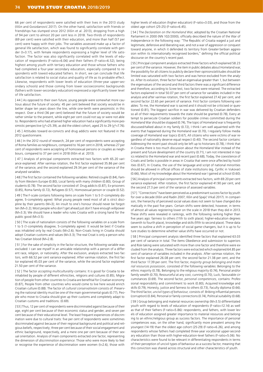66 per cent of respondents were satisfied with their lives in the 2013 study (Ilišin and Gvozdanović 2017). On the other hand, satisfaction with friends or friendships has slumped since 2012 (Ilišin et al. 2013), dropping from a high of 94 per cent to almost 20 per cent less in 2018. Two-thirds of respondents (69 per cent) were satisfied with their education, and more than half (57 per cent) were happy with their jobs. The variables assessed make up a factor of general life satisfaction, which was found to significantly correlate with gender (t=3.17), with female respondents expressing a higher level of life satisfaction. The factor was also significantly correlated with the levels of education of respondents (F-ratio=6.06) and their fathers (F-ratio=6.52), being highest among youth with tertiary education and those whose fathers who had completed a four-year secondary education, especially compared to respondents with lowest-educated fathers. In short, we can conclude that life satisfaction is related to social status and quality of life as its probable effect. Likewise, respondents with lower levels of education (three-year upper-secondary schools) and those coming from lower socioeconomic backgrounds (fathers with lower-secondary education) expressed a significantly lower level of life satisfaction.

[44] As opposed to their own future, young people were somewhat more cautious about the future of society: 45 per cent believed that society would be in better shape ten years down the line, while one-tenth were pessimistic in this respect. Over a third (36 per cent) believed that the future of society would be rather similar to the present, while eight per cent could not say or were not able to. Respondents who had attained higher education had a significantly more pessimistic perspective ( $\chi^2$ =25.39), as did the oldest cohort, aged 25 to 29 ( $\chi^2$ =7.76). [45] Attitudes toward ex-convicts and drug addicts were not featured in the 2012 questionnaire.

[46] In the 2012 round of research, 24 per cent of respondents were accepting of Roma families as neighbours, compared to 16 per cent in 2018, whereas 27 per cent of respondents were accepting of homosexual persons or couples as neighbours, compared to 37 per cent in 2018 (Ilišin et al. 2013).

[ 47 ] Analysis of principal components extracted two factors with 65.20 variance explained. After varimax rotation, the first factor explained 35.86 per cent of the variance, and the second explained 29.34 per cent of the variance of the analysed variables.

[48] The first factor contained the following variables: Retired couple (0.84), Family from Western Europe (0.80), Local family with many children (0.80), Group of students (0.78). The second factor consisted of: Drug addicts (0.87), Ex-prisoners (0.85), Roma family (0.72), Refugees (0.57), Homosexual person or couple (0.52).

[49] The F-scale contains following items on scale from 1 to 5 (1-completely disagree, 5-completely agree): What young people need most of all is strict discipline by their parents (M=3); An insult to one's honour should never be forgotten (M=3.2); Most people who don't get ahead just don't have enough willpower (M=3.3); We should have a leader who rules Croatia with a strong hand for the public good (M=3.5).

[50] The scale of nationalism consists of the following variables on a scale from 1 to 5 (1-completely disagree, 5-completely agree): It would be best if Croatia was inhabited only by real Croats (M=2.6); Non-Croats living in Croatia should adopt Croatian customs and values (M=3.3); The real Croat is only a person who has Croatian blood (M=2.8).

[51] For the sake of simplicity in the factor structure, the following variable was excluded: I can see myself in an amicable relationship with a person of a different race, religion, or nationality. After the exclusion, analysis extracted two factors, with 66.52 per cent variance explained. After varimax rotation, the first factor explained 45.03 per cent of the variance, while the second factor explained 21.50 per cent of the variance.

[ 52 ] The factor *accepting multiculturality* contains: It is good for Croatia to be inhabited by people of different ethnicities, religions and cultures (0.85), Migration of people from other countries to Croatia are benefitial for Croatian economy (0.87), People from other countries who would come to live here would enrich Croatian culture (0.88). The factor of *cultural conservativism* consists of: Preserving the national identity must be one of the main governmental goals (0.77), People who move to Croatia should give up their customs and completely adapt to Croatian customs and traditions. (0.69).

[ 53 ] Thus, 12 per cent of respondents were discriminated against because of their age, eight per cent because of their economic status and gender, and seven per cent because of their educational level. The least frequent experiences of discrimination were due to cultural traits: five per cent of respondents were sometimes discriminated against because of their regional background and political and religious beliefs, respectively; three per cent because of their social engagement and ethnic background, respectively, and a mere one per cent because of their sexual orientation. Analysis of main components extracted one factor, representing the dimension of *discrimination experience*. Those who were more likely to feel or recognise the experience of discrimination were women (t=2.6), those with

higher levels of education (higher education) (F-ratio=3.03), and those from the oldest age cohort (25-25) (F-ratio=6.45).

[ 54 ] The *Declaration on the Homeland War*, adopted by the Croatian National Parliament in 2000 (NN 102/2000), officially described the nature of the War of Independence in the following way: "The Republic of Croatia waged a just and legitimate, defensive and liberating war, and not a war of aggression or conquest toward anyone, in which it defended its territory from Greater-Serbian aggression within its internationally recognised borders," defining the official political discourse on the country's recent past.

[ 55 ] Principal component analysis extracted three factors which explained 58.23 per cent of the variance. However, the item in public debates about Homeland war, the possibility for all citizens to publicly declare their opinions/attitudes should be limited was saturated with two factors and was hence excluded from the analysis. After its exlusion, three factor had an eigenvalue greater than 1, but between the eigenvalues of the second and third factors there was a significant difference and therefore, according to Scree test, two factors were retained. The extracted factors explained in total 50.07 per cent of variance for variables included in the analysis and after varimax rotation, the first factor explained 27.42 per cent, and second factor 22.65 per percent of variance. First factor contains following variables: To me, the Homeland war is sacred and it should not be criticised or questioned (0.81), The biggest sacrifice in war was delivered by Croatian defenders so all of their requirements towards the state should be granted (0.78), Every attempt to persecute Croatian soldiers for possible crimes committed during the Homeland War should be stopped (0.74), The topic of Homeland war is frequently discussed/talked about in my family (0.72), I think I am well aquainted with the events that happened during the Homeland war (0.70), I regularly follow media coverage of Homeland war topics (0.67), All citizens who were victims of war regardless of nationality deserve equal respect (0.40). The second factor contains: Addressing the recent past should only be left up to historians (0.78), I think that in Croatia there is too much discussion about the Homeland War instead of the present and future development of the country (0.71), I am not interested in topics related to the Homeland war and recent past (0.68), Today, the coexistence of Croats and Serbs is possible in areas in Croatia that were once affected by hostilities (0.67), In Croatia, the use of the language and script of national minorities should be allowed in official offices of state institutions (eg, Cyrillic in Vukovar) (0.66), Most of my knowledge about the Homeland war I gained at school (0.60).

[ 56 ] Analysis of principal components extracted two factors, with 69.20 per cent variance explained. After rotation, the first factor explained 41.90 per cent, and the second 27.3 per cent of the variance of assessed variables.

[ 57 ] "Connections" have been perceived as a predominant success factor by youth for over a decade (Ilišin and Radin 2007; Ilišin and Spajić Vrkaš 2017). In comparison, the hierarchy of perceived social values does not seem to have changed dramatically in the past five years. Certain shifts were detected, however, in terms of almost all values registering lower on the scale in 2018 than they did in 2013. These shifts were revealed in rankings, with the following ranking higher than five years ago: fairness to others (11th to sixth place); higher-education degrees (seventh to fourth place), knowledge and skills (fifth to second place). These data seem to outline a shift in perception of social game-changers, but it is up to future studies to determine whether value shifts have occurred or not.

[ 58 ] Principal component analysis identified three factors that explained 63.03 per cent of variance in total. The items Obedience and submission to superiors and Risk-taking were saturated with more than one factor and therefore were excluded from the analysis. Three factors were extracted which explained 64.85 per cent of variance of variables included in the analysis. After varimax rotation, the first factor explained 26.08 per cent, the second factor 21.38 per cent, and the third factor 17.39 per cent. The first factor, *majority group belonging and material resources possession,* consisted of the following variables: Belonging to the ethnic majority (0.78), Belonging to the religious majority (0.74), Personal and/or family wealth (0.70), Resourceful at any cost, cunning (0.70), Luck, favourable circumstances (0.69). The second factor, *personal competences,* contains: Professional responsibility and commitment to work (0.80), Acquired knowledge and skills (0.79), Honesty, justice and fairness to others (0.73), Faculty diploma (0.66). The third factor, *uncivil types of behaviour,* consists of: Bribing influential persons (corruption) (0.84), Personal or family connections (0.74), Political suitability (0.68).

[ 59 ] Group belonging and material resources ownership (M=3.5) differentiated youth with regard to levels of education of respondents (F-ratio=12.14) as well as that of their fathers (F-ratio=5.86): respondents, and fathers, with lower levels of education assigned greater importance to material resources and belonging to an ethnic/religious group as success factors. The importance of personal competences was, on the other hand, significantly more prevalent among the youngest (14-19) than the oldest age cohort (25-29) (F-ratio=6.26), and among respondents whose fathers had completed three-year vocational upper-secondary education than those with higher-education-level fathers (F-ratio=5.06). No characteristics were found to be relevant in differentiating respondents in terms of their perception of uncivil types of behaviour as a success factor, meaning that this conviction was shared across structural and other characteristics of youth.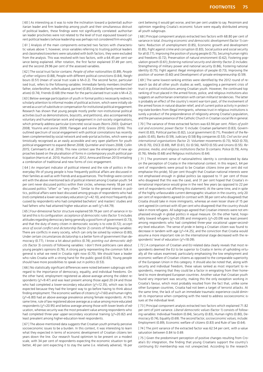[ 60 ] As interesting as it was to note the inclination toward a (potential) authoritarian leader and firm leadership among youth and their simultaneous distrust of political leaders, these findings were not significantly correlated: authoritarian leader proclivities were not related to the level of trust espoused toward current political leaders (whose leadership was perhaps not considered firm enough).

[ 61 ] Analysis of the main components extracted two factors with characteristic values above 1; however, since variables referring to trusting political leaders and classmates/coworkers were saturated with both factors, they were excluded from the analysis. This was resolved with two factors, with a 64.45 per cent variance being explained. After rotation, the first factor explained 37.49 per cent, and the second 29.96 per cent of the assessed variables.

[ 62 ] The social trust factor contains: *People of other nationalities* (0.89), *People of other religions* (0.88), People with different political convictions (0.84), Neighbours (0.51) (mean of social trust scale is M=3.2). The second factor, particularised trust, refers to the following variables: Immediate family members (mother/ father, sister/brother, wife/husband, partner) (0.85), Extended family members (relatives) (0.74), Friends (0.68) (the mean for the particularised trust scale is M=4.2).

[ 63 ] Below-average participation of youth in formal politics necessarily redirects scholarly attention to informal modes of political activism, which were initially observed as a sort of substitute or compensation for institutional political engagement. Research has shown that young people mostly prefer non-institutional political activities (such as demonstrations, boycotts, and petitions), also accompanied by voluntary and humanitarian work and engagement in civil-society organisations, which primarily address particular (concrete) social issues (Norris 2003; Quéniart 2008; Younnis and Levine 2009; Flanagan and Levine 2010; Grasso 2016). This outlined spectrum of social engagement with political connotations has recently been complemented by social network and web-portal activities, which were optimistically recognised as an easily accessible and very open platform for youth political engagement to expand (Benet 2008; Quintelier and Vissers 2008; Collin 2015; Cammaerts et al. 2016). This new context saw the emergence of new approaches based on the pluralisation of forms in contemporary youth political participation (Harris et al. 2010; Hustinx et al. 2012; Amna and Ekman 2013) entailing a combination of traditional and new forms of civic engagement.

[ 64 ] An important indicator of political interest and the role of politics in the everyday life of young people is how frequently political affairs are discussed in their families as well as with friends and acquaintances. The findings were consistent with the above-mentioned lack of political interest among Croatian youth: 54 per cent never discussed politics within their circles, whereas merely 18 per cent discussed politics "often" or "very often." Similar to the general interest in politics, political affairs were least discussed among groups of respondents who had (not) completed a lower-secondary education (χ2=42.10), and most frequently discussed by respondents who had completed bachelors' and masters' studies and had fathers who had attained higher education as well ( $\chi^2$ =44.79).

[ 65 ] Four-dimesional factor structure explained 59.79 per cent of variance in total and this is its configuration: *acceptance of democratic rules* (factor 1) includes attitudes regarding democracy being generally a good form of government (0.73), and that the duty of every citizen in democratic society is to vote (0.72); *acceptance of social conflict and dictatorship* (factor 2) consists of following variables: There are conflicts in every society, which can only be solved by violence (0.80), Under certain circumstances dictatorship is a better form of government than democracy (0.77), I know a lot about politics (0.74); *pointing out democratic deficits* (factor 3) consists of following variables: I don´t think politicians care about young people´s opinions (0.76), A strong party representing the common folk in general is what we need in Croatia right now (0.70), We should have a leader who rules Croatia with a strong hand for the public good (0.63), Young people should have more possibilities to speak out in politics (0.53).

[ 66 ] No statistically significant differences were noted between subgroups with regard to the importance of democracy, equality, and individual freedoms. On the other hand, employment registered as above-average among the oldest respondents ( $\chi^2$ =9.47) and was least present among those aged 20-24 and those who had completed a lower-secondary education ( $\chi^2$ =12.35), which was to be expected because they had the longest way to go before having to think about finding employment. The economic welfare of citizens ( $\chi^2$ =7.60) and human rights  $(\chi^2=6.80)$  had an above-average prevalence among female respondents. At the same time, rule of law registered above average as a value among more educated respondents (χ<sup>2</sup>=20.95) and below average among those with lower levels of education, whereas security was the most prevalent value among respondents who had completed three-year upper-secondary vocational training  $(y^2=20.82)$  and least prevalent among higher-education-level respondents.

[67] The above-mentioned data suggests that Croatian youth primarily perceive socioeconomic issues to be a burden. In this context, it was interesting to learn what they expected in terms of economic development of Croatian citizens ten years down the line. Our research found optimism to be present on a modest scale, with 34 per cent of respondents expecting the economic situation to get better, 40 per cent expecting it to stay the same (i.e. relatively adverse), 16 per

cent believing it would get worse, and ten per cent unable to say. Pessimism and optimism regarding Croatia's economic future were equally distributed among all youth subgroups.

[ 68 ] Principal component analysis extracted two factors with 68.80 per cent of variance in total. *Ensuring economic and democratic development* (factor 1) contains: Reduction of unemployment (0.85), Economic growth and development (0.85), Fight against crime and corruption (0.83), Social justice and social security for all (0.77), Improving the position of young people (0.75), Securing human rights and freedoms (0.72), Preservation of natural environment (0.62), Fostering population growth (0.61); *fostering national security and identity* (factor 2) includes: Strengthening of military power and national security (0.86), Fostering national identity (0.75), Fight against illegal immigration of people (0.73), Improving the position of women (0.60) and Development of private entrepreneurship (0.59).

[ 69 ] The same lowest-ranking entities were identified by the 2012 round of research (as did all other youth studies as well), suggesting a permanent crisis of trust in political institutions among Croatian youth. However, the continued top ranking of trust placed in the armed forces, police, and religious institutions also suggests an authoritarian orientation with certain militarist tendencies. The latter is probably an effect of the country's recent war-torn past, of the involvement of the armed forces in natural disaster relief, and of current police activity in protecting state borders from illegal immigrants, whereas trust in religious institutions is surely a product of the preponderance of religiosity among Croatia's population, and the pervasive presence of the Catholic Church in Croatian social life in general.

[70] The variance of three extracted factors was 63.94 per cent. *Pillars of political and economic power* (factor 1) include: Croatian parliament (0.83), Government (0.83), Political parties (0.82), Local government (0.71), President of the Republic (0.65), Banks (0.59), Judiciary (0.58) Big companies (0.53); *Civil sector and international organisations* (factor 2): Volunteer movements (0.73), NGO (0.70), UN (0.70), OSCE (0.69), IMF (0.61), EU (0.56), NATO (0.55) and Unions (0.55). *Repressive, media, and religious institutions* (factor 3) contains: Police (0.79), Army (0.76), Media (0.68) and Religious institutions (0.64).

[ 71 ] The prominent sense of national/ethnic identity is corroborated by data on the perception of Croatia in the international context. In this respect, 64 per cent of respondents were proud to be Croatian citizens (nine per cent did not emphasise this pride), 50 per cent thought that Croatian national interests were not emphasised enough in global politics (as opposed to 11 per cent of those who disagreed that this was the case), and 31 per cent hoped that Croatia's international importance would grow in the next few years (as opposed to 22 per cent of respondents not affirming this statement). At the same time, and in spite of the highly unfavourable current demographic situation in the country, only 20 per cent of respondents agreed (in contrast with 38 per cent who disagreed) that Croatia should take in more immigrants, whereas an even lesser share of 15 per cent agreed (in contrast with 43 per cent who disagreed) that the country should take in more refugees. All subgroups agreed that Croatian interests were not emphasised enough in global politics in equal measure. On the other hand, hospitality toward refugees ( $\chi^2$ =20.09) and immigrants ( $\chi^2$ =20.09) was least present among respondents who had completed three-year vocational upper-secondary-level education. The sense of pride in being a Croatian citizen was found to decrease in tandem with age ( $x^2$ =14.25), and the conviction that Croatia would assume a more important role on the international stage decreased with the respondents' level of education ( $\chi^2$ =18.09).

[ 72 ] A comparison of Croatian and EU-related data clearly reveals that most respondents deemed the EU to be superior to Croatia in terms of upholding virtually all the values examined, particularly emphasising the low employment and economic welfare of Croatian citizens as opposed to the comparable superiority of the European Union in this category. It should also be noted that, along with security and individual freedom, these values ranked as most important to respondents, meaning that they could be a factor in emigrating from their homeland to more developed European countries. Another value that Croatian youth found very important was security, making this the only exception working in Croatia's favour, which most probably resulted from the fact that, unlike some other European countries, Croatia had not been a target of terrorist attacks. At the same time, the lack of such an immediate traumatic experience could diminish its importance when competing with the need to address socioeconomic issues at the individual level.

[73] Principal component analysis extracted two factors which explained 71.82 per cent of joint variance. *Liberal-democratic values* (factor 1) consists of following variables: Individual freedom (0.84), Security (0.83), Human rights (0.80), Democracy (0.74), Equality (0.69). The second factor, *socioeconomic values,* include: Employment (0.89), Economic welfare of citizens (0.83) and Rule of law (0.64).

[ 74 ] The joint variance of the extracted factor was 62.54 per cent, with a value saturation between 0.84 to 0.69

[ 75 ] Given the predominant perception of positive changes resulting from Croatia's EU integration, the finding that young Croatians support the country's continuing EU membership was not unexpected. According to the research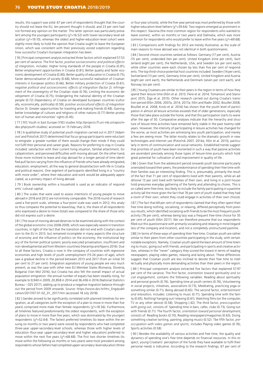results, this support was solid: 67 per cent of respondents thought that the country should not leave the EU, ten percent thought it should, and 23 per cent had not formed any opinion on the matter. This latter opinion was particularly prevalent among the youngest participants ( $\chi^2$ =16.52) with lower-secondary-level education ( $\chi^2$ =19.10), whereas the oldest and higher-education-level cohort were slightly more likely to hold the opinion that Croatia ought to leave the European Union, which was consistent with their previously voiced scepticism regarding how successful Croatia's European integration has been.

[ 76 ] Principal component analysis extracted three factors which explained 57.53 per cent of variance. The first factor, *positive socioeconomic and political effects of integration,* includes: Higher living standards of the people in Croatia (0.81). Better employment opportunities in Croatia (0.81), Better quality and faster economic development of Croatia (0.80), Better quality of education in Croatia (0.75), Faster democratisation of society (0.68), More successful realisation of Croatian interests in European politics (0.66), Better military protection of Croatia (0.61); *negative political and socioeconomic effects of integration* (factor 2): Infringement of the sovereignity of the Croatian state (0.76), Limiting the economic development of Croatia (0.75), Endangering the national identity of the Croatian people (0.72) Dependancy of Croatia on developed European countries (culturally, economically, politically) (0.59); *positive sociocultural effects of integration* (factor 3): Greater opportunities for traveling and making friends (0.48), Gaining better knowledge of cultures and religions of other nations (0.77) Better protection of human and minorities' rights (0.45).

[ 77 ] FES Youth in East Europe (YEE) studies http://projects.ff.uni-mb.si/cepss/index.php/youth-studies/, accessed on 15 February 2018.

[ 78 ] A qualitative study of potential youth migration carried out in 2017 (Adamović and Potočnik 2017) determined that focus-group participants were reluctant to emigrate: a greater number of them would change their minds if they could not fulfil their personal and career goals. Reasons for preferring to stay in Croatia included: satisfaction with their current living situation, familial attachment, (local)patriotism, and perceived difficulties with moving abroad. On the other hand, those more inclined to leave and stay abroad for a longer period of time identified pull factors varying from the influence of friends who have already emigrated, education, employment, all the way to general dissatisfaction with life in Croatia and political reasons. One segment of participants identified living in a "country with more order", where their education and work would be adequately appreciated, as a primary impact of living abroad.

[ 79 ] Book ownership within a household is used as an indicator of respondents' cultural capital.

[80] The scales that were used to assess intentions of young people to move abroad in 2018 and 2012 are not entirely comparable. The 2018 round of research used a five-point scale, whereas a four-point scale was used in 2012; this analysis thus compares the potential to leave/stay, that is, the share of all respondents who expressed a desire to move (total) was compared to the share of those who did not express such a desire.

[ 81 ] The issue of moving abroad deserves to be examined along with the context of the global economic crisis 2008-2009, which was especially severe in transition countries, in light of the fact that the transition did not end with Croatia's ascension to the EU in 2013, but remained incomplete in many aspects (the structure of economy and the influence of politics on the economy; the institutional legacy of the former political system; poorly executed privatisation; insufficient and non-developmental aid from Western countries) (Haramija and Njavro 2016). Due to all these factors, Croatia is now in the company of countries with regressive economies and high levels of youth unemployment (15-24 years of age), which saw a gradual decline in the period between 2013 and 2017 (from an initial 50 per cent to 27 per cent). Emigration aspirations of young people are very much present, as was the case with other new EU Member States (Romania, Slovenia, Bulgaria) (Van Mol 2016), but Croatia has also felt the overall impact of actual population emigration: the annual number of expats has been steadily rising, for example to 9,940 in 2009, 20,858 in 2014 and 36,436 in 2016 (National Statistics Bureau – DZS 2017), adding up to produce a negative migration balance throughout the period from 2009 onwards. Source: https://www.dzs.hr/Hrv\_Eng/publication/2017/07-01-02\_01\_2017.htm (accessed 18 July 2018).

[82] Gender proved to be significantly correlated with planned timelines for emigration, as all categories (with the exception of a plan to move in more than five years) comprised more male than female respondents (χ<sup>2</sup>=18.56). Furthermore, all timelines featured predominantly the oldest respondents, with the exception of plans to move in more than five years, which was dominated by the youngest respondents ( $\chi^2$ =52.64). The fastest preferred timelines (to leave within the ensuing six months or two years) were voiced by respondents who had completed three-year upper-secondary-level schools, whereas those with higher levels of education (four-year upper-secondary-level and higher education) preferred to move within the next five years ( $\chi^2$ =68.68). The first two shorter timelines (to move within the following six months or two years) were most prevalent among respondents whose fathers had completed upper-secondary-level education (threeor four-year schools), while the five-year period was most preferred by those with higher-education-level fathers (χ2=39.64). Two regions emerged as prominent in this respect: Slavonia (the most common region for respondents who wanted to leave soonest, within six months or two years) and Dalmatia, which was more common for respondents who would prefer to leave within five years ( $\chi^2$ =69.68). [ 83 ] Comparisons with findings for 2012 are merely illustrative, as the scale of

main reasons to move abroad was not identical in both questionnaires.

[84] Second-choice countries ranked as follows: Germany (17 per cent), Austria (15 per cent), undecided (ten per cent), United Kingdom (nine per cent), Switzerland (eight per cent), the Netherlands, USA, and Sweden (six per cent each), while other countries were each chosen by less than five per cent of respondents. The top third-choice potential host countries included: Sweden (14 per cent), Switzerland (13 per cent), Germany (nine per cent), United Kingdom and Austria (eight per cent each), the Netherlands and Denmark (seven per cent each), and Norway (six per cent).

[85] Young Croatians are similar to their peers in the region in terms of how they spend their leisure time (Ilišin et al. 2013; Flere et al. 2014; Tomanović and Stanojević 2015; Žiga et al. 2015). Other research carried out during Croatia's transition period (Ilišin 2006, 2007a, 2014, 2017a; Ilišin and Radin 2002; Bouillet 2008; Bouillet et al. 2008; Krolo et al. 2016) has shown that the youth level of participation in almost all leisure activities exceeds that of older generations, especially those that take place outside the home, and that this participation starts to wane after the age of 30. Comparative analyses indicate that the hierarchy and structure of leisure-time activities have remained fairly stable in the past twenty-odd years. However, the intensity of participating in leisure activities has changed for the worse, as most activities are witnessing less youth participation, and merely a few are seeing more. The latter mostly relates to the dramatic growth in new technologies and Internet use (Potočnik 2007, 2014a; Ilišin et al. 2013), particularly in terms of communication and social networks. Established trends suggest that priorities of youth have been reoriented in such a way that passive activities are ascendant precisely among those types of leisure-time pursuits which hold great potential for cultivation of and improvement in quality of life .

[86] Given that from the adolescent period onwards youth become particularly orientated toward their peers, the predominance of spending their free time with their families was an interesting finding. This is, presumably, primarily the result of the fact that 71 per cent of respondents lived with their parents, while an additional 13 per cent lived with families of their own, and living in a joint household presumes everyday gathering of the family and attending to chores. This is so-called semi-free time, less likely to include the family participating in a pastime activity (all the more given the fact that 76 per cent of youth stated that they had a room of their own, where they could engage in activities of their own choice).

[87] The fact that 69 per cent of respondents claimed that they often spent their free time doing nothing, socialising, or relaxing, differed perceptively from previous results, which identified socialising with friends to be the most frequent youth activity (76 per cent), whereas being lazy was a frequent free-time choice for 35 per cent of youth (Ilišin 2017). We can therefore presume that our respondents filled out this questionnaire with primarily socialising and relaxing in mind (regardless of the company and location), and not a completely unstructured pastime.

[ 88 ] In terms of these ways of spending their free time, Croatian youth are rather similar to their peers from other countries participating in the study, with certain notable exceptions. Namely, Croatian youth spend the least amount of time listening to music, going out with friends, and participating in sports and creative activities, whereas in the "never" category they scored the lowest in terms of reading newspapers, playing video games, relaxing and lazing about. These differences suggest that Croatian youth are less inclined to devote their free time to intellectually and physically more demanding activities than their peers in the region.

[ 89 ] Principal component analysis extracted five factors that explained 57.97 per cent of the variance. The first factor, *orientation toward spirituality and social engagement,* contains the following variables: Reading about spirituality and personal growth (0.76), Spending time at youth centers (0.76), Volunteering in social projects, initiatives, associations (0.73), Meditating, practicing yoga or something similar (0.71), Being abroad (0.65). The second factor, *entertainment and relaxation,* includes: Listening to music (0.71), Spending time with the family (0.65), Nothing/ hanging out/ relaxing (0.61), Watching films (on the computer, TV or any other device) (0.58), Shopping (.42); The third factor, *preoccupation with going out,* consists of: Spending time in bars, cafes, clubs (0.73), Going out with friends (0.71). The fourth factor, *orientation toward personal development,* consists of: Reading books (0.70), Reading newspapers/magazines (0.63), Doing something creative (writing, painting, playing music) (0.52). Tbe fifth factor, *preoccupation with video games and sports,* includes Playing video games (0.76), Sports activities (0.58).

[ 90 ] Besides the availability of various activities and free time, the quality and dynamics of spending one's free time depends on financial resources. In this respect, young Croatians' perception of the funds they have available to fulfil their personal needs is indicative. According to the research findings, 67 per cent of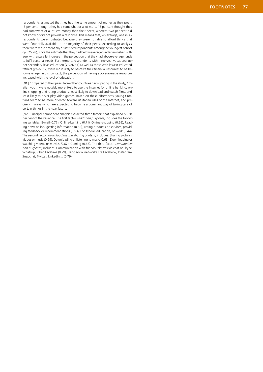respondents estimated that they had the same amount of money as their peers, 15 per cent thought they had somewhat or a lot more, 16 per cent thought they had somewhat or a lot less money than their peers, whereas two per cent did not know or did not provide a response. This means that, on average, one in six respondents were frustrated because they were not able to afford things that were financially available to the majority of their peers. According to analysis, there were more potentially dissatisfied respondents among the youngest cohort  $(\chi^2=25.98)$ , since the estimate that they had below-average funds diminished with age, with a parallel increase in the perception that they had above-average funds to fulfil personal needs. Furthermore, respondents with three-year vocational up per-secondary-level education ( χ 2=76.54) as well as those with lowest-educated fathers (χ<sup>2</sup>=60.17) were most likely to perceive their financial resources to be below-average; in this context, the perception of having above-average resources increased with the level of education.

[ 91 ] Compared to their peers from other countries participating in the study, Cro atian youth were notably more likely to use the Internet for online banking, on line shopping and rating products, least likely to download and watch films, and least likely to never play video games. Based on these differences, young Croa tians seem to be more oriented toward utilitarian uses of the Internet, and pre cisely in areas which are expected to become a dominant way of taking care of certain things in the near future.

[ 92 ] Principal component analysis extracted three factors that explained 53.28 per cent of the variance. The first factor, *utilitarian purposes,* includes the follow ing variables: E-mail (0.77), Online-banking (0.71), Online-shopping (0.69), Read ing news online/ getting information (0.62), Rating products or services, provid ing feedback or recommendations (0.53), For school, education, or work (0.44). The second factor, *downloading and sharing content,* includes: Sharing pictures, videos or music (0.69), Downloading or listening to music (0.68), Downloading or watching videos or movies (0.67), Gaming (0.63). The third factor, *communica tion purposes,* includes: Communication with friends/relatives via chat or Skype, Whatsup, Viber, Facetime (0.79), Using social networks like Facebook, Instagram, Snapchat, Twitter, LinkedIn... (0.79).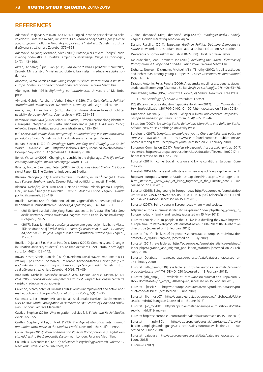#### **REFERENCES**

Adamović, Mirjana; Maskalan, Ana (2017): Pogled iz rodne perspektive na neke vrijednosti i interese mladih, in: Vlasta Ilišin/Vedrana Spajić Vrkaš (eds.): *Generacija osujećenih. Mladi u Hrvatskoj na početku 21. stoljeća.* Zagreb: Institut za društvena istraživanja u Zagrebu, 379–398.

Adamović, Mirjana; Mežnarić, Silva (2003): Potencijalni i stvarni "odljev" znanstvenog podmlatka iz Hrvatske: empirijsko istraživanje. *Revija za sociologiju*,  $34(2)$ :  $143 - 160$ 

Akrap, Anđelko; Čipin, Ivan (2011): *Zaposlenost žena i fertilitet u Hrvatskoj*. Zagreb: Ministarstvo Ministarstvo obitelji, branitelja i međugeneracijske solidarnosti.

Albacete, Gema Garcia (2014): *Young People's Political Participation in Western Europe. Continuity or Generational Change?* London: Palgrave Macmillan.

Altemeyer, Bob (1981): *Right-wing authoritarianism*. University of Manitoba press.

Almond, Gabriel Abraham; Verba, Sidney. (1989): *The Civic Culture: Political Attitudes and Democracy in Five Nations*. Newbury Park: Sage Publications.

Amna, Erik; Ekman, Joakim (2013): Standby citizens: diverse faces of political passivity. *European Political Science Review* 6(2): 261–281.

Baranović, Branislava (2002): Mladi u Hrvatskoj – između nacionalnog identiteta i europske integracije, in: Vlasta Ilišin/Furio Radin (eds.): *Mladi uoči trećeg milenija.* Zagreb: Institut za društvena istraživanja, 125–154.

(ed) (2015): *Koji srednjoškolci namjeravaju studirati?Pristup visokom obrazovanju i odabir studija.* Zagreb: Institut za društvena istraživanja u Zagrebu.

Barkan, Steven E. (2011): *Sociology: Understanding and Changing the Social World*; available at: http://onlinebooks.library.upenn.edu/webbin/book/ lookupid?key=olbp61047 (accessed 15 February 2018)

Benet, W. Lance (2008): Changing citizenship in the digital age. *Civic life online: learning how digital media can engage youth*: 1–24.

Billante, Nicole; Saunders, Peter (2002): *Six Questions about Civility*. CIS Occasional Paper 82, The Centre for Independent Studies.

Blanuša, Nebojša (2011): Euroskepticizam u Hrvatskoj, in: Ivan Šiber (ed.): *Hrvatska i Europa. Strahovi i nade.* Zagreb: Fakultet političkih znanosti, 11–46.

Blanuša, Nebojša; Šiber, Ivan (2011): Nade i strahovi mladih prema Europskoj Uniji, in: Ivan Šiber (ed.): *Hrvatska i Europa. Strahovi i nade.* Zagreb: Fakultet političkih znanosti, 86–119.

Bouillet, Dejana (2008): Slobodno vrijeme zagrebačkih studenata: prilika za hedonizam ili samoostvarenje. *Sociologija i prostor*, 46(3–4): 341–367.

- (2014): Neki aspekti obiteljskog života studenata, in: Vlasta Ilišin (ed.): *Sociološki portret hrvatskih studenata.* Zagreb: Institut za društvena istraživanja u Zagrebu, 29–55.
- (2017): Zdravlje i rizična ponašanja suvremene generacije mladih, in: Vlasta Ilišin/Vedrana Spajić Vrkaš (eds.): *Generacija osujećenih. Mladi u Hrvatskoj na početku 21. stoljeća.* Zagreb: Institut za društvena istraživanja u Zagrebu, 319–346.

Bouillet, Dejana; Ilišin, Vlasta; Potočnik, Dunja (2008): Continuity and Changes in Croatian University Students' Leisure Time Activities (1999–2004). *Sociologija i prostor*, 46(2): 123–142.

Bovan, Kosta; Širinić, Daniela (2016): (Ne)demokratski stavovi maturanata u Hrvatskoj – prisutnost i odrednice, in: Marko Kovačić/Martina Horvat (eds.): *Od podanika do građana: razvoj građanske kompetencije mladih.* Zagreb: Institut za društvena istraživanja u Zagrebu, GONG, 73–89.

Braš Roth, Michelle; Markočić Dekanić, Ana; Markuš Sandrić, Marina (2017): *PISA 2015 – Prirodoslovne kompetencije za život*. Zagreb: Nacionalni centar za vanjsko vrednovanje obrazovanja.

Caliendo, Marco; Schmidl, Ricarda (2016): Youth unemployment and active labor market policies in Europe. *IZA Journal of Labor Policy,* 5(1): 1–30.

Cammaerts, Bart; Bruter, Michael; Banaji, Shakuntala; Harrison, Sarah; Anstead, Nick (2016): *Youth Participation in Democratic Life. Stories of Hope and Disillusion.* London: Palgrave Macmillan.

Castles, Stephen (2010): Why migration policies fail, *Ethnic and Racial Studies*, 27(2): 205–227.

Castles, Stephen; Miller, J. Mark (1993): *The Age of Migration. International population Movements in the Modern World.* New York: The Guilford Press.

Collin, Philipa (2015): *Young Citizens and Political Participation in a Digital Society. Addressing the Democratic Disconnect.* London: Palgrave Macmillan.

Columbus, Alexandra (ed) (2006): *Advances in Psychology Research, Volume 39*. New York: Nova Science Publishers, Inc.

Čudina-Obradović, Mira; Obradović, Josip (2006): *Psihologija braka i obitelji*. Zagreb: Golden marketing-Tehnička knjiga.

Dalton, Rusell J. (2011): *Engaging Youth in Politics. Debating Democracy's Future*. New York & Amsterdam: International Debate Education Association.

Deklaracija o Domovinskom ratu. (NN 102/2000). Hrvatski državni sabor.

DeBardeleben, Joan; Pammett, Jon (2009): *Activating the Citizen. Dilemmas of Participation in Europe and Canada.* Basihgstoke: Palgrave Macmillan.

Doherty, Noeleen; Dickmann, Michael; Mills, Timothy (2010): Mobility attitudes and behaviours among young Europeans. *Career Development International,* 15(4): 378–400.

Dragun, Antonio; Relja, Renata (2006): Akademska mobilnost studenata: stavovi studenata Ekonomskog fakulteta u Splitu. *Revija za sociologiju*, 27(1–2): 63–76. Dumazedier, Joffre (1967): *Towards A Society of Leisure.* New York: Free Press.

— (1974): *Sociology of Leisure*. Amsterdam: Elsevier.

DZS (Državni zavod za statistiku Republike Hrvatske) (2017): https://www.dzs.hr/ Hrv\_Eng/publication/2017/07-01-02\_01\_2017.htm (accessed on 18 July 2018)

Đuranović, Marina (2013): Obitelj i vršnjaci u životu adolescenata. *Napredak – časopis za pedagogijsku teoriju i praksu,* 154(1–2): 31–46.

Elster, Jon (2007): *Explaining Social Behaviour: More Nuts and Bolts for Social Science*. New York: Cambridge University Press.

Eurofound (2017): *Long-term unemployed youth: Characteristics and policy responses*; available at https://www.eurofound.europa.eu/publications/report/2017/long-term-unemployed-youth (accessed on 23 February 2018).

European Commission (2017): *Pregled obrazovanja i osposobljavanja za 2017. – Hrvatska*. https://ec.europa.eu/education/sites/education/files/monitor2017-hr\_ hr.pdf (accessed on 18 June 2018)

Eurostat (2011): Income, Social inclusion and Living conditions. European Commission.

Eurostat (2015): Marriage and birth statistics – new ways of living together in the EU

http://ec.europa.eu/eurostat/statistics-explained/index.php/Marriage\_and\_ birth\_statistics\_-\_new\_ways\_of\_living\_together\_in\_the\_EU#cite\_note-3 (accessed on 22 July 2018)

Eurostat (2015): Being young in Europe today http://ec.europa.eu/eurostat/documents/3217494/6776245/KS-05-14-031-EN-N.pdf/18bee6f0-c181-457dba82-d77b314456b9 (accessed on 15 July 2018)

Eurostat (2017): Being young in Europe today – family and society.

http://ec.europa.eu/eurostat/statistics-explained/index.php/Being\_young\_in\_ Europe\_today\_-\_family\_and\_society (accessed on 15 May 2018)

Eurostat (2017): 7 in 10 people in the EU live in a dwelling they own http://ec. europa.eu/eurostat/web/products-eurostat-news/-/DDN-20171102-1?inheritRedirect=true (accessed on 13 February 2018)

Eurostat (2018): [ilc\_lvps08] http://appsso.eurostat.ec.europa.eu/nui/show.do? dataset=ilc\_lvps08&lang=en, (accessed on 13 July 2018)

Eurostat (2017); available at: http://ec.europa.eu/eurostat/statistics-explained/ index.php/Migration\_and\_migrant\_population\_statistics (accessed on 23 February 2018)

Eurostat Database http://ec.europa.eu/eurostat/data/database (accessed on 23 February 2018)

Eurostat [yth\_demo\_030] available at http://ec.europa.eu/eurostat/en/web/ products-datasets/-/YTH\_DEMO\_030 (accessed on 18 February 2018).

Eurostat [yth\_empl\_010] available at: http://appsso.eurostat.ec.europa.eu/nui/ show.do?dataset=yth\_empl\_010&lang=en, (accessed on 15 February 2018)

Eurostat [tessi171] http://ec.europa.eu/eurostat/web/products-datasets/product?code=tessi171 (accessed on 15 June 2018)

Eurostat [ilc\_mdsd07] http://appsso.eurostat.ec.europa.eu/nui/show.do?dataset=ilc\_mdsd07&lang=en (accessed on 15 June 2018)

Eurostat [ilc\_mddd11] http://appsso.eurostat.ec.europa.eu/nui/show.do?dataset=ilc\_mddd11&lang=en

Eurostat http://ec.europa.eu/eurostat/data/database (accessed on 15 June 2018)

Eurostat [tipslm80]: http://ec.europa.eu/eurostat/tgm/table.do?tab=table&init=1&plugin=1&language=en&pcode=tipslm80&tableSelection=1 cessed on 1 June 2018)

Eurostat database http://ec.europa.eu/eurostat/data/database (accessed on 1 June 2018)

Euronews (2017)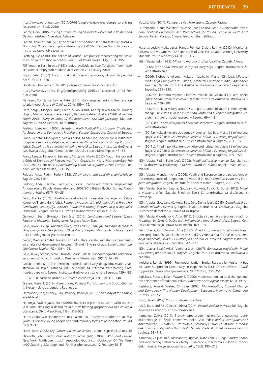http://www.euronews.com/2017/09/05/people-living-alone-europe-solo-living, (accessed on 13 July 2018)

Fahmy, Eldin (2006): *Young Citizens. Young People's Involvement in Politics and Decision Making.* Aldershot: Ashgate.

Farnell, Thomas (ed). (2011): *Socijalna i ekonomska slika studentskog života u Hrvatskoj. Nacionalno izvješće istraživanja EUROSTUDENT za Hrvatsku*. Zagreb: Institut za razvoj obrazovanja.

Farthing, Rys (2010): The politics of youthful antipolitics: representing the 'issue' of youth participation in politics. *Journal of Youth Studies* 13(2): 181–195.

FES Youth in East Europe (YEE) studies; available at: http://projects.ff.uni-mb.si/ cepss/index.php/youth-studies/ (accessed on 23 February 2018)

Filipić, Petar (2007): Uvod u makroekonomiju stanovanja, *Ekonomski pregled*, 58(7–8): 393–420.

Hrvatska u brojkama 2015 (2015) Zagreb: Državni zavod za statistiku.

https://www.dzs.hr/Hrv\_Eng/CroInFig/croinfig\_2015.pdf (accessed on 15 Februar 2018)

Flanagan, Constance; Levine, Peter (2010): Civic engagement and the transtion to adulthood. *Future of Children* 20(1): 159–179.

Flere, Sergej; Klanjšek, Rudi; Lavrič, Miran; Kirbiš, Andrej; Tavčar Krajnc, Marina; Divjak, Marko; Boroja, Tjaša; Zagorc, Barbara; Naterer, Andrej (2014): *Slovenian Youth 2013. Living in times of disillusionment, risk and precarity.* Maribor/ Zagreb: CEPYUS/Friedrich Ebert Stiftung.

Forbrig, Joerg (ed). (2005): *Revisiting Youth Political Participation. Challenges for Research and Democratic Practice in Europe*. Strasbourg: Council of Europe.

Franc, Renata; Međugorac, Vanja (2015): Mladi i (ne) povjerenje u institucije: moguće odrednice i posljedice, in: Vlasta Ilišin/Anja Gvozdanović/Dunja Potočnik (eds.): *Demokratski potencijali mladih u Hrvatskoj*. Zagreb: Institut za društvena istraživanja u Zagrebu / Centar za demokraciju i pravo Miko Tripalo, 47–65.

Franc, Renata; Perasović, Benjamin; Mustapić, Marko (2017): Youth, History and a Crisis of Democracy? Perspectives from Croatia, in: Hilary Pilkington/Gary Pollock/Renata Franc (eds): *Understanding Youth Participation Across Europe*. London: Palgrave Macmillan, 123–153.

Fulgosi, Ante; Radin, Furio (1982): *Stilovi života zagrebačkih srednjoškolaca.* Zagreb: CDD SSOH.

Furlong, Andy; Cartmel, Fred (2012): Social Change and political engagement Among Young People: Generation and 2009/2010 British Election Survey. *Parliamentary Affairs, 65(1): 13–28.*

Galić, Branka (2011): Društvena uvjetovanost rodne diskriminacije, in: Željka Kamenov/Branka Galić (eds.): *Rodna ravnopravnost i diskriminacija u Hrvatskoj. Istraživanje "Percepcija, iskustva i stavovi o rodnoj diskriminaciji u Republici Hrvatskoj"*. Zagreb: Vlada RH, Ured za ravnopravnost spolova, 9–27.

Gammon, Sean; Elkington, Sam (eds) (2015): *Landscapes and Leisure. Space, Place and Identities.* Basingstoke: Palgrave Macmillan.

Gelo, Jakov; Akrap, Anđelko; Čipin, Ivan (2005): *Temeljne značajke demografskog razvoja Hrvatske (bilanca 20. stoljeća)*. Zagreb: Ministarstvo obitelji, branitelja i međugeneracijske solidarnosti.

Georg, Werner. (2016): Transmission of cultural capital and status attainment – an analysis of development between 15 and 45 years of age. *Longitudinal and Life Course Studies*, *7*(2), 106–123.

Gelo, Jakov; Smolić, Šime; Strmota, Marin (2011): Sociodemografske odrednice zaposlenosti žena u Hrvatskoj. *Društvena istraživanja*, 20(111): 69–88.

Golub, Branka (2000): Potencijalni (profesionalni i vanjski) egzodus mladih znanstvenika, in: Prpić, Katarina (ed.): *U potrazi za akterima znanstvenog i tehnološkog razvoja.* Zagreb: Institut za društvena istraživanja u Zagrebu, 129–186.

— (2003): Zašto odlazimo?, *Društvena istraživanja*, 12(1–2): 115–140.

Grasso, Maria T. (2016): *Generations, Political Participation and Social Change in Western Europe.* London: Routledge.

Hammond, Ron; Cheney, Paul; Pearsey, Reawyn (2015): *Sociology of the Family*; available at:

Haramija, Pavle; Njavro, Đuro (2016): Tranzicija i njezini rezultati — zašto tranzicija iz komunističkog u demokratski sustav tržišnog gospodarstva nije ostvarila očekivanja, *Obnovljeni život*, 71(4): 515–528.

Harris, Anita; Win, Johanna; Younes, Salem. (2010): Beyond apathetic or activist youth. 'Ordinary' young people and contemporary forms of participation. *Young* 18(1): 9–32.

Harris, David (2005): *Key Concepts in Leisure Studies.* London: Sage Publications Ltd.

Haworth, John Trevor; Veal, Anthony James (eds). (2004): *Work and Leisure*. New York: Routledge. http://freesociologybooks.com/Sociology\_Of\_The\_Family/02-Studying\_Marriage\_and\_Families.php (accessed 12 February 2018)

Hodžić, Alija (2014): *Konoba u svjetskom kasinu.* Zagreb: Razlog.

Hurrelmann, Klaus; Weichert, Michael (eds.) (2015): *Lost in Democratic Transition? Political Challenges and Perspectives for Young People in South East Europe.* Berlin, Maribor, Skopje: Friedrich Ebert Stiftung.

Hustinx, Lesley; Meijs, Lucas; Handy, Femida; Cnaan, Ram A. (2012): Monitorial Citizens or Civic Omnivores? Repertoires of Civic Participation Among University Students. *Youth & Society* 44(1): 95–117.

Ilišin, Vlasta (ed.) (1999): *Mladi na margini društva i politike*. Zagreb: Alinea.

- (2005)-(ed): *Mladi Hrvatske i europska integracija*. Zagreb: Institut za društvena istraživanja.
- (2006): Slobodno vrijeme i kultura mladih, in: Vlasta Ilišin (ed.): *Mladi između želja i mogućnosti. Položaj, problemi i potrebe mladih Zagrebačke županije*. Zagreb: Institut za društvena istraživanja u Zagrebu / Zagrebačka županija, 299–330.
- (2007a): Slobodno vrijeme i interesi mladih, in: Vlasta Ilišin/Furio Radin (eds.): *Mladi: problem ili resurs*. Zagreb: Institut za društvena istraživanja u Zagrebu, 179–201.
- (2007b): Political values, attitudes and participation of youth: continuity and change, in: Vlasta Ilišin (ed.): *Croatian youth and European integration*. Zagreb: Institute for social research – Zagreb, 69–148.
- (2014) (ed): *Sociološki portret hrvatskih studenata*. Zagreb: Institut za društvena istraživanja.
- (2017a): Neke dimenzije slobodnog vremena mladih, u: Vlasta Ilišin/Vedrana Spajić Vrkaš (eds.): *Generacija osujećenih. Mladi u Hrvatskoj na početku 21. stoljeća*. Zagreb: Institut za društvena istraživanja u Zagrebu, 293–317.
- (2017b): Mladi i politika: trendovi (dis)kontinuiteta, in: Vlasta Ilišin/Vedrana Spajić Vrkaš (eds.): *Generacija osujećenih. Mladi u Hrvatskoj na početku 21. stoljeća*. Zagreb: Institut za društvena istraživanja u Zagrebu, 185–259.

Ilišin, Vlasta; Radin, Furio (eds). (2002): *Mladi uoči trećeg milenija*. Zagreb: Institut za društvena istraživanja / Državni zavod za zaštitu obitelji, materinstva i mladeži.

Ilišin, Vlasta; Mendeš, Ivona (2006): Youth and European Union: perceptions of the consequences of integration, in: Vlasta Ilišin (ed.): *Croatian youth and European integration*. Zagreb: Institute for social research – Zagreb, 209–269.

Ilišin, Vlasta; Bouillet, Dejana; Gvozdanović, Anja; Potočnik, Dunja (2013): *Mladi u vremenu krize.* Zagreb: Friedrich Ebert Stiftung/Institut za društvena istraživanja.

Ilišin, Vlasta; Gvozdanović, Anja; Potočnik, Dunja (eds). (2015): *Demokratski potencijali mladih u Hrvatskoj*. Zagreb: Institut za društvena istraživanja u Zagrebu / Centar za demokraciju i pravo Miko Tripalo.

Ilišin, Vlasta; Gvozdanović, Anja (2016): Struktura i dinamika vrijednosti mladih u Hrvatskoj, in: Sekulić, Duško (ed): *Vrijednosti u hrvatskom društvu*. Zagreb: Centar za demokraciju i pravo Miko Tripalo, 169–197.

Ilišin, Vlasta; Gvozdanović, Anja (2017): Vrijednosti, (ne)zadovoljstvo životom i percepcija budućnosti mladih, in: Vlasta Ilišin/Vedrana Spajić-Vrkaš (eds): *Generacija osujećenih, Mladi u Hrvatskoj na početku 21. Stoljeća*. Zagreb: Institut za društvena istraživanja u Zagrebu, 347–378.

Ilišin, Vlasta; Spajić Vrkaš, Vedrana (eds). (2017): *Generacija osujećenih. Mladi u Hrvatskoj na početku 21. stoljeća*. Zagreb: Institut za društvena istraživanja u Zagrebu.

Inglehart, Ronald (1999): Postmodernization Erodes Respect for Authority but Increases Support for Democracy, in Pippa Norris (Ed.): *Critical citizens: Global support for democratic government*. OUP Oxford, 236–256.

Inglehart, Ronald; Baker, Wayne E. (2000): Modernization, cultural change, and the persistence of traditional values. *American sociological review*, 65(1): 19–51.

Inglehart, Ronald; Welzel, Christian (2005): *Modernization, Cultural Change, and Democracy: The Human Development Sequence*. New York: Cambridge University Press.

Jović, Dejan (2017): *Rat i mit*. Zagreb: Fraktura.

Jokić, Boris and Ristić Dedić, Zrinka (2014): *Postati student u Hrvatskoj*. Zagreb: Agencija za znanost i visoko obrazovanje.

Kamenov, Željka (2011): Stavovi, predrasude i uvjerenja o uzrocima rodne diskriminacije, in: Željka Kamenov/Branka Galić (eds.): *Rodna ravnopravnost i diskriminacija u Hrvatskoj. Istraživanje "Percepcija, iskustva i stavovi o rodnoj diskriminaciji u Republici Hrvatskoj"*. Zagreb: Vlada RH, Ured za ravnopravnost spolova, 92-111.

Kamenov, Željka; Huić, Aleksandra; Jugović, Ivana (2011): Uloga iskustva rodno neravnopravnog tretmana u obitelji u percepciji, stavovima i sklonosti rodnoj diskriminaciji, *Revija za socijalnu politiku*, 18(2): 195–215.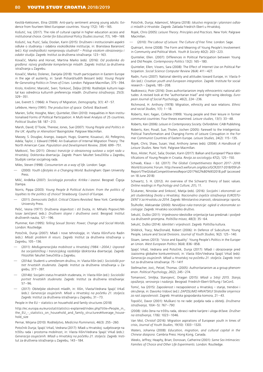Kestilä-Kekkonen, Elina (2009): Anti-party sentiment among young adults: Evidence from fourteen West European countries. *Young* 17(2): 145–165.

Košutić, Iva; (2017). The role of cultural capital in higher education access and institutional choice. *Center for Educational Policy Studies Journal*, *7*(1), 149–169. Košutić, Iva; Puzić, Saša; Doolan, Karin (2015): Društveni i institucionalni aspekti odluke o studiranju i odabira visokoškolske institucije, in: Branislava Baranović (ed.): *Koji srednjoškolci namjeravaju studirati? – Pristup visokom obrazovanju i odabir studija*. Zagreb: Institut za društvena istraživanja: 123–163.

Kovačić, Marko and Horvat, Martina Marko (eds). (2016): *Od podanika do građana: razvoj građanske kompetencije mladih*. Zagreb: Institut za društvena istraživanja u Zagrebu.

Kovačić, Marko; Dolenec, Danijela (2018): Youth participation in Eastern Europe in the age of austerity, in: Sarah Pickard/Judith Bessant (eds): *Young People Re-Generating Politics in Times of Crises.* London: Palgrave Macmillan, 375–394.

Krolo, Krešimir; Marcelić, Sven; Tonković, Željka (2016): Roditeljski kulturni kapital kao odrednica kulturnih preferencija mladih. *Društvena istraživanja*, 25(3): 329–351.

Lee, Everett S. (1966): A Theory of Migration, *Demography*, 3(1): 47–57.

Lefebvre, Henry (1991): *The production of space.* Oxford: Blackwell.

Marien, Sofie; Hooghe, Marc; Quintelier, Ellen (2010): Inequalities in Non-institutionalised Forms of Political Participation: A Multi-level Analysis of 25 countries. *Political Studies* 58: 187–213.

Marsh, David; O'Toole, Therese; Jones, Sue (2007): *Young People and Politics in the UK: Apathy or Alienation?* Basingstoke: Palgrave Macmillan.

Massey, S. Douglas; Arango, Joaquin; Hugo, Graeme; Kouaouci, Ali; Pellegrino, Adela; Taylor, J. Edward (1994): An Evaluation of Internal Migration Theory: The North American Case. *Population and Development Review,* 20(4): 699–751.

Matković, Teo (2011): *Obrasci tranzicije iz obrazovnog sustava u svijet rada u Hrvatskoj.* Doktorska disertacija. Zagreb: Pravni fakultet Sveučilišta u Zagrebu, Studijski centar socijalnog rada.

Miles, Steven (1998): *Consumerism as a way of life*. London: Sage.

— (2000): *Youth Lifestyles in a Changing World*. Buckingham: Open University Press.

Milić, Anđelka (2007): *Sociologija porodice. Kritika i izazovi*. Beograd: Čigoja štampa.

Norris, Pippa (2003): *Young People & Political Activism: From the politics of loyalties to the politics of choice?* Strasbourg: Council of Europe.

— (2011). *Democratic Deficit. Critical Citizens Revisited.* New York: Cambridge University Press.

Pešić, Vesna (1977): Društvena slojevitost i stil života, in: Mihailo Popović/Milosav Janićijević (eds.): *Društveni slojevi i društvena svest.* Beograd: Institut društvenih nauka, 121–196.

Plummer, Ken (1995): *Telling Sexual Stories: Power, Change and Social Worlds*. London: Routledge.

Potočnik, Dunja (2007): Mladi i nove tehnologije, in: Vlasta Ilišin/Furio Radin (eds.): *Mladi: problem ili resurs*. Zagreb: Institut za društvena istraživanja u Zagrebu, 105–136.

- (2011): *Međugeneracijska mobilnost u Hrvatskoj (1984.–2004.): Usporedba socijalističkog i tranzicijskog razdoblja* (doktorska disertacija). Zagreb: Filozofski fakultet Sveučilišta u Zagrebu.
- (2014a): Studenti u umreženom društvu, in: Vlasta Ilišin (ed.): *Sociološki portret hrvatskih studenata*. Zagreb: Institut za društvena istraživanja u Zagrebu, 377–397.
- (2014b): Socijalni status hrvatskih studenata, in: Vlasta Ilišin (ed.): *Sociološki portret hrvatskih studenata*. Zagreb: Institut za društvena istraživanja: 57–96.
- (2017): Obiteljske okolnosti mladih, in: Ilišin, Vlasta/Vedrana Spajić Vrkaš (eds.): *Generacija osujećenih. Mladi u Hrvatskoj na početku 21. stoljeća*. Zagreb: Institut za društvena istraživanja u Zagrebu, 31–73.

People in the EU – statistics on household and family structures (2018)

http://ec.europa.eu/eurostat/statistics-explained/index.php?title=People\_in\_ the EU - statistics on household and family structures#Average household\_size

Pernar, Mirjana (2010): Roditeljstvo, *Medicina Fluminensis*, 46(3): 255–260.

Potočnik Dunja; Spajić Vrkaš, Vedrana (2017): Mladi u Hrvatskoj: sudjelovanje na tržištu rada i prostorna mobilnost, in: Vlasta Ilišin/Vedrana Spajić Vrkaš (eds.): *Generacija osujećenih. Mladi u Hrvatskoj na početku 21. stoljeća*. Zagreb: Institut za društvena istraživanja u Zagrebu, 143–184.

Potočnik, Dunja; Adamović, Mirjana (2018): *Iskustvo migracije i planirani odlasci mladih iz Hrvatske*. Zagreb: Zaklada Friedrich Ebert u Hrvatskoj.

Rojek, Chris (2005): *Leisure Theory. Principles and Practices*. New York: Palgrave Macmillan.

— (2010): *The Labour of Leisure. The Culture of Free Time*. London: Sage.

Quéniart, Anne (2008): The Form and Meaning of Young People's Involvement in Community and Political Work. *Youth & Society* 40(2): 203–223.

Quintelier, Ellen. (2007): Differences in Political Participation between Young and Old People. *Contemporary Politics* 13(2): 165–180.

Quintelier, Ellen; Vissers, Sara (2008): The Effect of Internet Use on Political Participation. *Social Science Computer Review* 26(4): 411–427.

Radin, Furio (2007): National identity and attitudes toward Europe, in: Vlasta Ilišin (ed.): *Croatian youth and European integration.* Zagreb: Institute for social research – Zagreb, 185–208.

Radkiewicz, Piotr (2016): Does authoritarianism imply ethnocentric national attitudes: A revised look at the "authoritarian triad" and right-wing ideology. *European Journal of Social Psychology*, *46*(2), 224–236.

Richmond, H. Anthony (1978): Migration, ethnicity and race relations. *Ethnic and racial Studies*, 1(1): 1–18.

Roberts, Ken; Fagan, Collette (1999): Young people and their leisure in former communist countries: Four theses examined. *Leisure studies,* 13(1): 33–48.

Roberts, Ken (2006): *Leisure in Contemporary Society*. Oxfordshire: CABI Publishing.

Roberts, Ken; Povall, Sue; Tholen, Jochen (2005): Farewell to the Inteligentsia: Political Transformation and Changing Forms of Leisure Consuption in the Former Communist Countries of Eastern Europe. *Leisure Studies,* 24(2): 115–135.

Rojek, Chris; Shaw, Susan; Veal, Anthony James (eds). (2006): *A Handbook of Leisure Studies*. New York: Palgrave Macmillan.

Ross, Alister; Puzić, Saša; Doolan, Karin (2017): Balkan and European? Place Identifications of Young People in Croatia. *Revija za sociologiju* 47(2), 125–150.

Schwab, Klaus – Ed. (2017): *The Global Competitiveness Report 2017–2018*. World Economic Forum. http://www3.weforum.org/docs/GCR2017-2018/05Full-Report/TheGlobalCompetitivenessReport2017%E2%80%932018.pdf (accessed on 18 June 2018)

Schwartz, S. H. (2012). An overview of the Schwartz theory of basic values. *Online readings in Psychology and Culture*, *2*(1), 11.

Šćukanec, Ninoslav and Sinković, Matija (eds). (2016): *Socijalni i ekonomski uvjeti studentskog života u Hrvatskoj. Nacionalno izvješće istraživanja EUROSTU-DENT V za Hrvatsku za 2014*. Zagreb: Ministarstvo znanosti, obrazovanja i sporta.

Štulhofer, Aleksandar (2000): *Nevidljiva ruka tranzicije: ogledi iz ekonomske sociologije*. Zagreb: Hrvatsko sociološko društvo.

Sekulić, Duško (2011): Vrijednosno-ideološke orijentacije kao predznak i posljedica društvenih promjena. *Politička misao*, 48(3): 35–64.

Sekulić, Duško (2014): *Identitet i vrijednosti*. Zagreb: Politička kultura.

Shildrick, Tracy; MacDonald, Robert (2006): In Defence of Subculture: Young People, Leisure and Social Divisions. *Journal of Youth Studies,* 9(2): 125–140.

Sloam, James (2013): 'Voice and Equality': Young People's Politics in the European Union. *West European Politics* 36(4): 836–858.

Spajić Vrkaš, Vedrana and Potočnik, Dunja (2017): Mladi i obrazovanje pred izazovima globalne konkurentnosti, in: Vlasta Ilišin/Vedrana Spajić Vrkaš (eds): *Generacija osujećenih. Mladi u Hrvatskoj na početku 21. stoljeća*. Zagreb: Institut za društvena istraživanja: 75–141f

Stellmacher, Jost,; Petzel, Thomas. (2005): Authoritarianism as a group phenomenon. *Political Psychology*, *26*(2), 245–274.

Tomanović, Smiljka; Stanojević, Dragan (2015): *Mladi u Srbiji 2015. Stanja, opažanja, verovanja i nadanja.* Beograd: Friedrich-Ebert-Stiftung / SeConS.

Tomić, Iva (2015): Zaposlenost i nezaposlenost u Hrvatskoj – stanje, trendovi i okruženje, in: Davorko Vidović (ed.): *ZAPOSLIMO HRVATSKU! Strateške smjernice za rast zaposlenosti*. Zagreb: Hrvatska gospodarska komora, 21–43.

Topolčić, Davor (2001): Muškarci to ne rade: podjela rada u obitelji. *Društvena istraživanja*, 10(4–5): 767–*790.*

(2008): Udio žena na tržištu rada, obrasci radne karijere i uloga države*. Društvena istraživanja,* 17(6): 1023–1046.

Van Mol, Christof (2016): Migration aspirations of European youth in times of crisis, *Journal of Youth Studies*, 19(10): 1303–1320.

Waters, Johanna (2008): *Education, migration, and cultural capital in the Chinese diaspora.* Cambria Press: Hong Kong, Canada.

Weeks, Jeffrey; Heaphy, Brian; Donovan, Catherine (2001): *Same Sex Intimacies: Families of Choice and Other Life Experiments*. London: Routledge.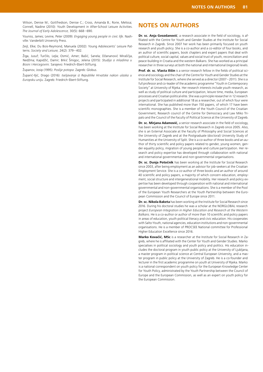Wilson, Denise M.; Gottfredson, Denise C.; Cross, Amanda B.; Rorie, Melissa; Connell, Nadine (2010): Youth Development in After-School Leisure Activities. *The Journal of Early Adolescence,* 30(5): 668–690.

Youniss, James; Levine, Peter (2009): *Engaging young people in civic life*. Nashville: Vanderbilt University Press.

Zeijl, Elke; Du Bois-Reymond, Manuela (2002): Young Adolescents' Leisure Patterns. *Society and Leisure,* 24(2): 379–402.

Žiga, Jusuf; Turčilo, Lejla; Osmić, Amer; Bašić, Sanela; Džananović Miraščija, Nedžma; Kapidžić, Damir; Brkić Šmigoc, Jelena (2015): *Studija o mladima u Bosni i Hercegovini.* Sarajevo: Friedrich-Ebert-Stiftung.

Županov, Josip (1995): *Poslije potopa*. Zagreb: Globus.

Župarić-Iljić, Drago (2016): *Iseljavanje iz Republike Hrvatske nakon ulaska u Europsku uniju*. Zagreb: Friedrich-Ebert-Stiftung.

## **NOTES ON AUTHORS**

**Dr. sc. Anja Gvozdanović**, a research associate in the field of sociology, is affiliated with the Centre for Youth and Gender Studies at the Institute for Social Research in Zagreb. Since 2007 her work has been primarily focused on youth research and youth policy. She is a co-author and a co-editor of four books, and an author of scientific papers, book chapters and expert papers that deal with political culture, social capital, values and social trust of youth, reconciliation and peace-building in Croatia and the western Balkans. She has worked as a principal researcher in three surveys at both the national and international (regional) levels.

Prof. dr. sc. Vlasta Ilišin is a senior research fellow in the fields of political science and sociology and the chair of the Centre for Youth and Gender Studies at the Institute for Social Research, where she served as a director (2007–2011). She is a full professor and co-leader of the academic programme "Youth in Contemporary Society" at University of Rijeka. Her research interests include youth research, as well as study of political culture and participation, leisure time, media, European processes and Croatian political elite. She was a principle researcher in 12 research projects and participated in additional 18 as a researcher, out of which four were international. She has published more than 150 papers, of which 17 have been scientific monographies. She is a member of the Youth Council of the Croatian Government, Research council of the Centre for Democracy and Law Miko Tripalo and the Council of the Faculty of Political Science at the University of Zagreb.

**Dr. sc. Mirjana Adamović,** a senior research associate in the field of sociology, has been working at the Institute for Social Research in Zagreb since 2005. Also, she is an External Associate at the Faculty of Philosophy and Social Sciences at the University of Zagreb and at the Postgraduate (doctoral) University Study of Humanities at the University of Split. She is a co-author of three books and an author of thirty scientific and policy papers related to gender, young women, gender equality policy, migration of young people and culture participation. Her research and policy expertise has developed through collaboration with national and international governmental and non-governmental organisations.

**Dr. sc. Dunja Potočnik** has been working at the Institute for Social Research since 2003, after being employment as an advisor for job-seekers at the Croatian Employment Service. She is a co-author of three books and an author of around 40 scientific and policy papers, a majority of which concern education, employment, social structure and intergenerational mobility. Her research and policy expertise has been developed through cooperation with national and international governmental and non-governmental organisations. She is a member of the Pool of the European Youth Researchers at the Youth Partnership between the European Commission and the Council of Europe since 2011.

**Dr. sc. Nikola Baketa** has been working at the Institute for Social Research since 2016. During his doctoral studies he was a scholar at the NORGLOBAL research project *European Integration in Higher Education and Research at the Western Balkans*. He is a co-author or author of more than 10 scientific and policy papers in areas of education, youth political literacy and civic education. His cooperates with Salto-Youth, national agencies, education institutions and non-governmental organisations. He is a member of PROCSEE National committee for Professional Higher Education Excellence since 2016.

**Marko Kovačić, MSc** is a researcher at the Institute for Social Research in Zagreb, where he is affiliated with the Center for Youth and Gender Studies. Marko specialises in political sociology and youth policy and politics. His education includes the doctoral program in youth public policy at the University of Ljubljana, a master program in political science at Central European University, and a master program in public policy at the University of Zagreb. He is a co-founder and lecturer in the first academic programme on youth at University of Rijeka. Marko is a national correspondent on youth policy for the European Knowledge Center for Youth Policy, administrated by the Youth Partnership between the Council of Europe and the European Commission, as well as an expert on youth policy for the European Commission.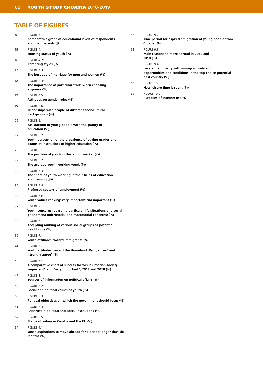## **TABLE OF FIGURES**

| 8  | <b>FIGURE 3.1:</b>                                                                                                                    | 57 | FIGURE 9.2:                                                                                                                 |
|----|---------------------------------------------------------------------------------------------------------------------------------------|----|-----------------------------------------------------------------------------------------------------------------------------|
|    | Comparative graph of educational levels of respondents<br>and their parents (%)                                                       |    | Time period for aspired emigration of young people from<br>Croatia (%)                                                      |
| 15 | FIGURE 4.1:<br>Housing status of youth (%)                                                                                            | 58 | FIGURE 9.3:<br>Main reasons to move abroad in 2012 and                                                                      |
| 16 | FIGURE 4.2:<br>Parenting styles (%)                                                                                                   | 59 | 2018 (%)<br>FIGURE 9.4:                                                                                                     |
| 17 | FIGURE 4.3:<br>The best age of marriage for men and women (%)                                                                         |    | Level of familiarity with immigrant-related<br>opportunities and conditions in the top-choice potential<br>host country (%) |
| 18 | <b>FIGURE 4.4:</b><br>The importance of particular traits when choosing<br>a spouse (%)                                               | 64 | <b>FIGURE 10.1:</b><br>How leisure time is spent (%)                                                                        |
| 19 | FIGURE 4.5:<br>Attitudes on gender roles (%)                                                                                          | 66 | <b>FIGURE 10.2:</b><br>Purposes of Internet use (%)                                                                         |
| 19 | FIGURE 4.6:<br>Friendships with people of different sociocultural<br>backgrounds (%)                                                  |    |                                                                                                                             |
| 22 | <b>FIGURE 5.1:</b><br>Satisfaction of young people with the quality of<br>education (%)                                               |    |                                                                                                                             |
| 22 | <b>FIGURE 5.2:</b><br>Youth perception of the prevalence of buying grades and<br>exams at institutions of higher education (%)        |    |                                                                                                                             |
| 29 | FIGURE 6.1:<br>The position of youth in the labour market (%)                                                                         |    |                                                                                                                             |
| 29 | FIGURE 6.2:<br>The average youth working week (%)                                                                                     |    |                                                                                                                             |
| 29 | FIGURE 6.3:<br>The share of youth working in their fields of education<br>and training (%)                                            |    |                                                                                                                             |
| 30 | FIGURE 6.4:<br>Preferred sectors of employment (%)                                                                                    |    |                                                                                                                             |
| 37 | <b>FIGURE 7.1:</b><br>Youth values ranking: very important and important (%)                                                          |    |                                                                                                                             |
| 37 | FIGURE 7.2:<br>Youth concerns regarding particular life situations and social<br>phenomena (microsocial and macrosocial concerns) (%) |    |                                                                                                                             |
| 38 | <b>FIGURE 7.3:</b><br>Accepting ranking of various social groups as potential<br>neighbours (%)                                       |    |                                                                                                                             |
| 39 | <b>FIGURE 7.4:</b><br>Youth attitudes toward immigrants (%)                                                                           |    |                                                                                                                             |
| 41 | <b>FIGURE 7.5:</b><br>Youth attitudes toward the Homeland War: "agree" and<br>"strongly agree" (%)                                    |    |                                                                                                                             |
| 42 | FIGURE 7.6:<br>A comparative chart of success factors in Croatian society:<br>"important" and "very important", 2013 and 2018 (%)     |    |                                                                                                                             |
| 47 | FIGURE 8.1:<br>Sources of information on political affairs (%)                                                                        |    |                                                                                                                             |
| 50 | FIGURE 8.2:<br>Social and political values of youth (%)                                                                               |    |                                                                                                                             |
| 50 | FIGURE 8.3:<br>Political objectives on which the government should focus (%)                                                          |    |                                                                                                                             |
| 51 | FIGURE 8.4:<br>(Dis)trust in political and social institutions (%)                                                                    |    |                                                                                                                             |
| 52 | FIGURE 8.5:<br>Status of values in Croatia and the EU (%)                                                                             |    |                                                                                                                             |
| 57 | FIGURE 9.1:<br>Youth aspirations to move abroad for a period longer than six<br>months $(%)$                                          |    |                                                                                                                             |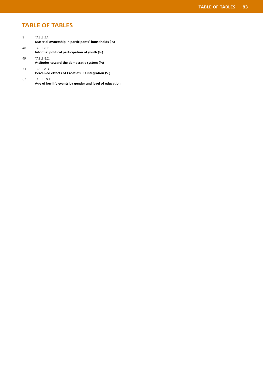# **TABLE OF TABLES**

| 9  | <b>TABLE 3.1:</b><br>Material ownership in participants' households (%) |
|----|-------------------------------------------------------------------------|
| 48 | <b>TABLE 8.1:</b><br>Informal political participation of youth (%)      |
| 49 | <b>TABLE 8.2:</b><br>Attitudes toward the democratic system (%)         |
| 53 | <b>TABLE 8.3:</b><br>Perceived effects of Croatia's EU integration (%)  |

67 TABLE 10.1: **Age of key life events by gender and level of education**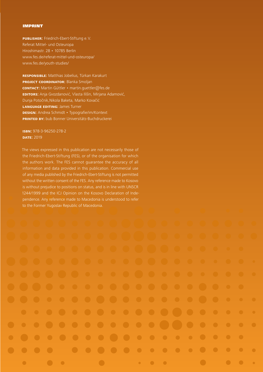#### IMPRINT

**publisher:** Friedrich-Ebert-Stiftung e.V. Referat Mittel- und Osteuropa Hiroshimastr. 28 • 10785 Berlin www.fes.de/referat-mittel-und-osteuropa/ www.fes.de/youth-studies/

**responsible:** Matthias Jobelius, Türkan Karakurt **PROJECT COORDINATOR: Blanka Smoljan contact:** Martin Güttler • martin.guettler@fes.de **editors:** Anja Gvozdanović, Vlasta Ilišin, Mirjana Adamović, Dunja Potočnik,Nikola Baketa, Marko Kovačić **language editing:** James Turner **design:** Andrea Schmidt • Typografie/im/Kontext **printed by:** bub Bonner Universitäts-Buchdruckerei

## **isbn:** 978-3-96250-278-2 **date:** 2019

The views expressed in this publication are not necessarily those of the Friedrich-Ebert-Stiftung (FES), or of the organisation for which the authors work. The FES cannot guarantee the accuracy of all information and data provided in this publication. Commercial use of any media published by the Friedrich-Ebert-Stiftung is not permitted without the written consent of the FES. Any reference made to Kosovo is without prejudice to positions on status, and is in line with UNSCR 1244/1999 and the ICJ Opinion on the Kosovo Declaration of Independence. Any reference made to Macedonia is understood to refer to the Former Yugoslav Republic of Macedonia.